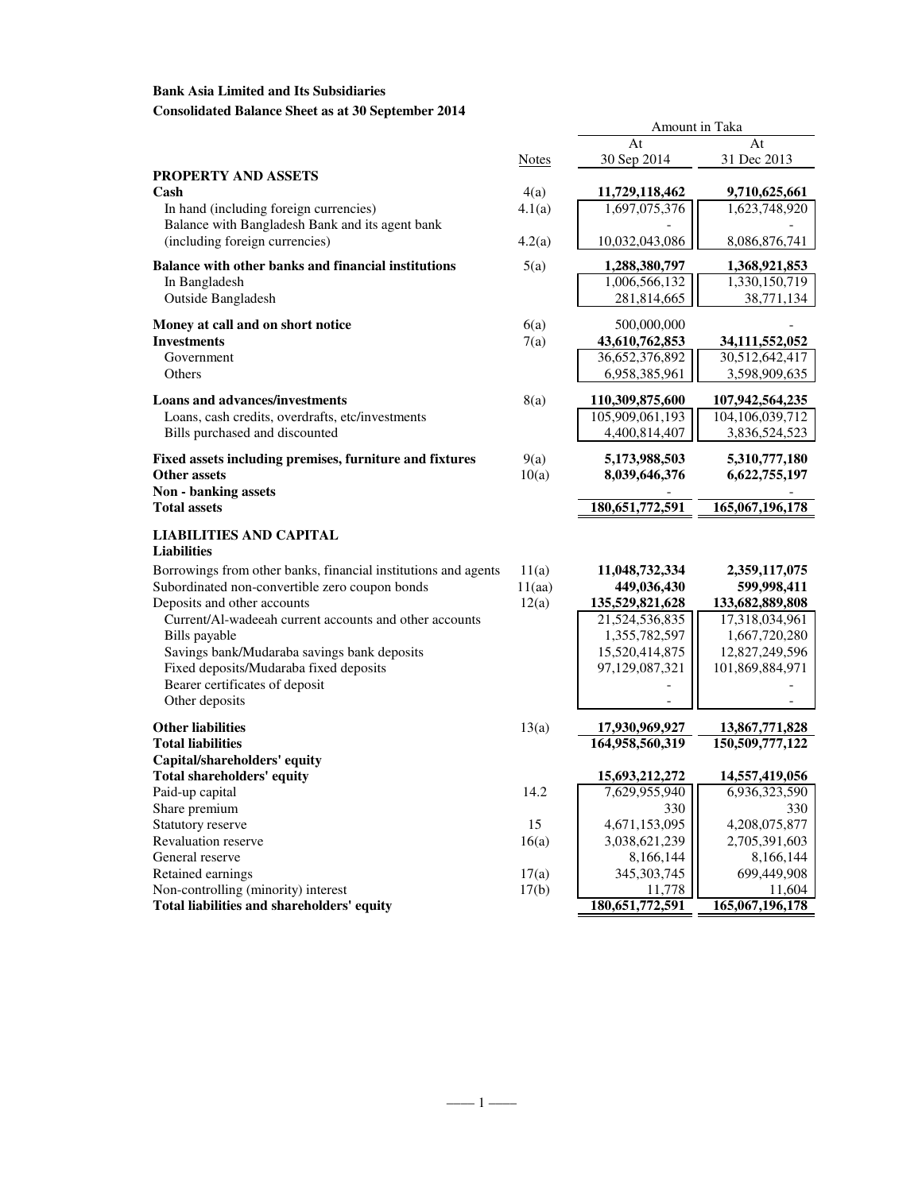# **Bank Asia Limited and Its Subsidiaries Consolidated Balance Sheet as at 30 September 2014**

|                                                                                                                  |                 | At                                | At                                |
|------------------------------------------------------------------------------------------------------------------|-----------------|-----------------------------------|-----------------------------------|
|                                                                                                                  | Notes           | 30 Sep 2014                       | 31 Dec 2013                       |
| PROPERTY AND ASSETS                                                                                              |                 |                                   |                                   |
| Cash                                                                                                             | 4(a)            | 11,729,118,462                    | 9,710,625,661                     |
| In hand (including foreign currencies)                                                                           | 4.1(a)          | 1,697,075,376                     | 1,623,748,920                     |
| Balance with Bangladesh Bank and its agent bank                                                                  |                 |                                   |                                   |
| (including foreign currencies)                                                                                   | 4.2(a)          | 10,032,043,086                    | 8,086,876,741                     |
| <b>Balance with other banks and financial institutions</b>                                                       | 5(a)            | 1,288,380,797                     | 1,368,921,853                     |
| In Bangladesh                                                                                                    |                 | 1,006,566,132                     | 1,330,150,719                     |
| Outside Bangladesh                                                                                               |                 | 281,814,665                       | 38,771,134                        |
|                                                                                                                  |                 |                                   |                                   |
| Money at call and on short notice<br><b>Investments</b>                                                          | 6(a)<br>7(a)    | 500,000,000<br>43,610,762,853     | 34,111,552,052                    |
| Government                                                                                                       |                 | 36,652,376,892                    | 30,512,642,417                    |
| Others                                                                                                           |                 | 6,958,385,961                     | 3,598,909,635                     |
|                                                                                                                  |                 |                                   |                                   |
| <b>Loans and advances/investments</b>                                                                            | 8(a)            | 110,309,875,600                   | 107,942,564,235                   |
| Loans, cash credits, overdrafts, etc/investments                                                                 |                 | 105,909,061,193                   | 104,106,039,712                   |
| Bills purchased and discounted                                                                                   |                 | 4,400,814,407                     | 3,836,524,523                     |
| Fixed assets including premises, furniture and fixtures                                                          | 9(a)            | 5,173,988,503                     | 5,310,777,180                     |
| <b>Other assets</b>                                                                                              | 10(a)           | 8,039,646,376                     | 6,622,755,197                     |
| <b>Non - banking assets</b>                                                                                      |                 |                                   |                                   |
| <b>Total assets</b>                                                                                              |                 | 180,651,772,591                   | 165,067,196,178                   |
| LIABILITIES AND CAPITAL                                                                                          |                 |                                   |                                   |
| <b>Liabilities</b>                                                                                               |                 |                                   |                                   |
|                                                                                                                  |                 |                                   |                                   |
| Borrowings from other banks, financial institutions and agents<br>Subordinated non-convertible zero coupon bonds | 11(a)<br>11(aa) | 11,048,732,334<br>449,036,430     | 2,359,117,075<br>599,998,411      |
| Deposits and other accounts                                                                                      | 12(a)           | 135,529,821,628                   | 133,682,889,808                   |
| Current/Al-wadeeah current accounts and other accounts                                                           |                 | 21,524,536,835                    | 17,318,034,961                    |
| Bills payable                                                                                                    |                 | 1,355,782,597                     | 1,667,720,280                     |
| Savings bank/Mudaraba savings bank deposits                                                                      |                 | 15,520,414,875                    | 12,827,249,596                    |
| Fixed deposits/Mudaraba fixed deposits                                                                           |                 | 97,129,087,321                    | 101,869,884,971                   |
| Bearer certificates of deposit                                                                                   |                 |                                   |                                   |
| Other deposits                                                                                                   |                 |                                   |                                   |
|                                                                                                                  |                 |                                   |                                   |
| <b>Other liabilities</b><br><b>Total liabilities</b>                                                             | 13(a)           | 17,930,969,927<br>164,958,560,319 | 13,867,771,828<br>150,509,777,122 |
| Capital/shareholders' equity                                                                                     |                 |                                   |                                   |
| <b>Total shareholders' equity</b>                                                                                |                 | 15,693,212,272                    | 14,557,419,056                    |
| Paid-up capital                                                                                                  | 14.2            | 7,629,955,940                     | 6,936,323,590                     |
| Share premium                                                                                                    |                 | 330                               | 330                               |
| Statutory reserve                                                                                                | 15              | 4,671,153,095                     | 4,208,075,877                     |
| <b>Revaluation reserve</b>                                                                                       | 16(a)           | 3,038,621,239                     | 2,705,391,603                     |
| General reserve                                                                                                  |                 | 8,166,144                         | 8,166,144                         |
| Retained earnings                                                                                                | 17(a)           | 345, 303, 745                     | 699,449,908                       |
| Non-controlling (minority) interest                                                                              | 17(b)           | 11,778                            | 11,604                            |
| Total liabilities and shareholders' equity                                                                       |                 | 180,651,772,591                   | 165,067,196,178                   |

Amount in Taka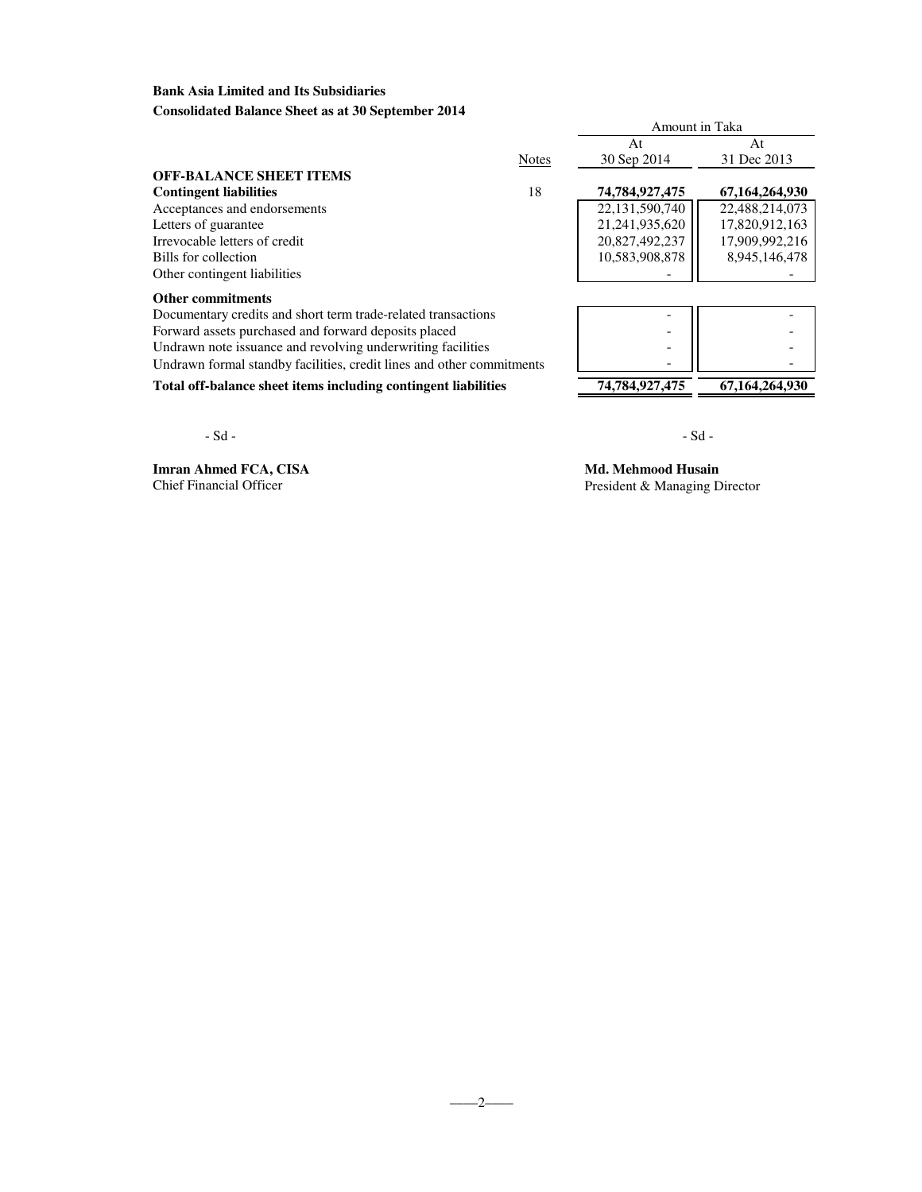### **Bank Asia Limited and Its Subsidiaries Consolidated Balance Sheet as at 30 September 2014**

|                                                                       |              | Amount in Taka |                |
|-----------------------------------------------------------------------|--------------|----------------|----------------|
|                                                                       |              | At             | At             |
|                                                                       | <b>Notes</b> | 30 Sep 2014    | 31 Dec 2013    |
| <b>OFF-BALANCE SHEET ITEMS</b>                                        |              |                |                |
| <b>Contingent liabilities</b>                                         | 18           | 74,784,927,475 | 67,164,264,930 |
| Acceptances and endorsements                                          |              | 22,131,590,740 | 22,488,214,073 |
| Letters of guarantee                                                  |              | 21,241,935,620 | 17,820,912,163 |
| Irrevocable letters of credit                                         |              | 20,827,492,237 | 17,909,992,216 |
| Bills for collection                                                  |              | 10,583,908,878 | 8,945,146,478  |
| Other contingent liabilities                                          |              |                |                |
| <b>Other commitments</b>                                              |              |                |                |
| Documentary credits and short term trade-related transactions         |              |                |                |
| Forward assets purchased and forward deposits placed                  |              |                |                |
| Undrawn note issuance and revolving underwriting facilities           |              |                |                |
| Undrawn formal standby facilities, credit lines and other commitments |              |                |                |

Total off-balance sheet items including contingent liabilities 74,784,927,475 67,164,264,930

 $-Sd -$ 

**Imran Ahmed FCA, CISA Md. Mehmood Husain**<br>Chief Financial Officer President & Managing D

President & Managing Director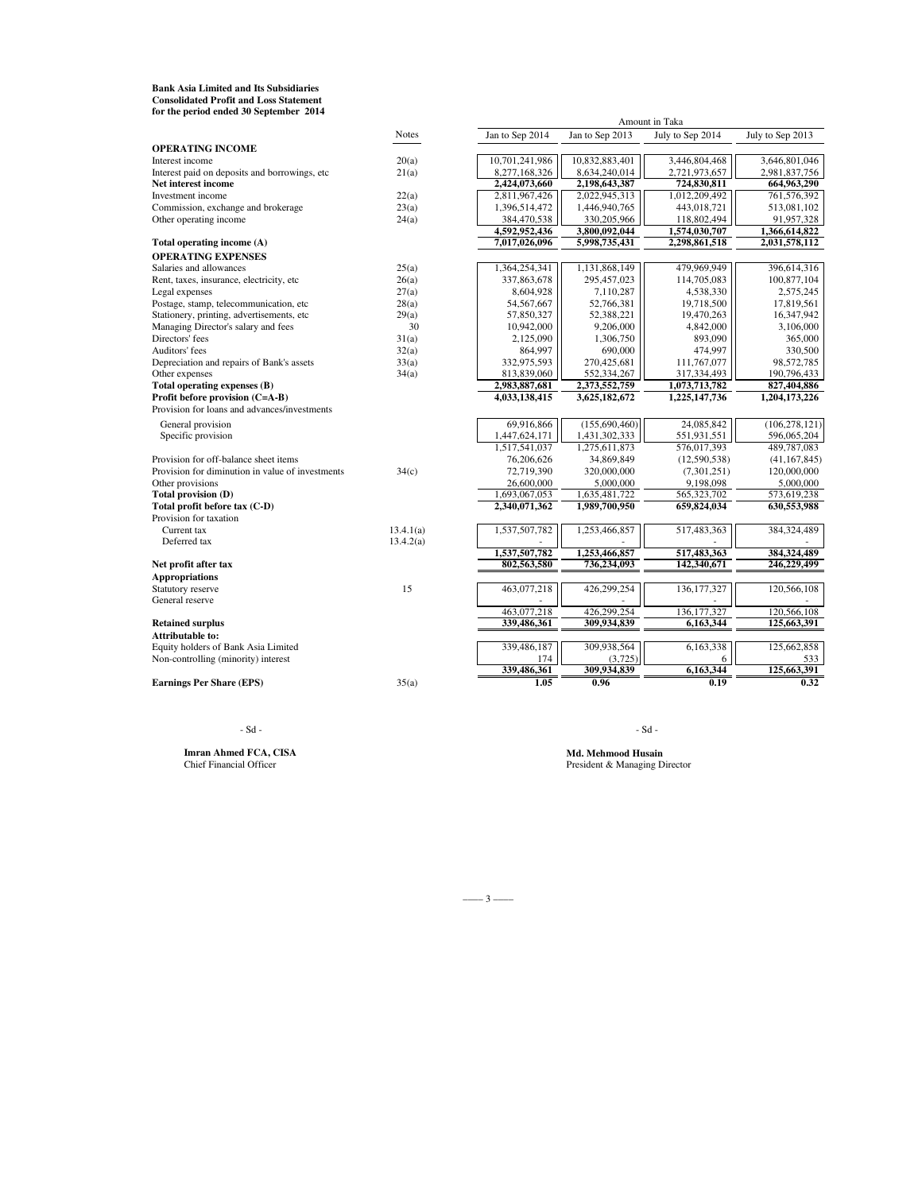**Bank Asia Limited and Its Subsidiaries Consolidated Profit and Loss Statement for the period ended 30 September 2014**

|                                                  | <b>Notes</b> | Jan to Sep 2014 | Jan to Sep 2013 | July to Sep 2014 | July to Sep 2013 |
|--------------------------------------------------|--------------|-----------------|-----------------|------------------|------------------|
| <b>OPERATING INCOME</b>                          |              |                 |                 |                  |                  |
| Interest income                                  | 20(a)        | 10,701,241,986  | 10,832,883,401  | 3,446,804,468    | 3,646,801,046    |
| Interest paid on deposits and borrowings, etc    | 21(a)        | 8,277,168,326   | 8,634,240,014   | 2,721,973,657    | 2,981,837,756    |
| Net interest income                              |              | 2,424,073,660   | 2,198,643,387   | 724,830,811      | 664,963,290      |
| Investment income                                | 22(a)        | 2,811,967,426   | 2,022,945,313   | 1,012,209,492    | 761,576,392      |
| Commission, exchange and brokerage               | 23(a)        | 1,396,514,472   | 1,446,940,765   | 443,018,721      | 513,081,102      |
| Other operating income                           | 24(a)        | 384,470,538     | 330,205,966     | 118,802,494      | 91,957,328       |
|                                                  |              | 4,592,952,436   | 3,800,092,044   | 1,574,030,707    | 1,366,614,822    |
| Total operating income (A)                       |              | 7,017,026,096   | 5,998,735,431   | 2,298,861,518    | 2,031,578,112    |
| <b>OPERATING EXPENSES</b>                        |              |                 |                 |                  |                  |
| Salaries and allowances                          | 25(a)        | 1,364,254,341   | 1,131,868,149   | 479.969.949      | 396,614,316      |
| Rent, taxes, insurance, electricity, etc         | 26(a)        | 337,863,678     | 295,457,023     | 114,705,083      | 100,877,104      |
| Legal expenses                                   | 27(a)        | 8,604,928       | 7,110,287       | 4,538,330        | 2,575,245        |
| Postage, stamp, telecommunication, etc           | 28(a)        | 54, 567, 667    | 52,766,381      | 19,718,500       | 17,819,561       |
| Stationery, printing, advertisements, etc        | 29(a)        | 57,850,327      | 52,388,221      | 19,470,263       | 16,347,942       |
| Managing Director's salary and fees              | 30           | 10,942,000      | 9,206,000       | 4,842,000        | 3,106,000        |
| Directors' fees                                  | 31(a)        | 2,125,090       | 1,306,750       | 893.090          | 365,000          |
| Auditors' fees                                   | 32(a)        | 864,997         | 690,000         | 474,997          | 330,500          |
| Depreciation and repairs of Bank's assets        | 33(a)        | 332,975,593     | 270.425.681     | 111,767,077      | 98,572,785       |
| Other expenses                                   | 34(a)        | 813,839,060     | 552,334,267     | 317,334,493      | 190,796,433      |
| Total operating expenses (B)                     |              | 2,983,887,681   | 2,373,552,759   | 1,073,713,782    | 827,404,886      |
| Profit before provision (C=A-B)                  |              | 4,033,138,415   | 3,625,182,672   | 1,225,147,736    | 1,204,173,226    |
| Provision for loans and advances/investments     |              |                 |                 |                  |                  |
| General provision                                |              | 69,916,866      | (155,690,460)   | 24,085,842       | (106, 278, 121)  |
| Specific provision                               |              | 1,447,624,171   | 1,431,302,333   | 551,931,551      | 596,065,204      |
|                                                  |              | 1,517,541,037   | 1,275,611,873   | 576,017,393      | 489,787,083      |
| Provision for off-balance sheet items            |              | 76,206,626      | 34,869,849      | (12,590,538)     | (41, 167, 845)   |
| Provision for diminution in value of investments | 34(c)        | 72,719,390      | 320,000,000     | (7,301,251)      | 120,000,000      |
| Other provisions                                 |              | 26,600,000      | 5,000,000       | 9,198,098        | 5,000,000        |
| Total provision (D)                              |              | 1,693,067,053   | 1,635,481,722   | 565,323,702      | 573,619,238      |
| Total profit before tax (C-D)                    |              | 2,340,071,362   | 1,989,700,950   | 659,824,034      | 630,553,988      |
| Provision for taxation                           |              |                 |                 |                  |                  |
| Current tax                                      | 13.4.1(a)    | 1,537,507,782   | 1,253,466,857   | 517,483,363      | 384,324,489      |
| Deferred tax                                     | 13.4.2(a)    |                 |                 |                  |                  |
|                                                  |              | 1,537,507,782   | 1.253.466.857   | 517,483,363      | 384,324,489      |
| Net profit after tax                             |              | 802,563,580     | 736,234,093     | 142,340,671      | 246,229,499      |
| <b>Appropriations</b>                            |              |                 |                 |                  |                  |
| Statutory reserve                                | 15           | 463,077,218     | 426,299,254     | 136, 177, 327    | 120,566,108      |
| General reserve                                  |              |                 |                 |                  |                  |
|                                                  |              | 463,077,218     | 426,299,254     | 136, 177, 327    | 120,566,108      |
| <b>Retained surplus</b>                          |              | 339,486,361     | 309,934,839     | 6,163,344        | 125,663,391      |
| Attributable to:                                 |              |                 |                 |                  |                  |
| Equity holders of Bank Asia Limited              |              | 339,486,187     | 309,938,564     | 6,163,338        | 125,662,858      |
| Non-controlling (minority) interest              |              | 174             | (3,725)         | 6                | 533              |
|                                                  |              | 339,486,361     | 309,934,839     | 6,163,344        | 125,663,391      |
| <b>Earnings Per Share (EPS)</b>                  | 35(a)        | 1.05            | 0.96            | 0.19             | 0.32             |
|                                                  |              |                 |                 |                  |                  |

**Imran Ahmed FCA, CISA**<br>Chief Financial Officer

 $-Sd -$ 

Amount in Taka

Md. Mehmood Husain<br>President & Managing Director

–––– 3 ––––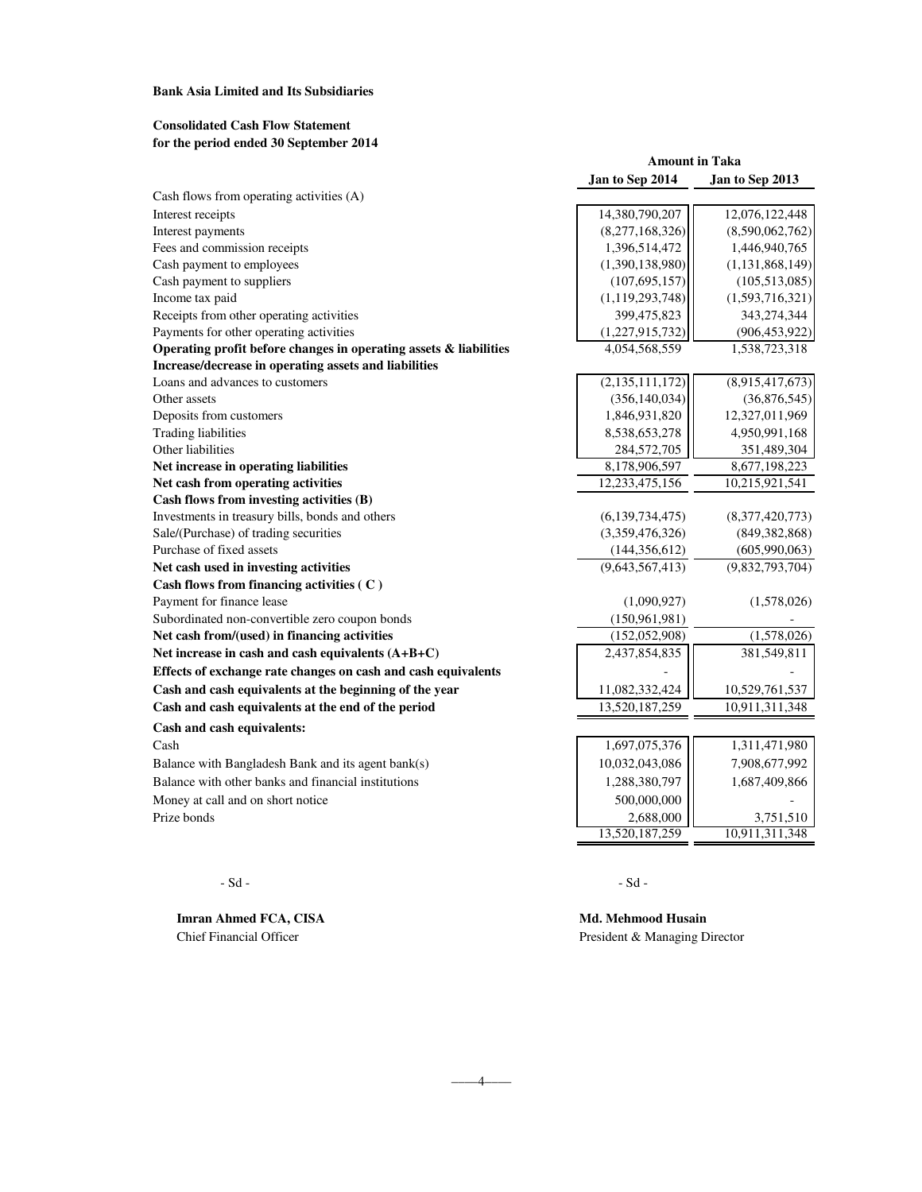### **Bank Asia Limited and Its Subsidiaries**

## **Consolidated Cash Flow Statement for the period ended 30 September 2014**

| Jan to Sep 2014<br>Jan to Sep 2013<br>14,380,790,207<br>12,076,122,448<br>(8,277,168,326)<br>1,396,514,472<br>1,446,940,765<br>(1,390,138,980)<br>(107, 695, 157)<br>(1, 119, 293, 748)<br>399,475,823<br>343,274,344<br>Payments for other operating activities<br>(1,227,915,732)<br>Operating profit before changes in operating assets & liabilities<br>4,054,568,559<br>1,538,723,318<br>Increase/decrease in operating assets and liabilities<br>(2,135,111,172)<br>(8,915,417,673)<br>Loans and advances to customers<br>(356, 140, 034)<br>(36,876,545)<br>1,846,931,820<br>Deposits from customers<br>12,327,011,969<br><b>Trading liabilities</b><br>8,538,653,278<br>4,950,991,168<br>284,572,705<br>351,489,304<br>Net increase in operating liabilities<br>8,178,906,597<br>8,677,198,223<br>Net cash from operating activities<br>12,233,475,156<br>10,215,921,541<br>Cash flows from investing activities (B)<br>(6,139,734,475)<br>(8,377,420,773)<br>Sale/(Purchase) of trading securities<br>(3,359,476,326)<br>(849, 382, 868)<br>Purchase of fixed assets<br>(605,990,063)<br>(144, 356, 612)<br>(9,643,567,413)<br>(9,832,793,704)<br>Net cash used in investing activities<br>Cash flows from financing activities (C)<br>Payment for finance lease<br>(1,090,927)<br>(1,578,026)<br>(150, 961, 981)<br>(1,578,026)<br>Net cash from/(used) in financing activities<br>(152, 052, 908)<br>2,437,854,835<br>381,549,811<br>11,082,332,424<br>10,529,761,537<br>13,520,187,259<br>10,911,311,348<br>1,697,075,376<br>1,311,471,980<br>10,032,043,086<br>7,908,677,992<br>Balance with Bangladesh Bank and its agent bank(s)<br>1,288,380,797<br>1,687,409,866<br>500,000,000<br>Money at call and on short notice<br>2,688,000<br>3,751,510<br>13,520,187,259<br>10,911,311,348 |                                                               | <b>Amount in Taka</b> |                 |  |
|-----------------------------------------------------------------------------------------------------------------------------------------------------------------------------------------------------------------------------------------------------------------------------------------------------------------------------------------------------------------------------------------------------------------------------------------------------------------------------------------------------------------------------------------------------------------------------------------------------------------------------------------------------------------------------------------------------------------------------------------------------------------------------------------------------------------------------------------------------------------------------------------------------------------------------------------------------------------------------------------------------------------------------------------------------------------------------------------------------------------------------------------------------------------------------------------------------------------------------------------------------------------------------------------------------------------------------------------------------------------------------------------------------------------------------------------------------------------------------------------------------------------------------------------------------------------------------------------------------------------------------------------------------------------------------------------------------------------------------------------------------------------------------------------------------|---------------------------------------------------------------|-----------------------|-----------------|--|
|                                                                                                                                                                                                                                                                                                                                                                                                                                                                                                                                                                                                                                                                                                                                                                                                                                                                                                                                                                                                                                                                                                                                                                                                                                                                                                                                                                                                                                                                                                                                                                                                                                                                                                                                                                                                     |                                                               |                       |                 |  |
|                                                                                                                                                                                                                                                                                                                                                                                                                                                                                                                                                                                                                                                                                                                                                                                                                                                                                                                                                                                                                                                                                                                                                                                                                                                                                                                                                                                                                                                                                                                                                                                                                                                                                                                                                                                                     | Cash flows from operating activities (A)                      |                       |                 |  |
|                                                                                                                                                                                                                                                                                                                                                                                                                                                                                                                                                                                                                                                                                                                                                                                                                                                                                                                                                                                                                                                                                                                                                                                                                                                                                                                                                                                                                                                                                                                                                                                                                                                                                                                                                                                                     | Interest receipts                                             |                       |                 |  |
|                                                                                                                                                                                                                                                                                                                                                                                                                                                                                                                                                                                                                                                                                                                                                                                                                                                                                                                                                                                                                                                                                                                                                                                                                                                                                                                                                                                                                                                                                                                                                                                                                                                                                                                                                                                                     | Interest payments                                             |                       | (8,590,062,762) |  |
|                                                                                                                                                                                                                                                                                                                                                                                                                                                                                                                                                                                                                                                                                                                                                                                                                                                                                                                                                                                                                                                                                                                                                                                                                                                                                                                                                                                                                                                                                                                                                                                                                                                                                                                                                                                                     | Fees and commission receipts                                  |                       |                 |  |
|                                                                                                                                                                                                                                                                                                                                                                                                                                                                                                                                                                                                                                                                                                                                                                                                                                                                                                                                                                                                                                                                                                                                                                                                                                                                                                                                                                                                                                                                                                                                                                                                                                                                                                                                                                                                     | Cash payment to employees                                     |                       | (1,131,868,149) |  |
|                                                                                                                                                                                                                                                                                                                                                                                                                                                                                                                                                                                                                                                                                                                                                                                                                                                                                                                                                                                                                                                                                                                                                                                                                                                                                                                                                                                                                                                                                                                                                                                                                                                                                                                                                                                                     | Cash payment to suppliers                                     |                       | (105, 513, 085) |  |
|                                                                                                                                                                                                                                                                                                                                                                                                                                                                                                                                                                                                                                                                                                                                                                                                                                                                                                                                                                                                                                                                                                                                                                                                                                                                                                                                                                                                                                                                                                                                                                                                                                                                                                                                                                                                     | Income tax paid                                               |                       | (1,593,716,321) |  |
|                                                                                                                                                                                                                                                                                                                                                                                                                                                                                                                                                                                                                                                                                                                                                                                                                                                                                                                                                                                                                                                                                                                                                                                                                                                                                                                                                                                                                                                                                                                                                                                                                                                                                                                                                                                                     | Receipts from other operating activities                      |                       |                 |  |
|                                                                                                                                                                                                                                                                                                                                                                                                                                                                                                                                                                                                                                                                                                                                                                                                                                                                                                                                                                                                                                                                                                                                                                                                                                                                                                                                                                                                                                                                                                                                                                                                                                                                                                                                                                                                     |                                                               |                       | (906, 453, 922) |  |
|                                                                                                                                                                                                                                                                                                                                                                                                                                                                                                                                                                                                                                                                                                                                                                                                                                                                                                                                                                                                                                                                                                                                                                                                                                                                                                                                                                                                                                                                                                                                                                                                                                                                                                                                                                                                     |                                                               |                       |                 |  |
|                                                                                                                                                                                                                                                                                                                                                                                                                                                                                                                                                                                                                                                                                                                                                                                                                                                                                                                                                                                                                                                                                                                                                                                                                                                                                                                                                                                                                                                                                                                                                                                                                                                                                                                                                                                                     |                                                               |                       |                 |  |
|                                                                                                                                                                                                                                                                                                                                                                                                                                                                                                                                                                                                                                                                                                                                                                                                                                                                                                                                                                                                                                                                                                                                                                                                                                                                                                                                                                                                                                                                                                                                                                                                                                                                                                                                                                                                     |                                                               |                       |                 |  |
|                                                                                                                                                                                                                                                                                                                                                                                                                                                                                                                                                                                                                                                                                                                                                                                                                                                                                                                                                                                                                                                                                                                                                                                                                                                                                                                                                                                                                                                                                                                                                                                                                                                                                                                                                                                                     | Other assets                                                  |                       |                 |  |
|                                                                                                                                                                                                                                                                                                                                                                                                                                                                                                                                                                                                                                                                                                                                                                                                                                                                                                                                                                                                                                                                                                                                                                                                                                                                                                                                                                                                                                                                                                                                                                                                                                                                                                                                                                                                     |                                                               |                       |                 |  |
|                                                                                                                                                                                                                                                                                                                                                                                                                                                                                                                                                                                                                                                                                                                                                                                                                                                                                                                                                                                                                                                                                                                                                                                                                                                                                                                                                                                                                                                                                                                                                                                                                                                                                                                                                                                                     |                                                               |                       |                 |  |
|                                                                                                                                                                                                                                                                                                                                                                                                                                                                                                                                                                                                                                                                                                                                                                                                                                                                                                                                                                                                                                                                                                                                                                                                                                                                                                                                                                                                                                                                                                                                                                                                                                                                                                                                                                                                     | Other liabilities                                             |                       |                 |  |
|                                                                                                                                                                                                                                                                                                                                                                                                                                                                                                                                                                                                                                                                                                                                                                                                                                                                                                                                                                                                                                                                                                                                                                                                                                                                                                                                                                                                                                                                                                                                                                                                                                                                                                                                                                                                     |                                                               |                       |                 |  |
|                                                                                                                                                                                                                                                                                                                                                                                                                                                                                                                                                                                                                                                                                                                                                                                                                                                                                                                                                                                                                                                                                                                                                                                                                                                                                                                                                                                                                                                                                                                                                                                                                                                                                                                                                                                                     |                                                               |                       |                 |  |
|                                                                                                                                                                                                                                                                                                                                                                                                                                                                                                                                                                                                                                                                                                                                                                                                                                                                                                                                                                                                                                                                                                                                                                                                                                                                                                                                                                                                                                                                                                                                                                                                                                                                                                                                                                                                     |                                                               |                       |                 |  |
|                                                                                                                                                                                                                                                                                                                                                                                                                                                                                                                                                                                                                                                                                                                                                                                                                                                                                                                                                                                                                                                                                                                                                                                                                                                                                                                                                                                                                                                                                                                                                                                                                                                                                                                                                                                                     | Investments in treasury bills, bonds and others               |                       |                 |  |
|                                                                                                                                                                                                                                                                                                                                                                                                                                                                                                                                                                                                                                                                                                                                                                                                                                                                                                                                                                                                                                                                                                                                                                                                                                                                                                                                                                                                                                                                                                                                                                                                                                                                                                                                                                                                     |                                                               |                       |                 |  |
|                                                                                                                                                                                                                                                                                                                                                                                                                                                                                                                                                                                                                                                                                                                                                                                                                                                                                                                                                                                                                                                                                                                                                                                                                                                                                                                                                                                                                                                                                                                                                                                                                                                                                                                                                                                                     |                                                               |                       |                 |  |
|                                                                                                                                                                                                                                                                                                                                                                                                                                                                                                                                                                                                                                                                                                                                                                                                                                                                                                                                                                                                                                                                                                                                                                                                                                                                                                                                                                                                                                                                                                                                                                                                                                                                                                                                                                                                     |                                                               |                       |                 |  |
|                                                                                                                                                                                                                                                                                                                                                                                                                                                                                                                                                                                                                                                                                                                                                                                                                                                                                                                                                                                                                                                                                                                                                                                                                                                                                                                                                                                                                                                                                                                                                                                                                                                                                                                                                                                                     |                                                               |                       |                 |  |
|                                                                                                                                                                                                                                                                                                                                                                                                                                                                                                                                                                                                                                                                                                                                                                                                                                                                                                                                                                                                                                                                                                                                                                                                                                                                                                                                                                                                                                                                                                                                                                                                                                                                                                                                                                                                     |                                                               |                       |                 |  |
|                                                                                                                                                                                                                                                                                                                                                                                                                                                                                                                                                                                                                                                                                                                                                                                                                                                                                                                                                                                                                                                                                                                                                                                                                                                                                                                                                                                                                                                                                                                                                                                                                                                                                                                                                                                                     | Subordinated non-convertible zero coupon bonds                |                       |                 |  |
|                                                                                                                                                                                                                                                                                                                                                                                                                                                                                                                                                                                                                                                                                                                                                                                                                                                                                                                                                                                                                                                                                                                                                                                                                                                                                                                                                                                                                                                                                                                                                                                                                                                                                                                                                                                                     |                                                               |                       |                 |  |
|                                                                                                                                                                                                                                                                                                                                                                                                                                                                                                                                                                                                                                                                                                                                                                                                                                                                                                                                                                                                                                                                                                                                                                                                                                                                                                                                                                                                                                                                                                                                                                                                                                                                                                                                                                                                     | Net increase in cash and cash equivalents (A+B+C)             |                       |                 |  |
|                                                                                                                                                                                                                                                                                                                                                                                                                                                                                                                                                                                                                                                                                                                                                                                                                                                                                                                                                                                                                                                                                                                                                                                                                                                                                                                                                                                                                                                                                                                                                                                                                                                                                                                                                                                                     | Effects of exchange rate changes on cash and cash equivalents |                       |                 |  |
|                                                                                                                                                                                                                                                                                                                                                                                                                                                                                                                                                                                                                                                                                                                                                                                                                                                                                                                                                                                                                                                                                                                                                                                                                                                                                                                                                                                                                                                                                                                                                                                                                                                                                                                                                                                                     | Cash and cash equivalents at the beginning of the year        |                       |                 |  |
|                                                                                                                                                                                                                                                                                                                                                                                                                                                                                                                                                                                                                                                                                                                                                                                                                                                                                                                                                                                                                                                                                                                                                                                                                                                                                                                                                                                                                                                                                                                                                                                                                                                                                                                                                                                                     | Cash and cash equivalents at the end of the period            |                       |                 |  |
|                                                                                                                                                                                                                                                                                                                                                                                                                                                                                                                                                                                                                                                                                                                                                                                                                                                                                                                                                                                                                                                                                                                                                                                                                                                                                                                                                                                                                                                                                                                                                                                                                                                                                                                                                                                                     | Cash and cash equivalents:                                    |                       |                 |  |
|                                                                                                                                                                                                                                                                                                                                                                                                                                                                                                                                                                                                                                                                                                                                                                                                                                                                                                                                                                                                                                                                                                                                                                                                                                                                                                                                                                                                                                                                                                                                                                                                                                                                                                                                                                                                     | Cash                                                          |                       |                 |  |
|                                                                                                                                                                                                                                                                                                                                                                                                                                                                                                                                                                                                                                                                                                                                                                                                                                                                                                                                                                                                                                                                                                                                                                                                                                                                                                                                                                                                                                                                                                                                                                                                                                                                                                                                                                                                     |                                                               |                       |                 |  |
|                                                                                                                                                                                                                                                                                                                                                                                                                                                                                                                                                                                                                                                                                                                                                                                                                                                                                                                                                                                                                                                                                                                                                                                                                                                                                                                                                                                                                                                                                                                                                                                                                                                                                                                                                                                                     | Balance with other banks and financial institutions           |                       |                 |  |
|                                                                                                                                                                                                                                                                                                                                                                                                                                                                                                                                                                                                                                                                                                                                                                                                                                                                                                                                                                                                                                                                                                                                                                                                                                                                                                                                                                                                                                                                                                                                                                                                                                                                                                                                                                                                     |                                                               |                       |                 |  |
|                                                                                                                                                                                                                                                                                                                                                                                                                                                                                                                                                                                                                                                                                                                                                                                                                                                                                                                                                                                                                                                                                                                                                                                                                                                                                                                                                                                                                                                                                                                                                                                                                                                                                                                                                                                                     | Prize bonds                                                   |                       |                 |  |
|                                                                                                                                                                                                                                                                                                                                                                                                                                                                                                                                                                                                                                                                                                                                                                                                                                                                                                                                                                                                                                                                                                                                                                                                                                                                                                                                                                                                                                                                                                                                                                                                                                                                                                                                                                                                     |                                                               |                       |                 |  |

 $-4$ 

**Imran Ahmed FCA, CISA Md. Mehmood Husain** Chief Financial Officer President & Managing Director

 $-Sd -$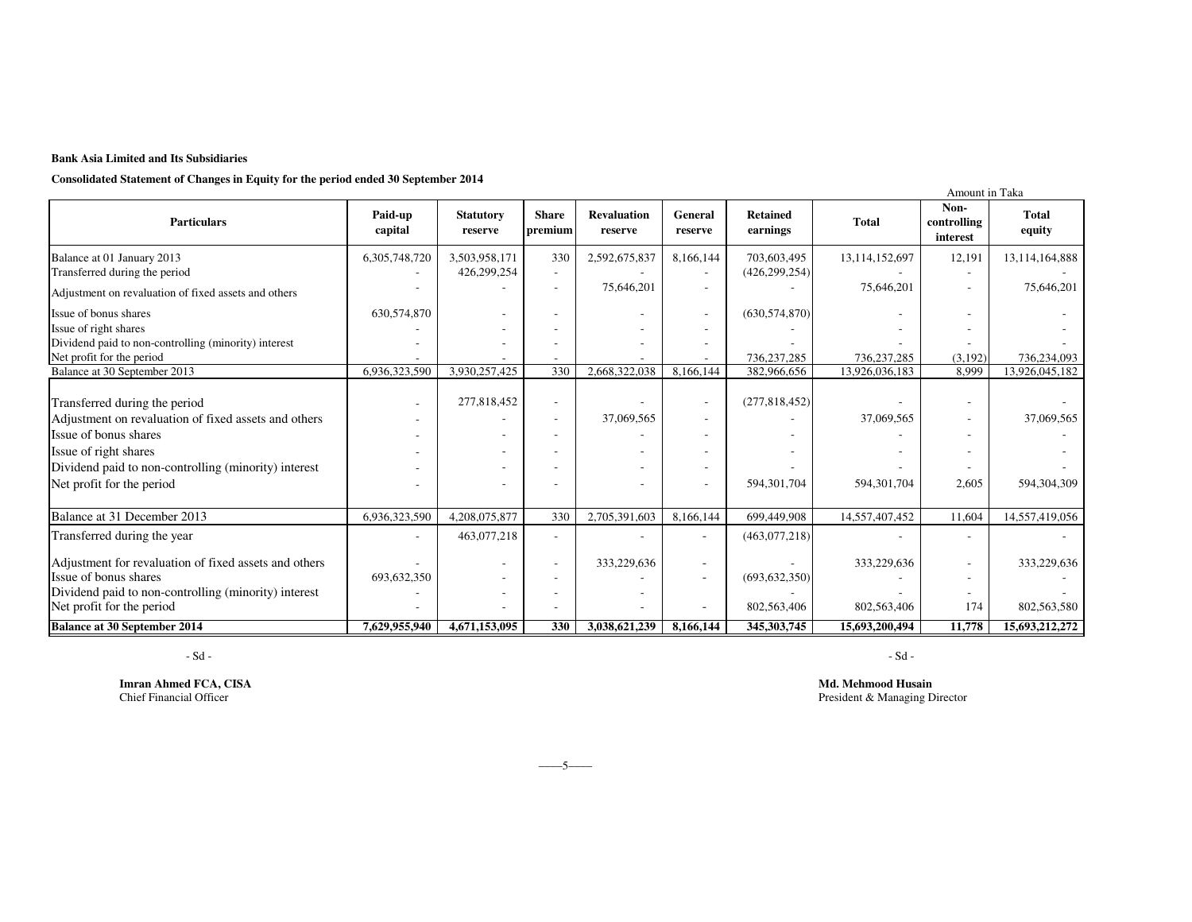### **Bank Asia Limited and Its Subsidiaries**

**Consolidated Statement of Changes in Equity for the period ended 30 September 2014**

| Consonauta statement of Changes in Equity for the period enaca so september 2014                                                       |                    |                             |                          |                               |                          |                             |                | Amount in Taka                  |                        |
|----------------------------------------------------------------------------------------------------------------------------------------|--------------------|-----------------------------|--------------------------|-------------------------------|--------------------------|-----------------------------|----------------|---------------------------------|------------------------|
| <b>Particulars</b>                                                                                                                     | Paid-up<br>capital | <b>Statutory</b><br>reserve | <b>Share</b><br>premium  | <b>Revaluation</b><br>reserve | General<br>reserve       | <b>Retained</b><br>earnings | <b>Total</b>   | Non-<br>controlling<br>interest | <b>Total</b><br>equity |
| Balance at 01 January 2013                                                                                                             | 6,305,748,720      | 3,503,958,171               | 330                      | 2,592,675,837                 | 8,166,144                | 703,603,495                 | 13,114,152,697 | 12,191                          | 13,114,164,888         |
| Transferred during the period                                                                                                          |                    | 426,299,254                 |                          |                               |                          | (426, 299, 254)             |                |                                 |                        |
| Adjustment on revaluation of fixed assets and others                                                                                   |                    |                             |                          | 75,646,201                    |                          |                             | 75,646,201     | $\overline{\phantom{a}}$        | 75,646,201             |
| Issue of bonus shares                                                                                                                  | 630,574,870        |                             |                          |                               |                          | (630, 574, 870)             |                |                                 |                        |
| Issue of right shares                                                                                                                  |                    |                             |                          |                               |                          |                             |                |                                 |                        |
| Dividend paid to non-controlling (minority) interest                                                                                   |                    |                             |                          |                               |                          |                             |                |                                 |                        |
| Net profit for the period                                                                                                              |                    |                             |                          |                               |                          | 736,237,285                 | 736,237,285    | (3,192)                         | 736,234,093            |
| Balance at 30 September 2013                                                                                                           | 6,936,323,590      | 3,930,257,425               | 330                      | 2,668,322,038                 | 8,166,144                | 382,966,656                 | 13,926,036,183 | 8,999                           | 13,926,045,182         |
| Transferred during the period<br>Adjustment on revaluation of fixed assets and others                                                  |                    | 277,818,452                 | $\overline{\phantom{a}}$ | 37,069,565                    | $\overline{\phantom{a}}$ | (277, 818, 452)             | 37,069,565     |                                 | 37,069,565             |
| Issue of bonus shares                                                                                                                  |                    |                             |                          |                               |                          |                             |                |                                 |                        |
| Issue of right shares                                                                                                                  |                    |                             |                          |                               |                          |                             |                |                                 |                        |
| Dividend paid to non-controlling (minority) interest                                                                                   |                    |                             |                          |                               |                          |                             |                |                                 |                        |
| Net profit for the period                                                                                                              |                    |                             |                          |                               | $\overline{\phantom{a}}$ | 594,301,704                 | 594,301,704    | 2,605                           | 594,304,309            |
|                                                                                                                                        |                    |                             |                          |                               |                          |                             |                |                                 |                        |
| Balance at 31 December 2013                                                                                                            | 6,936,323,590      | 4,208,075,877               | 330                      | 2,705,391,603                 | 8,166,144                | 699,449,908                 | 14,557,407,452 | 11,604                          | 14,557,419,056         |
| Transferred during the year                                                                                                            |                    | 463,077,218                 | $\overline{a}$           |                               |                          | (463,077,218)               |                | $\overline{\phantom{a}}$        |                        |
| Adjustment for revaluation of fixed assets and others<br>Issue of bonus shares<br>Dividend paid to non-controlling (minority) interest | 693,632,350        |                             | $\overline{\phantom{a}}$ | 333,229,636                   |                          | (693, 632, 350)             | 333,229,636    |                                 | 333,229,636            |
| Net profit for the period                                                                                                              |                    |                             |                          |                               |                          | 802,563,406                 | 802,563,406    | 174                             | 802,563,580            |
| <b>Balance at 30 September 2014</b>                                                                                                    | 7,629,955,940      | 4,671,153,095               | 330                      | 3,038,621,239                 | 8.166.144                | 345, 303, 745               | 15,693,200,494 | 11,778                          | 15,693,212,272         |

- Sd -

**Imran Ahmed FCA, CISA**<br>Chief Financial Officer

- Sd -

**Md. Mehmood Husain** President & Managing Director

 $-5$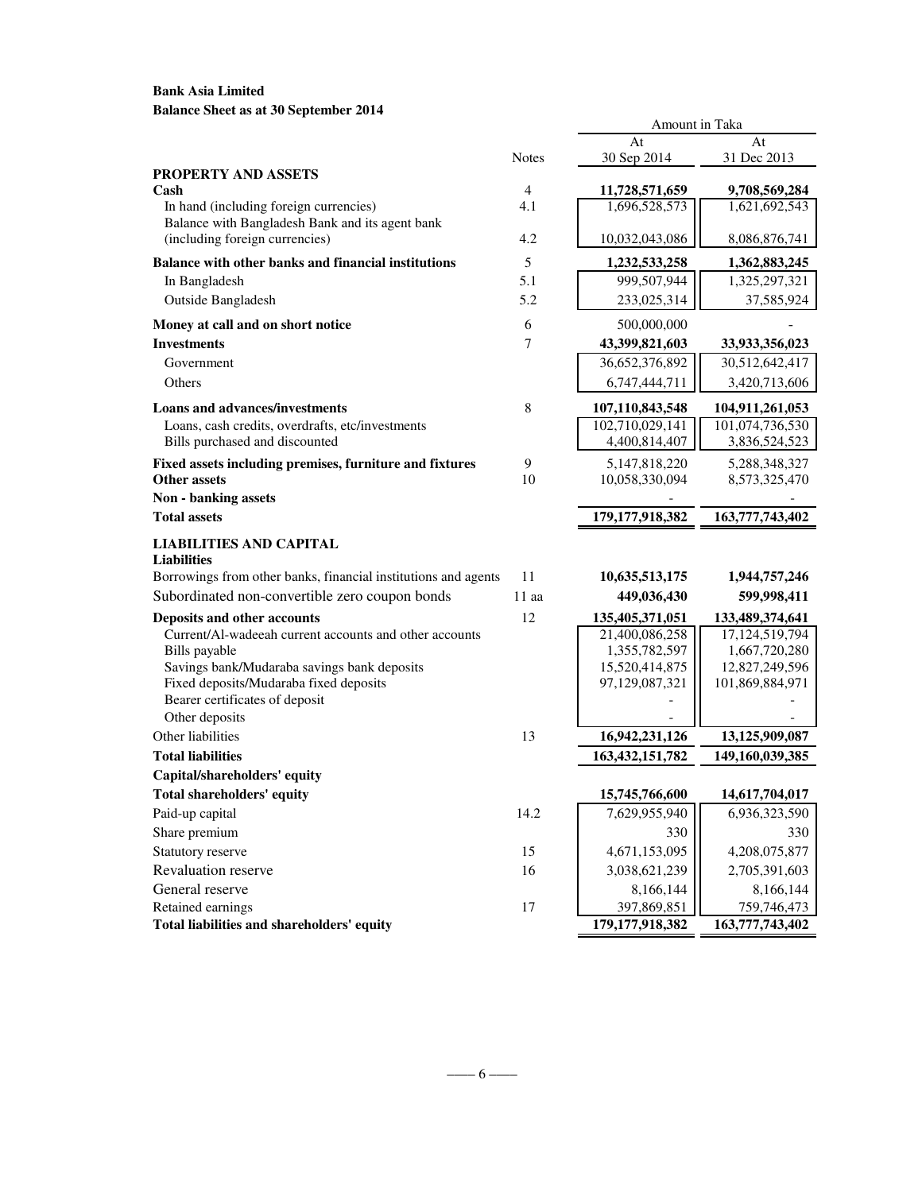# **Bank Asia Limited Balance Sheet as at 30 September 2014**

|                                                                          |                | At                 | At              |
|--------------------------------------------------------------------------|----------------|--------------------|-----------------|
|                                                                          | <b>Notes</b>   | 30 Sep 2014        | 31 Dec 2013     |
| <b>PROPERTY AND ASSETS</b>                                               |                |                    |                 |
| Cash                                                                     | $\overline{4}$ | 11,728,571,659     | 9,708,569,284   |
| In hand (including foreign currencies)                                   | 4.1            | 1,696,528,573      | 1,621,692,543   |
| Balance with Bangladesh Bank and its agent bank                          |                |                    |                 |
| (including foreign currencies)                                           | 4.2            | 10,032,043,086     | 8,086,876,741   |
| Balance with other banks and financial institutions                      | 5              | 1,232,533,258      | 1,362,883,245   |
| In Bangladesh                                                            | 5.1            | 999,507,944        | 1,325,297,321   |
| <b>Outside Bangladesh</b>                                                | 5.2            | 233,025,314        | 37,585,924      |
| Money at call and on short notice                                        | 6              | 500,000,000        |                 |
| <b>Investments</b>                                                       | 7              | 43,399,821,603     | 33,933,356,023  |
| Government                                                               |                | 36,652,376,892     | 30,512,642,417  |
| Others                                                                   |                | 6,747,444,711      | 3,420,713,606   |
| <b>Loans and advances/investments</b>                                    | $\,8\,$        | 107,110,843,548    | 104,911,261,053 |
| Loans, cash credits, overdrafts, etc/investments                         |                | 102,710,029,141    | 101,074,736,530 |
| Bills purchased and discounted                                           |                | 4,400,814,407      | 3,836,524,523   |
| Fixed assets including premises, furniture and fixtures                  | 9              | 5, 147, 818, 220   | 5,288,348,327   |
| <b>Other assets</b>                                                      | 10             | 10,058,330,094     | 8,573,325,470   |
| Non - banking assets                                                     |                |                    |                 |
| <b>Total assets</b>                                                      |                | 179, 177, 918, 382 | 163,777,743,402 |
| <b>LIABILITIES AND CAPITAL</b>                                           |                |                    |                 |
| <b>Liabilities</b>                                                       |                |                    |                 |
| Borrowings from other banks, financial institutions and agents           | 11             | 10,635,513,175     | 1,944,757,246   |
| Subordinated non-convertible zero coupon bonds                           | $11$ aa        | 449,036,430        | 599,998,411     |
| Deposits and other accounts                                              | 12             | 135,405,371,051    | 133,489,374,641 |
| Current/Al-wadeeah current accounts and other accounts                   |                | 21,400,086,258     | 17,124,519,794  |
| Bills payable                                                            |                | 1,355,782,597      | 1,667,720,280   |
| Savings bank/Mudaraba savings bank deposits                              |                | 15,520,414,875     | 12,827,249,596  |
| Fixed deposits/Mudaraba fixed deposits<br>Bearer certificates of deposit |                | 97,129,087,321     | 101,869,884,971 |
| Other deposits                                                           |                |                    |                 |
| Other liabilities                                                        | 13             | 16,942,231,126     | 13,125,909,087  |
| <b>Total liabilities</b>                                                 |                | 163, 432, 151, 782 | 149,160,039,385 |
| Capital/shareholders' equity                                             |                |                    |                 |
| <b>Total shareholders' equity</b>                                        |                | 15,745,766,600     | 14,617,704,017  |
| Paid-up capital                                                          | 14.2           | 7,629,955,940      | 6,936,323,590   |
| Share premium                                                            |                | 330                | 330             |
| Statutory reserve                                                        | 15             | 4,671,153,095      | 4,208,075,877   |
| Revaluation reserve                                                      | 16             | 3,038,621,239      | 2,705,391,603   |
| General reserve                                                          |                | 8,166,144          | 8,166,144       |
| Retained earnings                                                        | 17             | 397,869,851        | 759,746,473     |
| Total liabilities and shareholders' equity                               |                | 179, 177, 918, 382 | 163,777,743,402 |

Amount in Taka

 $-\frac{6-1}{2}$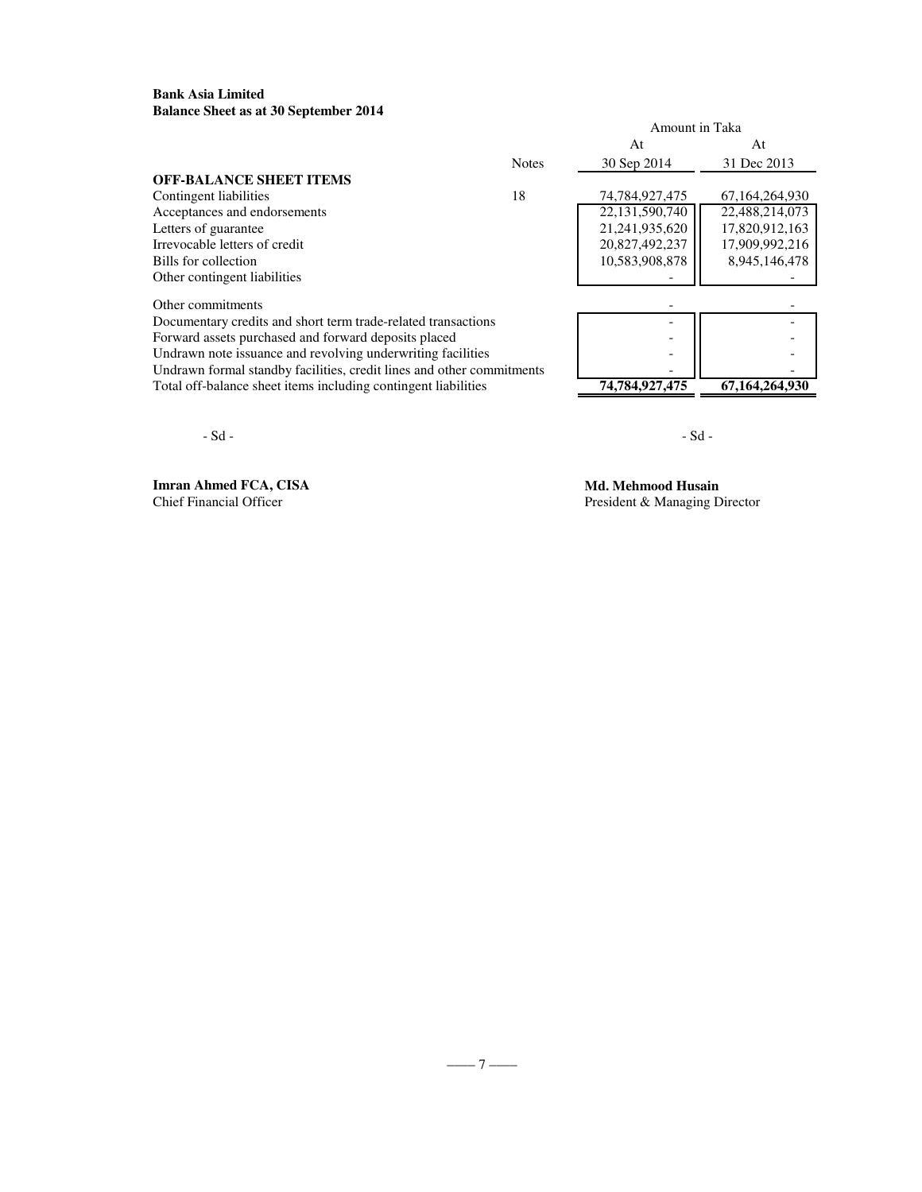### **Bank Asia Limited Balance Sheet as at 30 September 2014**

|                                                                       |              | Amount in Taka |                |
|-----------------------------------------------------------------------|--------------|----------------|----------------|
|                                                                       |              | At             | At             |
|                                                                       | <b>Notes</b> | 30 Sep 2014    | 31 Dec 2013    |
| <b>OFF-BALANCE SHEET ITEMS</b>                                        |              |                |                |
| Contingent liabilities                                                | 18           | 74.784.927.475 | 67.164.264.930 |
| Acceptances and endorsements                                          |              | 22,131,590,740 | 22,488,214,073 |
| Letters of guarantee                                                  |              | 21,241,935,620 | 17,820,912,163 |
| Irrevocable letters of credit                                         |              | 20,827,492,237 | 17,909,992,216 |
| Bills for collection                                                  |              | 10,583,908,878 | 8,945,146,478  |
| Other contingent liabilities                                          |              |                |                |
| Other commitments                                                     |              |                |                |
| Documentary credits and short term trade-related transactions         |              |                |                |
| Forward assets purchased and forward deposits placed                  |              |                |                |
| Undrawn note issuance and revolving underwriting facilities           |              |                |                |
| Undrawn formal standby facilities, credit lines and other commitments |              |                |                |
| Total off-balance sheet items including contingent liabilities        |              | 74,784,927,475 | 67,164,264,930 |

 $-Sd -$ 

**Imran Ahmed FCA, CISA Md. Mehmood Husain**<br>
Chief Financial Officer<br>
President & Managing D

President & Managing Director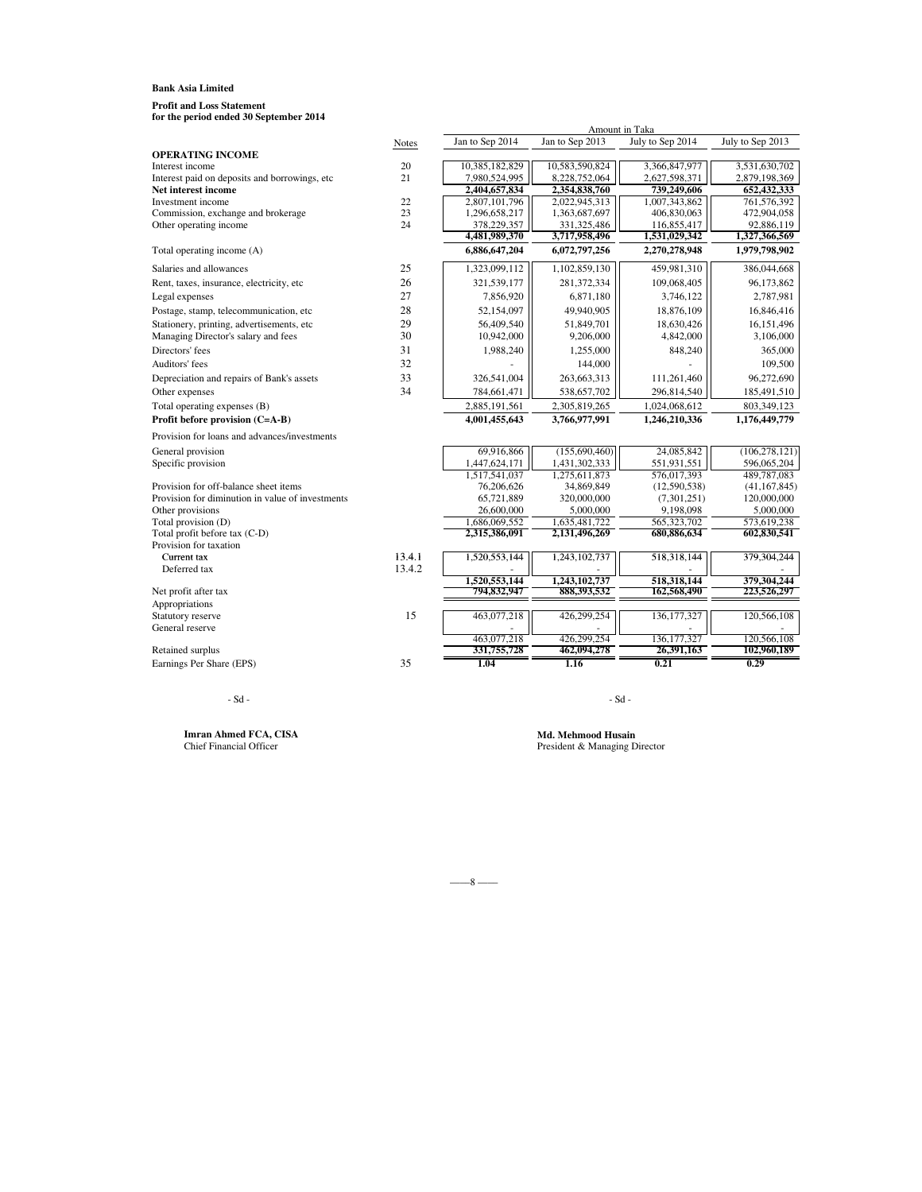**for the period ended 30 September 2014 Profit and Loss Statement**

| for the period ended 50 september 2014               |        |                                |                                | Amount in Taka             |                            |
|------------------------------------------------------|--------|--------------------------------|--------------------------------|----------------------------|----------------------------|
|                                                      | Notes  | Jan to Sep 2014                | Jan to Sep 2013                | July to Sep 2014           | July to Sep 2013           |
| <b>OPERATING INCOME</b>                              |        |                                |                                |                            |                            |
| Interest income                                      | 20     | 10,385,182,829                 | 10,583,590,824                 | 3,366,847,977              | 3,531,630,702              |
| Interest paid on deposits and borrowings, etc        | 21     | 7,980,524,995                  | 8,228,752,064                  | 2,627,598,371              | 2,879,198,369              |
| Net interest income                                  |        | 2,404,657,834                  | 2,354,838,760                  | 739,249,606                | 652,432,333                |
| Investment income                                    | 22     | 2,807,101,796                  | 2,022,945,313                  | 1,007,343,862              | 761,576,392                |
| Commission, exchange and brokerage                   | 23     | 1,296,658,217                  | 1,363,687,697                  | 406,830,063                | 472,904,058                |
| Other operating income                               | 24     | 378,229,357                    | 331,325,486                    | 116,855,417                | 92,886,119                 |
|                                                      |        | 4,481,989,370                  | 3,717,958,496                  | 1,531,029,342              | 1,327,366,569              |
| Total operating income (A)                           |        | 6,886,647,204                  | 6,072,797,256                  | 2,270,278,948              | 1,979,798,902              |
| Salaries and allowances                              | 25     | 1,323,099,112                  | 1,102,859,130                  | 459,981,310                | 386,044,668                |
| Rent, taxes, insurance, electricity, etc             | 26     | 321,539,177                    | 281, 372, 334                  | 109,068,405                | 96,173,862                 |
| Legal expenses                                       | 27     | 7,856,920                      | 6,871,180                      | 3,746,122                  | 2,787,981                  |
| Postage, stamp, telecommunication, etc               | 28     | 52,154,097                     | 49,940,905                     | 18,876,109                 | 16,846,416                 |
| Stationery, printing, advertisements, etc            | 29     | 56,409,540                     | 51,849,701                     | 18,630,426                 | 16,151,496                 |
| Managing Director's salary and fees                  | 30     | 10,942,000                     | 9,206,000                      | 4,842,000                  | 3,106,000                  |
| Directors' fees                                      | 31     | 1,988,240                      | 1,255,000                      | 848,240                    | 365,000                    |
| Auditors' fees                                       | 32     |                                | 144,000                        |                            | 109,500                    |
| Depreciation and repairs of Bank's assets            | 33     | 326,541,004                    | 263,663,313                    | 111,261,460                | 96,272,690                 |
| Other expenses                                       | 34     | 784,661,471                    | 538,657,702                    | 296,814,540                | 185,491,510                |
| Total operating expenses (B)                         |        | 2,885,191,561                  | 2,305,819,265                  | 1,024,068,612              | 803,349,123                |
| Profit before provision (C=A-B)                      |        | 4,001,455,643                  | 3,766,977,991                  | 1,246,210,336              | 1,176,449,779              |
| Provision for loans and advances/investments         |        |                                |                                |                            |                            |
| General provision                                    |        | 69,916,866                     | (155,690,460)                  | 24,085,842                 | (106, 278, 121)            |
| Specific provision                                   |        | 1,447,624,171                  | 1,431,302,333                  | 551,931,551                | 596,065,204                |
|                                                      |        | 1,517,541,037                  | 1,275,611,873                  | 576,017,393                | 489,787,083                |
| Provision for off-balance sheet items                |        | 76,206,626                     | 34,869,849                     | (12,590,538)               | (41, 167, 845)             |
| Provision for diminution in value of investments     |        | 65,721,889                     | 320,000,000                    | (7,301,251)                | 120,000,000                |
| Other provisions                                     |        | 26,600,000                     | 5,000,000                      | 9,198,098                  | 5,000,000                  |
| Total provision (D)<br>Total profit before tax (C-D) |        | 1,686,069,552<br>2,315,386,091 | 1,635,481,722<br>2,131,496,269 | 565,323,702<br>680,886,634 | 573,619,238<br>602,830,541 |
| Provision for taxation                               |        |                                |                                |                            |                            |
| Current tax                                          | 13.4.1 | 1,520,553,144                  | 1,243,102,737                  | 518,318,144                | 379,304,244                |
| Deferred tax                                         | 13.4.2 |                                |                                |                            |                            |
|                                                      |        | 1.520.553.144                  | 1.243.102.737                  | 518,318,144                | 379,304,244                |
| Net profit after tax                                 |        | 794,832,947                    | 888,393,532                    | 162,568,490                | 223,526,297                |
| Appropriations                                       |        |                                |                                |                            |                            |
| Statutory reserve                                    | 15     | 463,077,218                    | 426,299,254                    | 136, 177, 327              | 120,566,108                |
| General reserve                                      |        |                                |                                |                            |                            |
|                                                      |        | 463,077,218                    | 426.299.254<br>462,094,278     | 136, 177, 327              | 120,566,108                |
| <b>Retained surplus</b>                              | 35     | 331,755,728                    |                                | 26,391,163                 | 102,960,189                |
| Earnings Per Share (EPS)                             |        | 1.04                           | 1.16                           | 0.21                       | 0.29                       |

#### $-Sd -$

**Imran Ahmed FCA, CISA**<br>Chief Financial Officer

Md. Mehmood Husain<br>President & Managing Director

 $-8$  ––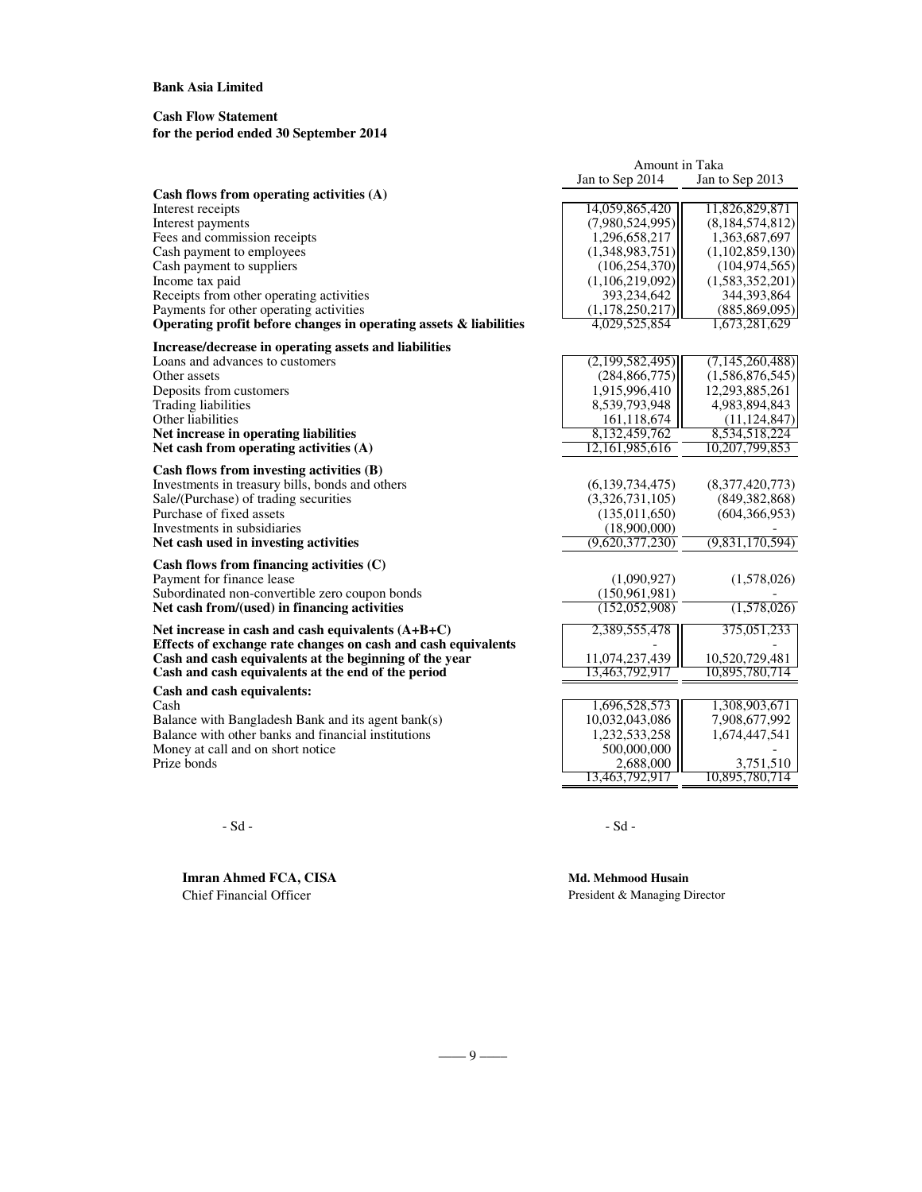## **Cash Flow Statement**

# **for the period ended 30 September 2014**

|                                                                   | Amount in Taka  |                    |
|-------------------------------------------------------------------|-----------------|--------------------|
|                                                                   | Jan to Sep 2014 | Jan to Sep 2013    |
| Cash flows from operating activities (A)                          |                 |                    |
| Interest receipts                                                 | 14,059,865,420  | 11,826,829,871     |
| Interest payments                                                 | (7,980,524,995) | (8,184,574,812)    |
| Fees and commission receipts                                      | 1,296,658,217   | 1,363,687,697      |
| Cash payment to employees                                         | (1,348,983,751) | (1,102,859,130)    |
| Cash payment to suppliers                                         | (106, 254, 370) | (104, 974, 565)    |
| Income tax paid                                                   | (1,106,219,092) | (1,583,352,201)    |
| Receipts from other operating activities                          | 393,234,642     | 344, 393, 864      |
| Payments for other operating activities                           | (1,178,250,217) | (885, 869, 095)    |
| Operating profit before changes in operating assets & liabilities | 4.029.525.854   | 1,673,281,629      |
| Increase/decrease in operating assets and liabilities             |                 |                    |
| Loans and advances to customers                                   | (2,199,582,495) | (7, 145, 260, 488) |
| Other assets                                                      | (284, 866, 775) | (1,586,876,545)    |
| Deposits from customers                                           | 1,915,996,410   | 12,293,885,261     |
| <b>Trading liabilities</b>                                        | 8,539,793,948   | 4,983,894,843      |
| Other liabilities                                                 | 161, 118, 674   | (11, 124, 847)     |
| Net increase in operating liabilities                             | 8,132,459,762   | 8,534,518,224      |
| Net cash from operating activities (A)                            | 12,161,985,616  | 10,207,799,853     |
| Cash flows from investing activities (B)                          |                 |                    |
| Investments in treasury bills, bonds and others                   | (6,139,734,475) | (8,377,420,773)    |
| Sale/(Purchase) of trading securities                             | (3,326,731,105) | (849, 382, 868)    |
| Purchase of fixed assets                                          | (135, 011, 650) | (604, 366, 953)    |
| Investments in subsidiaries                                       | (18,900,000)    |                    |
| Net cash used in investing activities                             | (9,620,377,230) | (9,831,170,594)    |
|                                                                   |                 |                    |
| Cash flows from financing activities $(C)$                        |                 |                    |
| Payment for finance lease                                         | (1,090,927)     | (1,578,026)        |
| Subordinated non-convertible zero coupon bonds                    | (150, 961, 981) |                    |
| Net cash from/(used) in financing activities                      | (152, 052, 908) | (1,578,026)        |
| Net increase in cash and cash equivalents $(A+B+C)$               | 2,389,555,478   | 375,051,233        |
| Effects of exchange rate changes on cash and cash equivalents     |                 |                    |
| Cash and cash equivalents at the beginning of the year            | 11,074,237,439  | 10,520,729,481     |
| Cash and cash equivalents at the end of the period                | 13,463,792,917  | 10,895,780,714     |
| Cash and cash equivalents:                                        |                 |                    |
| Cash                                                              | 1,696,528,573   | 1,308,903,671      |
| Balance with Bangladesh Bank and its agent bank(s)                | 10,032,043,086  | 7,908,677,992      |
| Balance with other banks and financial institutions               | 1,232,533,258   | 1,674,447,541      |
| Money at call and on short notice                                 | 500,000,000     |                    |
| Prize bonds                                                       | 2,688,000       | 3,751,510          |
|                                                                   | 13,463,792,917  | 10,895,780,714     |

 $-Sd - Sd -$ 

**Imran Ahmed FCA, CISA Md. Mehmood Husain**<br>Chief Financial Officer President & Managing D

President & Managing Director

(0.41) (0.41) (0.41) (0.41) (0.41) (0.41) (0.41) (0.41) (0.41) (0.41) (0.41) (0.41) (0.41) (0.41) (0.41) (0.41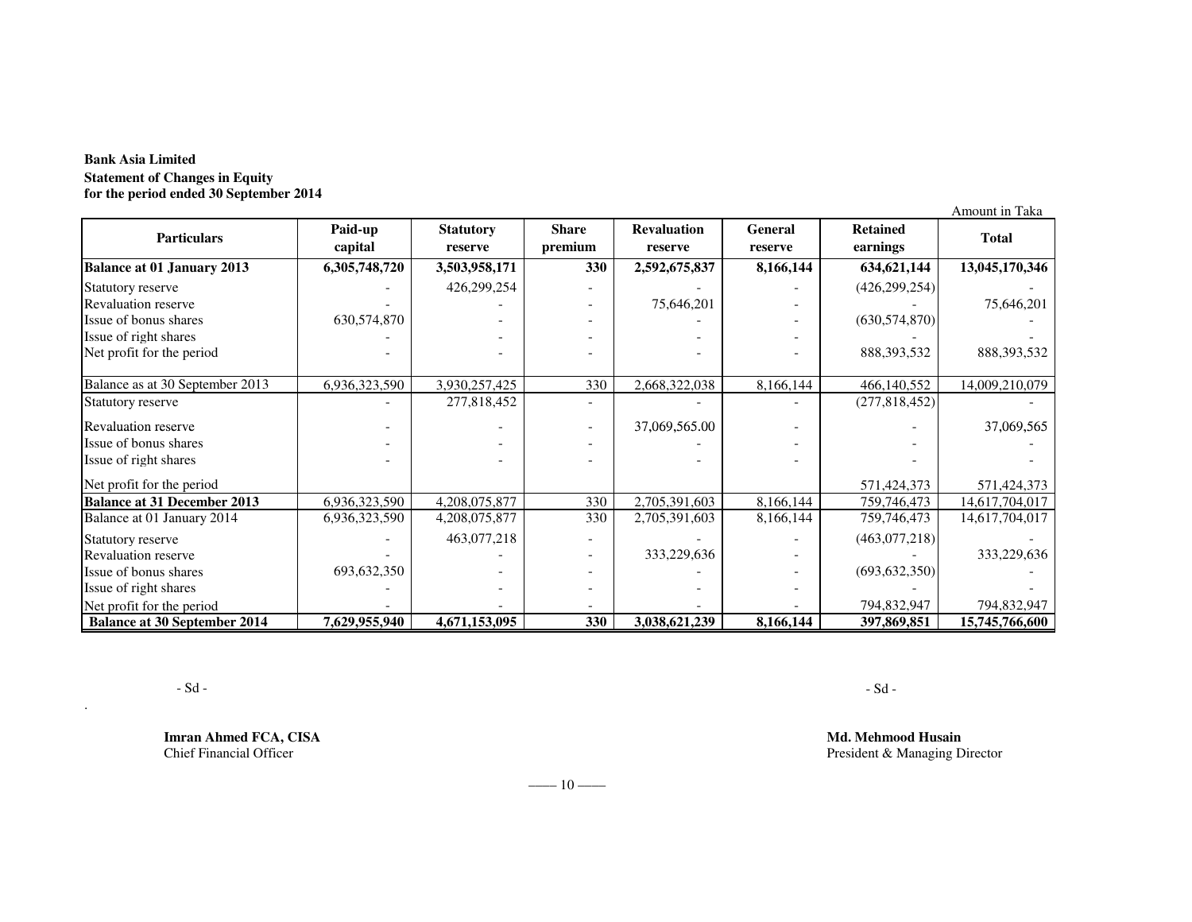# **Bank Asia Limited Statement of Changes in Equity for the period ended 30 September 2014**

|                                     |                    |                             |                         |                               |                    |                             | Amount in Taka |
|-------------------------------------|--------------------|-----------------------------|-------------------------|-------------------------------|--------------------|-----------------------------|----------------|
| <b>Particulars</b>                  | Paid-up<br>capital | <b>Statutory</b><br>reserve | <b>Share</b><br>premium | <b>Revaluation</b><br>reserve | General<br>reserve | <b>Retained</b><br>earnings | <b>Total</b>   |
| <b>Balance at 01 January 2013</b>   | 6,305,748,720      | 3,503,958,171               | 330                     | 2,592,675,837                 | 8,166,144          | 634, 621, 144               | 13,045,170,346 |
| Statutory reserve                   |                    | 426,299,254                 |                         |                               |                    | (426, 299, 254)             |                |
| <b>Revaluation reserve</b>          |                    |                             |                         | 75,646,201                    |                    |                             | 75,646,201     |
| Issue of bonus shares               | 630, 574, 870      |                             |                         |                               |                    | (630, 574, 870)             |                |
| Issue of right shares               |                    |                             |                         |                               |                    |                             |                |
| Net profit for the period           |                    |                             |                         |                               |                    | 888, 393, 532               | 888, 393, 532  |
| Balance as at 30 September 2013     | 6,936,323,590      | 3,930,257,425               | 330                     | 2,668,322,038                 | 8,166,144          | 466,140,552                 | 14,009,210,079 |
| Statutory reserve                   |                    | 277,818,452                 |                         |                               |                    | (277,818,452)               |                |
| <b>Revaluation reserve</b>          |                    |                             |                         | 37,069,565.00                 |                    |                             | 37,069,565     |
| Issue of bonus shares               |                    |                             |                         |                               |                    |                             |                |
| Issue of right shares               |                    |                             |                         |                               |                    |                             |                |
| Net profit for the period           |                    |                             |                         |                               |                    | 571,424,373                 | 571,424,373    |
| <b>Balance at 31 December 2013</b>  | 6,936,323,590      | 4,208,075,877               | 330                     | 2,705,391,603                 | 8,166,144          | 759,746,473                 | 14,617,704,017 |
| Balance at 01 January 2014          | 6,936,323,590      | 4,208,075,877               | 330                     | 2,705,391,603                 | 8,166,144          | 759,746,473                 | 14,617,704,017 |
| Statutory reserve                   |                    | 463,077,218                 |                         |                               |                    | (463,077,218)               |                |
| <b>Revaluation reserve</b>          |                    |                             |                         | 333,229,636                   |                    |                             | 333,229,636    |
| Issue of bonus shares               | 693, 632, 350      |                             |                         |                               |                    | (693, 632, 350)             |                |
| Issue of right shares               |                    |                             |                         |                               |                    |                             |                |
| Net profit for the period           |                    |                             |                         |                               |                    | 794,832,947                 | 794,832,947    |
| <b>Balance at 30 September 2014</b> | 7,629,955,940      | 4,671,153,095               | 330                     | 3,038,621,239                 | 8,166,144          | 397,869,851                 | 15,745,766,600 |

 $-Sd -$ 

.

**Imran Ahmed FCA, CISA**Chief Financial Officer

 **Md. Mehmood Husain** President & Managing Director

 $-\frac{10}{-}$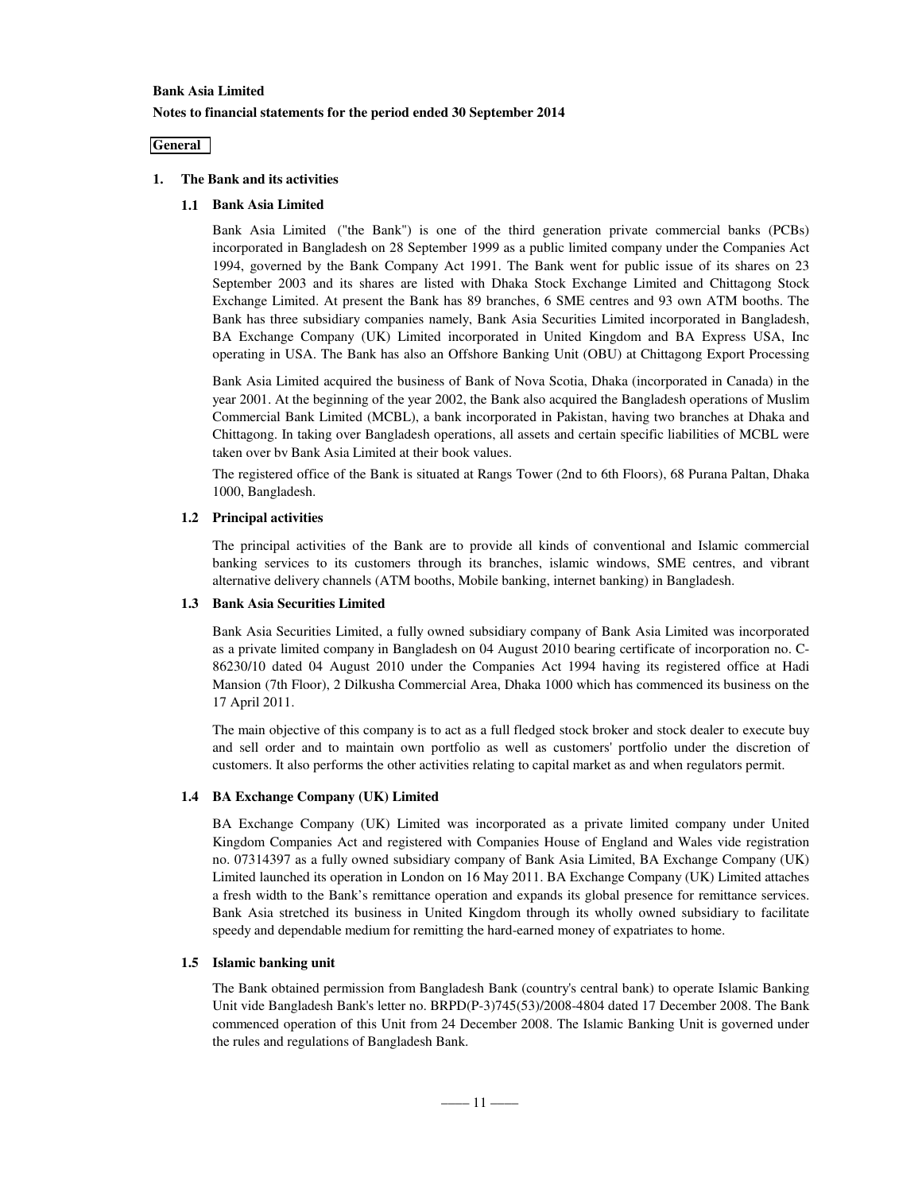## **Bank Asia Limited Notes to financial statements for the period ended 30 September 2014**

### **General**

### **1. The Bank and its activities**

### **1.1 Bank Asia Limited**

Bank Asia Limited ("the Bank") is one of the third generation private commercial banks (PCBs) incorporated in Bangladesh on 28 September 1999 as a public limited company under the Companies Act 1994, governed by the Bank Company Act 1991. The Bank went for public issue of its shares on 23 September 2003 and its shares are listed with Dhaka Stock Exchange Limited and Chittagong Stock Exchange Limited. At present the Bank has 89 branches, 6 SME centres and 93 own ATM booths. The Bank has three subsidiary companies namely, Bank Asia Securities Limited incorporated in Bangladesh, BA Exchange Company (UK) Limited incorporated in United Kingdom and BA Express USA, Inc operating in USA. The Bank has also an Offshore Banking Unit (OBU) at Chittagong Export Processing

Bank Asia Limited acquired the business of Bank of Nova Scotia, Dhaka (incorporated in Canada) in the year 2001. At the beginning of the year 2002, the Bank also acquired the Bangladesh operations of Muslim Commercial Bank Limited (MCBL), a bank incorporated in Pakistan, having two branches at Dhaka and Chittagong. In taking over Bangladesh operations, all assets and certain specific liabilities of MCBL were taken over by Bank Asia Limited at their book values.

The registered office of the Bank is situated at Rangs Tower (2nd to 6th Floors), 68 Purana Paltan, Dhaka 1000, Bangladesh.

### **1.2 Principal activities**

The principal activities of the Bank are to provide all kinds of conventional and Islamic commercial banking services to its customers through its branches, islamic windows, SME centres, and vibrant alternative delivery channels (ATM booths, Mobile banking, internet banking) in Bangladesh.

### **1.3 Bank Asia Securities Limited**

Bank Asia Securities Limited, a fully owned subsidiary company of Bank Asia Limited was incorporated as a private limited company in Bangladesh on 04 August 2010 bearing certificate of incorporation no. C-86230/10 dated 04 August 2010 under the Companies Act 1994 having its registered office at Hadi Mansion (7th Floor), 2 Dilkusha Commercial Area, Dhaka 1000 which has commenced its business on the 17 April 2011.

The main objective of this company is to act as a full fledged stock broker and stock dealer to execute buy and sell order and to maintain own portfolio as well as customers' portfolio under the discretion of customers. It also performs the other activities relating to capital market as and when regulators permit.

### **1.4 BA Exchange Company (UK) Limited**

BA Exchange Company (UK) Limited was incorporated as a private limited company under United Kingdom Companies Act and registered with Companies House of England and Wales vide registration no. 07314397 as a fully owned subsidiary company of Bank Asia Limited, BA Exchange Company (UK) Limited launched its operation in London on 16 May 2011. BA Exchange Company (UK) Limited attaches a fresh width to the Bank's remittance operation and expands its global presence for remittance services. Bank Asia stretched its business in United Kingdom through its wholly owned subsidiary to facilitate speedy and dependable medium for remitting the hard-earned money of expatriates to home.

### **1.5 Islamic banking unit**

The Bank obtained permission from Bangladesh Bank (country's central bank) to operate Islamic Banking Unit vide Bangladesh Bank's letter no. BRPD(P-3)745(53)/2008-4804 dated 17 December 2008. The Bank commenced operation of this Unit from 24 December 2008. The Islamic Banking Unit is governed under the rules and regulations of Bangladesh Bank.

 $-$ –––11 $-$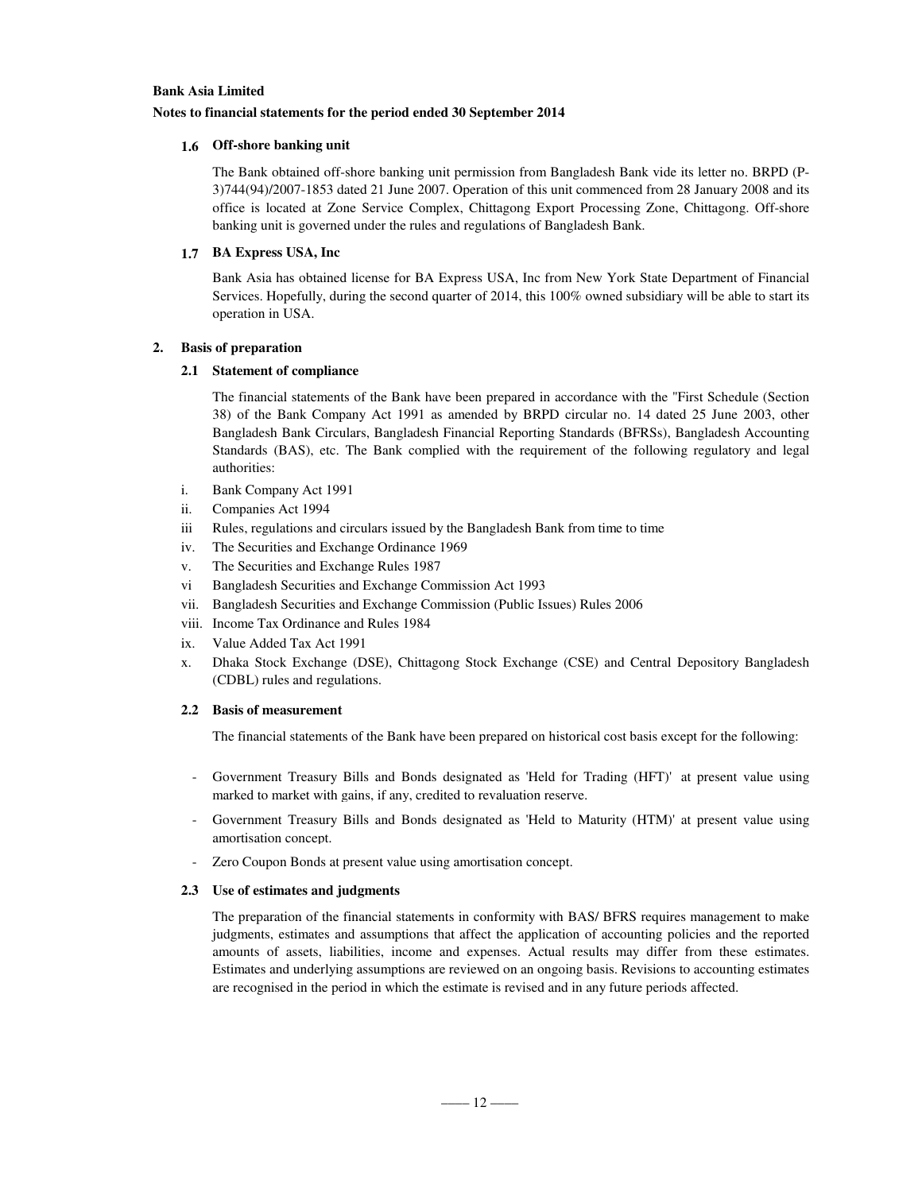#### **Notes to financial statements for the period ended 30 September 2014**

### **1.6 Off-shore banking unit**

The Bank obtained off-shore banking unit permission from Bangladesh Bank vide its letter no. BRPD (P-3)744(94)/2007-1853 dated 21 June 2007. Operation of this unit commenced from 28 January 2008 and its office is located at Zone Service Complex, Chittagong Export Processing Zone, Chittagong. Off-shore banking unit is governed under the rules and regulations of Bangladesh Bank.

### **1.7 BA Express USA, Inc**

Bank Asia has obtained license for BA Express USA, Inc from New York State Department of Financial Services. Hopefully, during the second quarter of 2014, this 100% owned subsidiary will be able to start its operation in USA.

### **2. Basis of preparation**

### **2.1 Statement of compliance**

The financial statements of the Bank have been prepared in accordance with the "First Schedule (Section 38) of the Bank Company Act 1991 as amended by BRPD circular no. 14 dated 25 June 2003, other Bangladesh Bank Circulars, Bangladesh Financial Reporting Standards (BFRSs), Bangladesh Accounting Standards (BAS), etc. The Bank complied with the requirement of the following regulatory and legal authorities:

- i. Bank Company Act 1991
- ii. Companies Act 1994
- iii Rules, regulations and circulars issued by the Bangladesh Bank from time to time
- iv. The Securities and Exchange Ordinance 1969
- v. The Securities and Exchange Rules 1987
- vi Bangladesh Securities and Exchange Commission Act 1993
- vii. Bangladesh Securities and Exchange Commission (Public Issues) Rules 2006
- viii. Income Tax Ordinance and Rules 1984
- ix. Value Added Tax Act 1991
- x. Dhaka Stock Exchange (DSE), Chittagong Stock Exchange (CSE) and Central Depository Bangladesh (CDBL) rules and regulations.

### **2.2 Basis of measurement**

The financial statements of the Bank have been prepared on historical cost basis except for the following:

- Government Treasury Bills and Bonds designated as 'Held for Trading (HFT)' at present value using marked to market with gains, if any, credited to revaluation reserve.
- Government Treasury Bills and Bonds designated as 'Held to Maturity (HTM)' at present value using amortisation concept.
- Zero Coupon Bonds at present value using amortisation concept.

### **2.3 Use of estimates and judgments**

The preparation of the financial statements in conformity with BAS/ BFRS requires management to make judgments, estimates and assumptions that affect the application of accounting policies and the reported amounts of assets, liabilities, income and expenses. Actual results may differ from these estimates. Estimates and underlying assumptions are reviewed on an ongoing basis. Revisions to accounting estimates are recognised in the period in which the estimate is revised and in any future periods affected.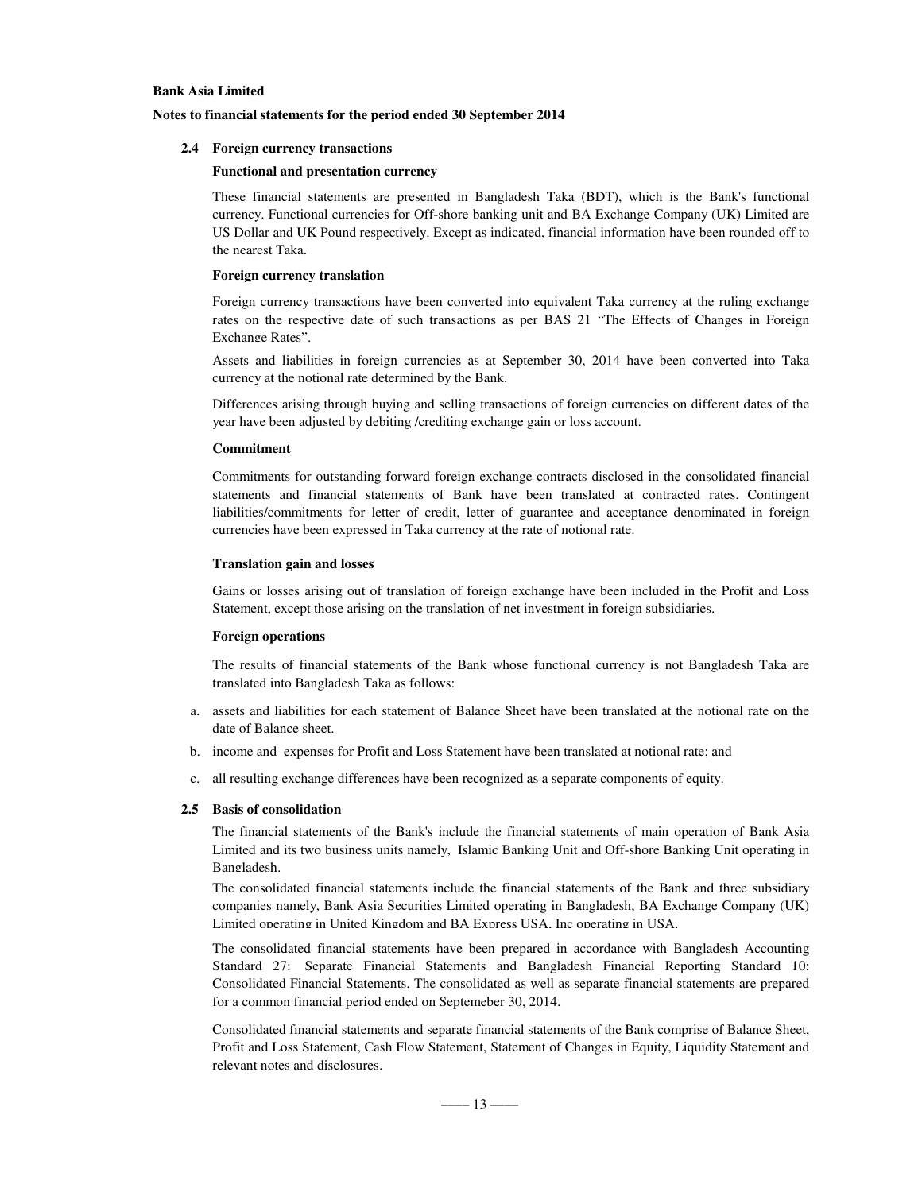### **Notes to financial statements for the period ended 30 September 2014**

### **2.4 Foreign currency transactions**

#### **Functional and presentation currency**

These financial statements are presented in Bangladesh Taka (BDT), which is the Bank's functional currency. Functional currencies for Off-shore banking unit and BA Exchange Company (UK) Limited are US Dollar and UK Pound respectively. Except as indicated, financial information have been rounded off to the nearest Taka.

### **Foreign currency translation**

Foreign currency transactions have been converted into equivalent Taka currency at the ruling exchange rates on the respective date of such transactions as per BAS 21 "The Effects of Changes in Foreign Exchange Rates".

Assets and liabilities in foreign currencies as at September 30, 2014 have been converted into Taka currency at the notional rate determined by the Bank.

Differences arising through buying and selling transactions of foreign currencies on different dates of the year have been adjusted by debiting /crediting exchange gain or loss account.

### **Commitment**

Commitments for outstanding forward foreign exchange contracts disclosed in the consolidated financial statements and financial statements of Bank have been translated at contracted rates. Contingent liabilities/commitments for letter of credit, letter of guarantee and acceptance denominated in foreign currencies have been expressed in Taka currency at the rate of notional rate.

### **Translation gain and losses**

Gains or losses arising out of translation of foreign exchange have been included in the Profit and Loss Statement, except those arising on the translation of net investment in foreign subsidiaries.

### **Foreign operations**

The results of financial statements of the Bank whose functional currency is not Bangladesh Taka are translated into Bangladesh Taka as follows:

- a. assets and liabilities for each statement of Balance Sheet have been translated at the notional rate on the date of Balance sheet.
- b. income and expenses for Profit and Loss Statement have been translated at notional rate; and
- c. all resulting exchange differences have been recognized as a separate components of equity.

### **2.5 Basis of consolidation**

The financial statements of the Bank's include the financial statements of main operation of Bank Asia Limited and its two business units namely, Islamic Banking Unit and Off-shore Banking Unit operating in Bangladesh.

The consolidated financial statements include the financial statements of the Bank and three subsidiary companies namely, Bank Asia Securities Limited operating in Bangladesh, BA Exchange Company (UK) Limited operating in United Kingdom and BA Express USA, Inc operating in USA.

The consolidated financial statements have been prepared in accordance with Bangladesh Accounting Standard 27: Separate Financial Statements and Bangladesh Financial Reporting Standard 10: Consolidated Financial Statements. The consolidated as well as separate financial statements are prepared for a common financial period ended on Septemeber 30, 2014.

. Consolidated financial statements and separate financial statements of the Bank comprise of Balance Sheet, Profit and Loss Statement, Cash Flow Statement, Statement of Changes in Equity, Liquidity Statement and relevant notes and disclosures.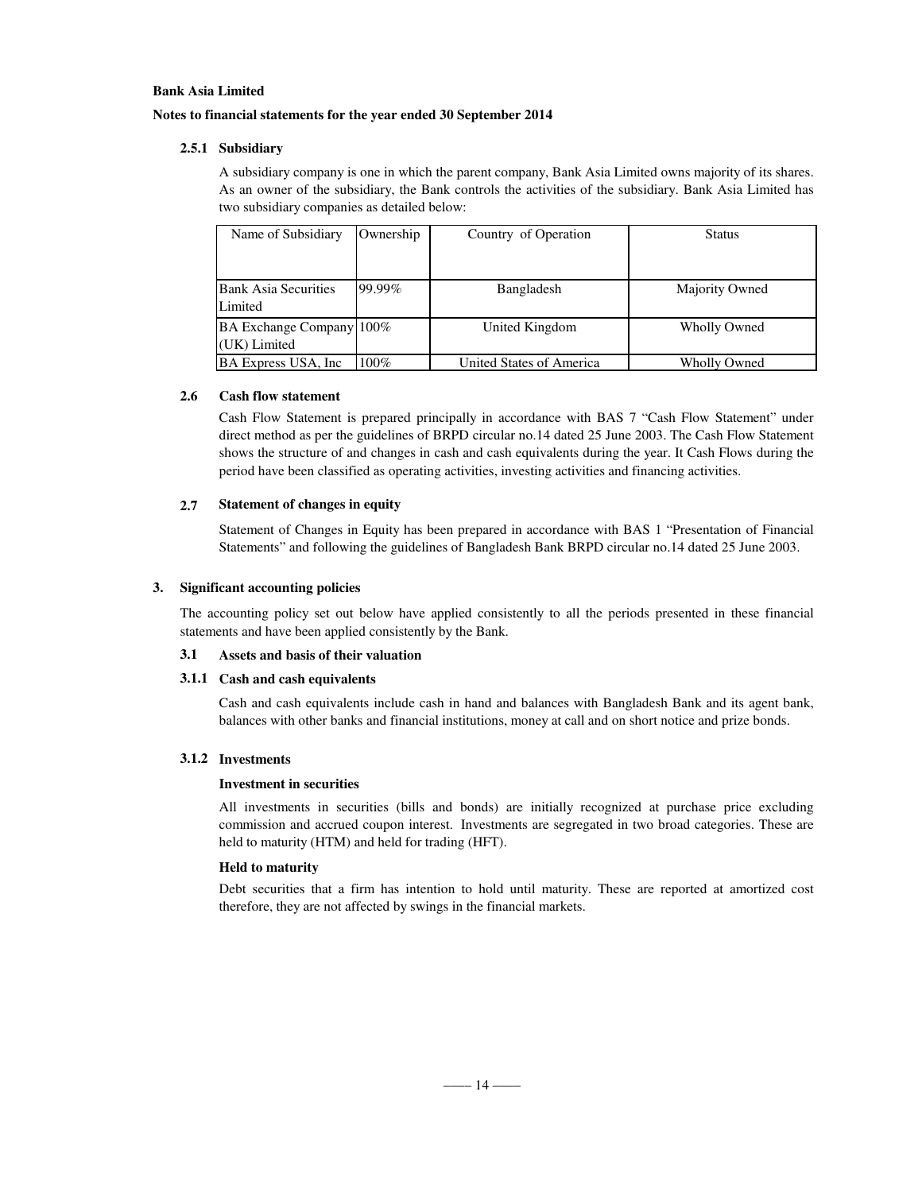### **Notes to financial statements for the year ended 30 September 2014**

### **2.5.1 Subsidiary**

A subsidiary company is one in which the parent company, Bank Asia Limited owns majority of its shares. As an owner of the subsidiary, the Bank controls the activities of the subsidiary. Bank Asia Limited has two subsidiary companies as detailed below:

| Name of Subsidiary                       | Ownership | Country of Operation     | <b>Status</b>  |
|------------------------------------------|-----------|--------------------------|----------------|
|                                          |           |                          |                |
| <b>Bank Asia Securities</b><br>Limited   | 99.99%    | Bangladesh               | Majority Owned |
| BA Exchange Company 100%<br>(UK) Limited |           | United Kingdom           | Wholly Owned   |
| BA Express USA, Inc.                     | $100\%$   | United States of America | Wholly Owned   |

### **2.6 Cash flow statement**

Cash Flow Statement is prepared principally in accordance with BAS 7 "Cash Flow Statement" under direct method as per the guidelines of BRPD circular no.14 dated 25 June 2003. The Cash Flow Statement shows the structure of and changes in cash and cash equivalents during the year. It Cash Flows during the period have been classified as operating activities, investing activities and financing activities.

### **2.7 Statement of changes in equity**

Statement of Changes in Equity has been prepared in accordance with BAS 1 "Presentation of Financial Statements" and following the guidelines of Bangladesh Bank BRPD circular no.14 dated 25 June 2003.

### **3. Significant accounting policies**

The accounting policy set out below have applied consistently to all the periods presented in these financial statements and have been applied consistently by the Bank.

### **3.1 Assets and basis of their valuation**

### **3.1.1 Cash and cash equivalents**

Cash and cash equivalents include cash in hand and balances with Bangladesh Bank and its agent bank, balances with other banks and financial institutions, money at call and on short notice and prize bonds.

### **3.1.2 Investments**

### **Investment in securities**

All investments in securities (bills and bonds) are initially recognized at purchase price excluding commission and accrued coupon interest. Investments are segregated in two broad categories. These are held to maturity (HTM) and held for trading (HFT).

### **Held to maturity**

Debt securities that a firm has intention to hold until maturity. These are reported at amortized cost therefore, they are not affected by swings in the financial markets.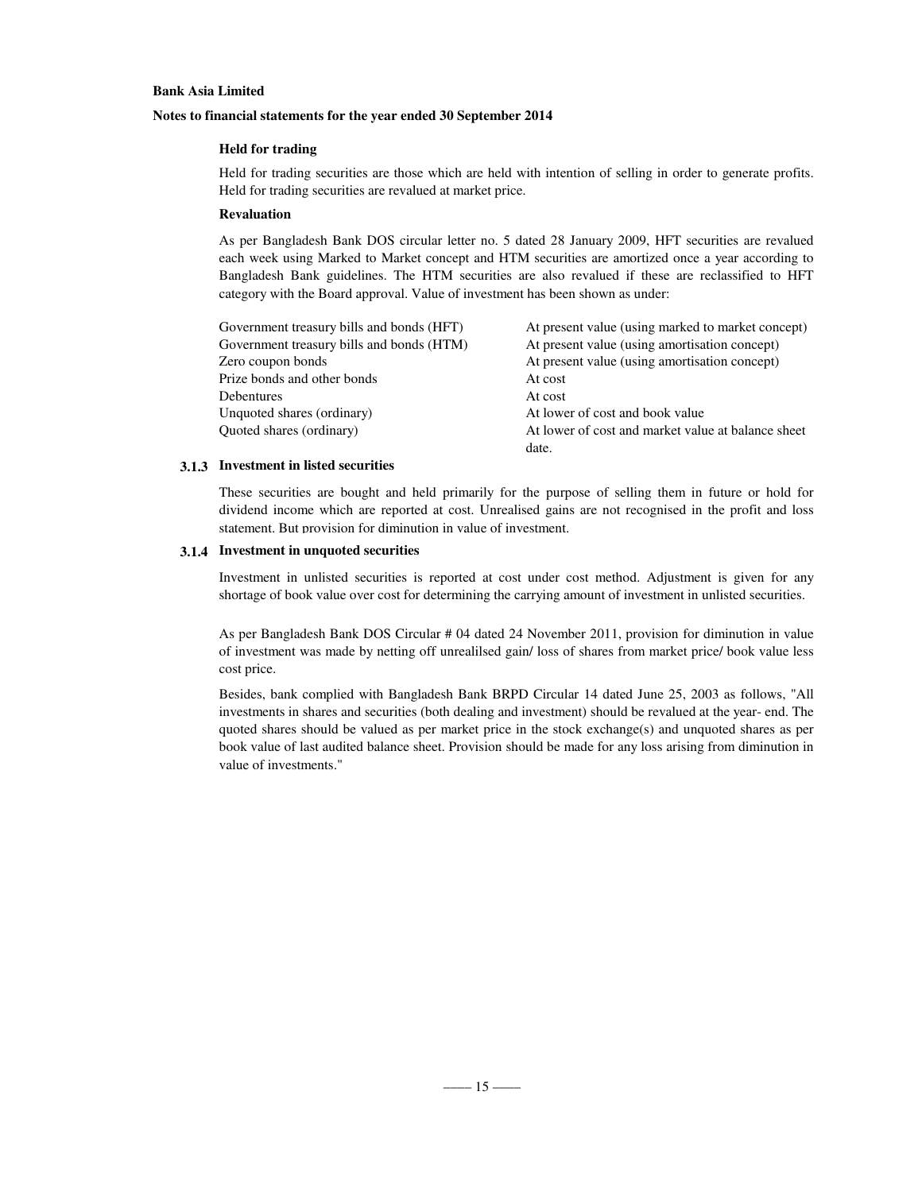### **Notes to financial statements for the year ended 30 September 2014**

### **Held for trading**

Held for trading securities are those which are held with intention of selling in order to generate profits. Held for trading securities are revalued at market price.

### **Revaluation**

As per Bangladesh Bank DOS circular letter no. 5 dated 28 January 2009, HFT securities are revalued each week using Marked to Market concept and HTM securities are amortized once a year according to Bangladesh Bank guidelines. The HTM securities are also revalued if these are reclassified to HFT category with the Board approval. Value of investment has been shown as under:

| Government treasury bills and bonds (HFT) | At present value (using marked to market concept)  |
|-------------------------------------------|----------------------------------------------------|
| Government treasury bills and bonds (HTM) | At present value (using amortisation concept)      |
| Zero coupon bonds                         | At present value (using amortisation concept)      |
| Prize bonds and other bonds               | At cost                                            |
| <b>Debentures</b>                         | At cost                                            |
| Unquoted shares (ordinary)                | At lower of cost and book value                    |
| Quoted shares (ordinary)                  | At lower of cost and market value at balance sheet |
|                                           | date.                                              |

### **3.1.3 Investment in listed securities**

These securities are bought and held primarily for the purpose of selling them in future or hold for dividend income which are reported at cost. Unrealised gains are not recognised in the profit and loss statement. But provision for diminution in value of investment.

### **3.1.4 Investment in unquoted securities**

Investment in unlisted securities is reported at cost under cost method. Adjustment is given for any shortage of book value over cost for determining the carrying amount of investment in unlisted securities.

As per Bangladesh Bank DOS Circular # 04 dated 24 November 2011, provision for diminution in value of investment was made by netting off unrealilsed gain/ loss of shares from market price/ book value less cost price.

Besides, bank complied with Bangladesh Bank BRPD Circular 14 dated June 25, 2003 as follows, "All investments in shares and securities (both dealing and investment) should be revalued at the year- end. The quoted shares should be valued as per market price in the stock exchange(s) and unquoted shares as per book value of last audited balance sheet. Provision should be made for any loss arising from diminution in value of investments."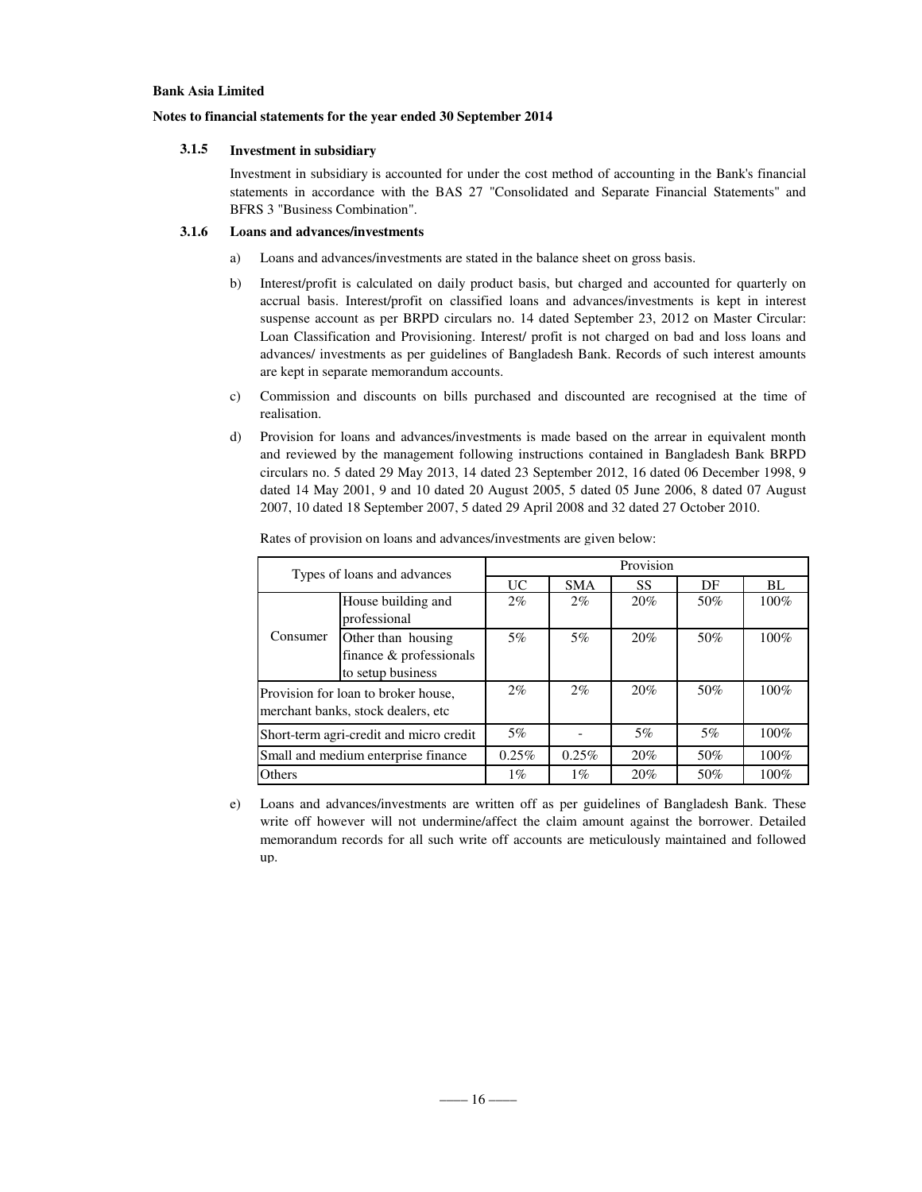### **Notes to financial statements for the year ended 30 September 2014**

### **3.1.5 Investment in subsidiary**

Investment in subsidiary is accounted for under the cost method of accounting in the Bank's financial statements in accordance with the BAS 27 "Consolidated and Separate Financial Statements" and BFRS 3 "Business Combination".

### **3.1.6 Loans and advances/investments**

- a) Loans and advances/investments are stated in the balance sheet on gross basis.
- b) Interest/profit is calculated on daily product basis, but charged and accounted for quarterly on accrual basis. Interest/profit on classified loans and advances/investments is kept in interest suspense account as per BRPD circulars no. 14 dated September 23, 2012 on Master Circular: Loan Classification and Provisioning. Interest/ profit is not charged on bad and loss loans and advances/ investments as per guidelines of Bangladesh Bank. Records of such interest amounts are kept in separate memorandum accounts.
- c) Commission and discounts on bills purchased and discounted are recognised at the time of realisation.
- d) Provision for loans and advances/investments is made based on the arrear in equivalent month and reviewed by the management following instructions contained in Bangladesh Bank BRPD circulars no. 5 dated 29 May 2013, 14 dated 23 September 2012, 16 dated 06 December 1998, 9 dated 14 May 2001, 9 and 10 dated 20 August 2005, 5 dated 05 June 2006, 8 dated 07 August 2007, 10 dated 18 September 2007, 5 dated 29 April 2008 and 32 dated 27 October 2010.

| Types of loans and advances                                                |                                                                    | Provision |            |     |     |         |
|----------------------------------------------------------------------------|--------------------------------------------------------------------|-----------|------------|-----|-----|---------|
|                                                                            |                                                                    | <b>UC</b> | <b>SMA</b> | SS  | DF  | BL      |
|                                                                            | House building and<br>professional                                 | 2%        | 2%         | 20% | 50% | $100\%$ |
| Consumer                                                                   | Other than housing<br>finance & professionals<br>to setup business | 5%        | 5%         | 20% | 50% | 100%    |
| Provision for loan to broker house,<br>merchant banks, stock dealers, etc. |                                                                    | $2\%$     | $2\%$      | 20% | 50% | 100%    |
| Short-term agri-credit and micro credit                                    |                                                                    | $5\%$     |            | 5%  | 5%  | $100\%$ |
| Small and medium enterprise finance                                        |                                                                    | 0.25%     | 0.25%      | 20% | 50% | $100\%$ |
| Others                                                                     |                                                                    | $1\%$     | $1\%$      | 20% | 50% | $100\%$ |

Rates of provision on loans and advances/investments are given below:

e) Loans and advances/investments are written off as per guidelines of Bangladesh Bank. These write off however will not undermine/affect the claim amount against the borrower. Detailed memorandum records for all such write off accounts are meticulously maintained and followed up.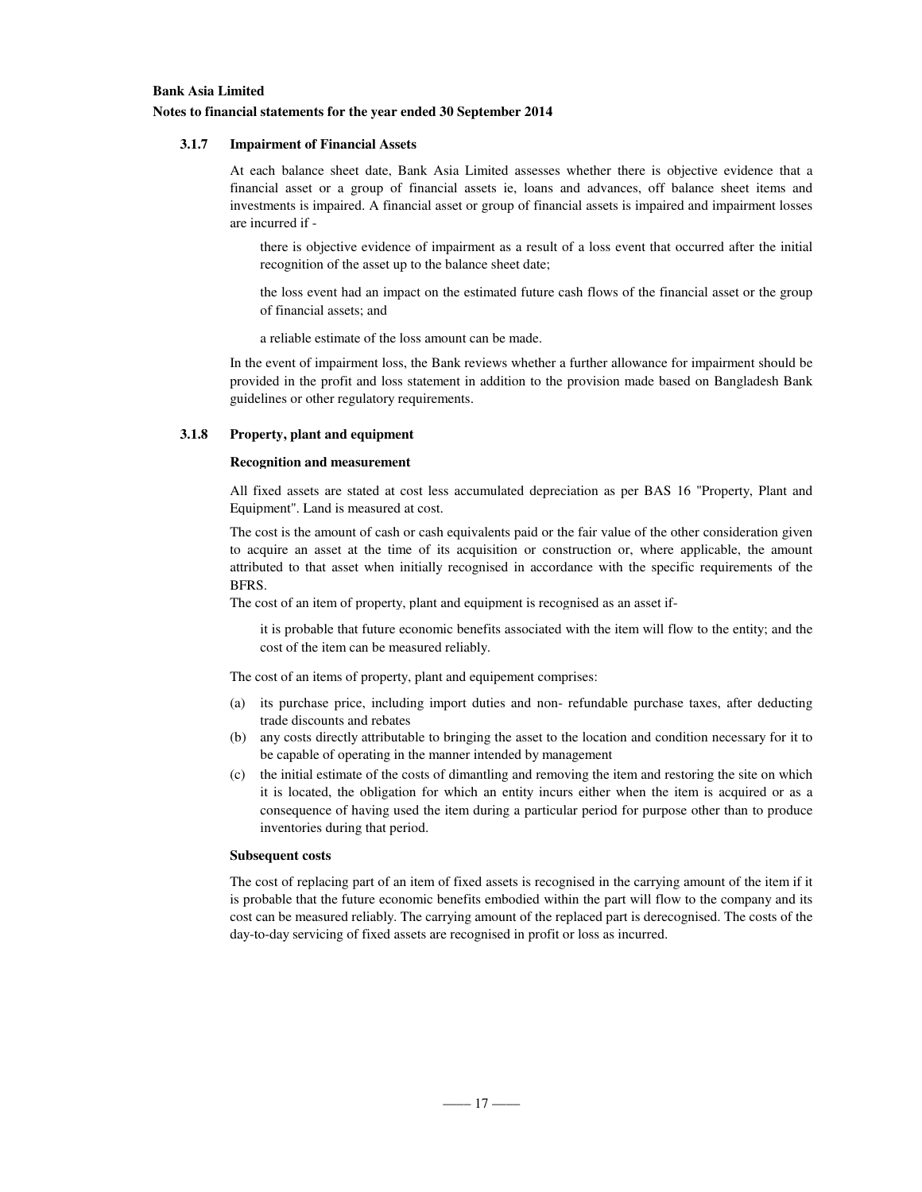### **Bank Asia Limited Notes to financial statements for the year ended 30 September 2014**

### **3.1.7 Impairment of Financial Assets**

At each balance sheet date, Bank Asia Limited assesses whether there is objective evidence that a financial asset or a group of financial assets ie, loans and advances, off balance sheet items and investments is impaired. A financial asset or group of financial assets is impaired and impairment losses are incurred if -

there is objective evidence of impairment as a result of a loss event that occurred after the initial recognition of the asset up to the balance sheet date;

the loss event had an impact on the estimated future cash flows of the financial asset or the group of financial assets; and

a reliable estimate of the loss amount can be made.

In the event of impairment loss, the Bank reviews whether a further allowance for impairment should be provided in the profit and loss statement in addition to the provision made based on Bangladesh Bank guidelines or other regulatory requirements.

### **3.1.8 Property, plant and equipment**

#### **Recognition and measurement**

All fixed assets are stated at cost less accumulated depreciation as per BAS 16 "Property, Plant and Equipment". Land is measured at cost.

The cost is the amount of cash or cash equivalents paid or the fair value of the other consideration given to acquire an asset at the time of its acquisition or construction or, where applicable, the amount attributed to that asset when initially recognised in accordance with the specific requirements of the BFRS.

The cost of an item of property, plant and equipment is recognised as an asset if-

it is probable that future economic benefits associated with the item will flow to the entity; and the cost of the item can be measured reliably.

The cost of an items of property, plant and equipement comprises:

- (a) its purchase price, including import duties and non- refundable purchase taxes, after deducting trade discounts and rebates
- (b) any costs directly attributable to bringing the asset to the location and condition necessary for it to be capable of operating in the manner intended by management
- (c) the initial estimate of the costs of dimantling and removing the item and restoring the site on which it is located, the obligation for which an entity incurs either when the item is acquired or as a consequence of having used the item during a particular period for purpose other than to produce inventories during that period.

#### **Subsequent costs**

The cost of replacing part of an item of fixed assets is recognised in the carrying amount of the item if it is probable that the future economic benefits embodied within the part will flow to the company and its cost can be measured reliably. The carrying amount of the replaced part is derecognised. The costs of the day-to-day servicing of fixed assets are recognised in profit or loss as incurred.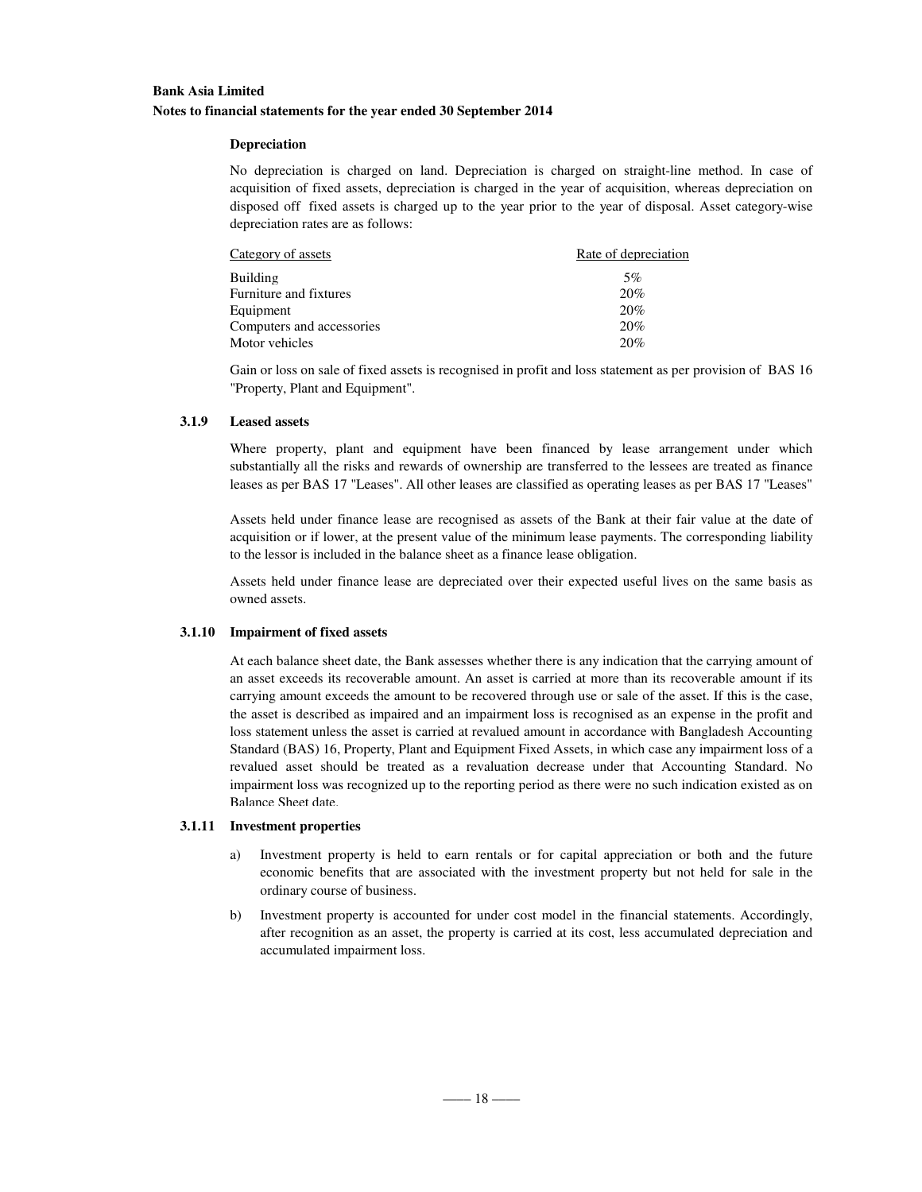### **Bank Asia Limited Notes to financial statements for the year ended 30 September 2014**

### **Depreciation**

No depreciation is charged on land. Depreciation is charged on straight-line method. In case of acquisition of fixed assets, depreciation is charged in the year of acquisition, whereas depreciation on disposed off fixed assets is charged up to the year prior to the year of disposal. Asset category-wise depreciation rates are as follows:

| Category of assets        | Rate of depreciation |
|---------------------------|----------------------|
| Building                  | 5%                   |
| Furniture and fixtures    | 20%                  |
| Equipment                 | 20%                  |
| Computers and accessories | 20%                  |
| Motor vehicles            | 20%                  |

Gain or loss on sale of fixed assets is recognised in profit and loss statement as per provision of BAS 16 "Property, Plant and Equipment".

### **3.1.9 Leased assets**

Where property, plant and equipment have been financed by lease arrangement under which substantially all the risks and rewards of ownership are transferred to the lessees are treated as finance leases as per BAS 17 "Leases". All other leases are classified as operating leases as per BAS 17 "Leases"

Assets held under finance lease are recognised as assets of the Bank at their fair value at the date of acquisition or if lower, at the present value of the minimum lease payments. The corresponding liability to the lessor is included in the balance sheet as a finance lease obligation.

Assets held under finance lease are depreciated over their expected useful lives on the same basis as owned assets.

### **3.1.10 Impairment of fixed assets**

At each balance sheet date, the Bank assesses whether there is any indication that the carrying amount of an asset exceeds its recoverable amount. An asset is carried at more than its recoverable amount if its carrying amount exceeds the amount to be recovered through use or sale of the asset. If this is the case, the asset is described as impaired and an impairment loss is recognised as an expense in the profit and loss statement unless the asset is carried at revalued amount in accordance with Bangladesh Accounting Standard (BAS) 16, Property, Plant and Equipment Fixed Assets, in which case any impairment loss of a revalued asset should be treated as a revaluation decrease under that Accounting Standard. No impairment loss was recognized up to the reporting period as there were no such indication existed as on Balance Sheet date.

### **3.1.11 Investment properties**

- a) Investment property is held to earn rentals or for capital appreciation or both and the future economic benefits that are associated with the investment property but not held for sale in the ordinary course of business.
- b) Investment property is accounted for under cost model in the financial statements. Accordingly, after recognition as an asset, the property is carried at its cost, less accumulated depreciation and accumulated impairment loss.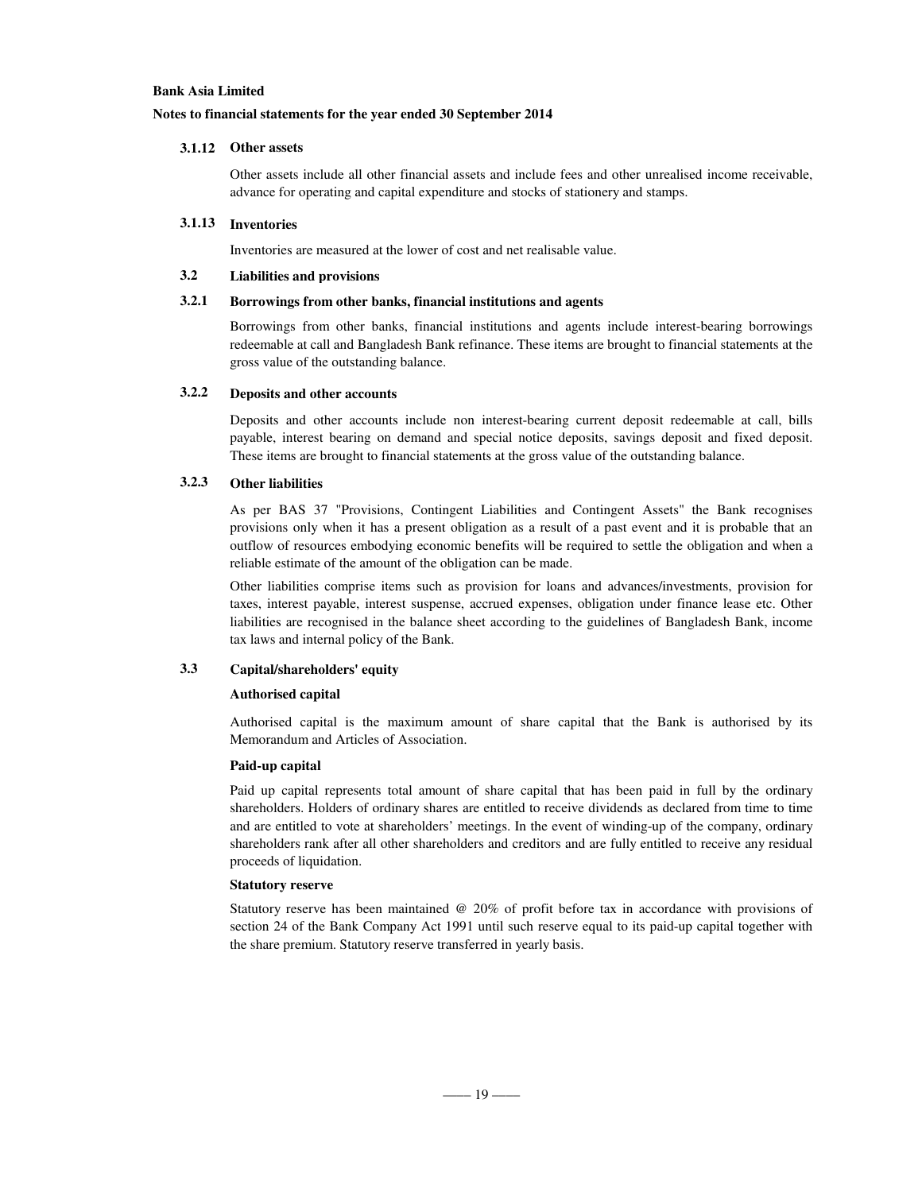### **Notes to financial statements for the year ended 30 September 2014**

### **3.1.12 Other assets**

Other assets include all other financial assets and include fees and other unrealised income receivable, advance for operating and capital expenditure and stocks of stationery and stamps.

### **3.1.13 Inventories**

Inventories are measured at the lower of cost and net realisable value.

### **3.2 Liabilities and provisions**

### **3.2.1 Borrowings from other banks, financial institutions and agents**

Borrowings from other banks, financial institutions and agents include interest-bearing borrowings redeemable at call and Bangladesh Bank refinance. These items are brought to financial statements at the gross value of the outstanding balance.

### **3.2.2 Deposits and other accounts**

Deposits and other accounts include non interest-bearing current deposit redeemable at call, bills payable, interest bearing on demand and special notice deposits, savings deposit and fixed deposit. These items are brought to financial statements at the gross value of the outstanding balance.

### **3.2.3 Other liabilities**

As per BAS 37 "Provisions, Contingent Liabilities and Contingent Assets" the Bank recognises provisions only when it has a present obligation as a result of a past event and it is probable that an outflow of resources embodying economic benefits will be required to settle the obligation and when a reliable estimate of the amount of the obligation can be made.

Other liabilities comprise items such as provision for loans and advances/investments, provision for taxes, interest payable, interest suspense, accrued expenses, obligation under finance lease etc. Other liabilities are recognised in the balance sheet according to the guidelines of Bangladesh Bank, income tax laws and internal policy of the Bank.

### **3.3 Capital/shareholders' equity**

#### **Authorised capital**

Authorised capital is the maximum amount of share capital that the Bank is authorised by its Memorandum and Articles of Association.

### **Paid-up capital**

Paid up capital represents total amount of share capital that has been paid in full by the ordinary shareholders. Holders of ordinary shares are entitled to receive dividends as declared from time to time and are entitled to vote at shareholders' meetings. In the event of winding-up of the company, ordinary shareholders rank after all other shareholders and creditors and are fully entitled to receive any residual proceeds of liquidation.

#### **Statutory reserve**

Statutory reserve has been maintained @ 20% of profit before tax in accordance with provisions of section 24 of the Bank Company Act 1991 until such reserve equal to its paid-up capital together with the share premium. Statutory reserve transferred in yearly basis.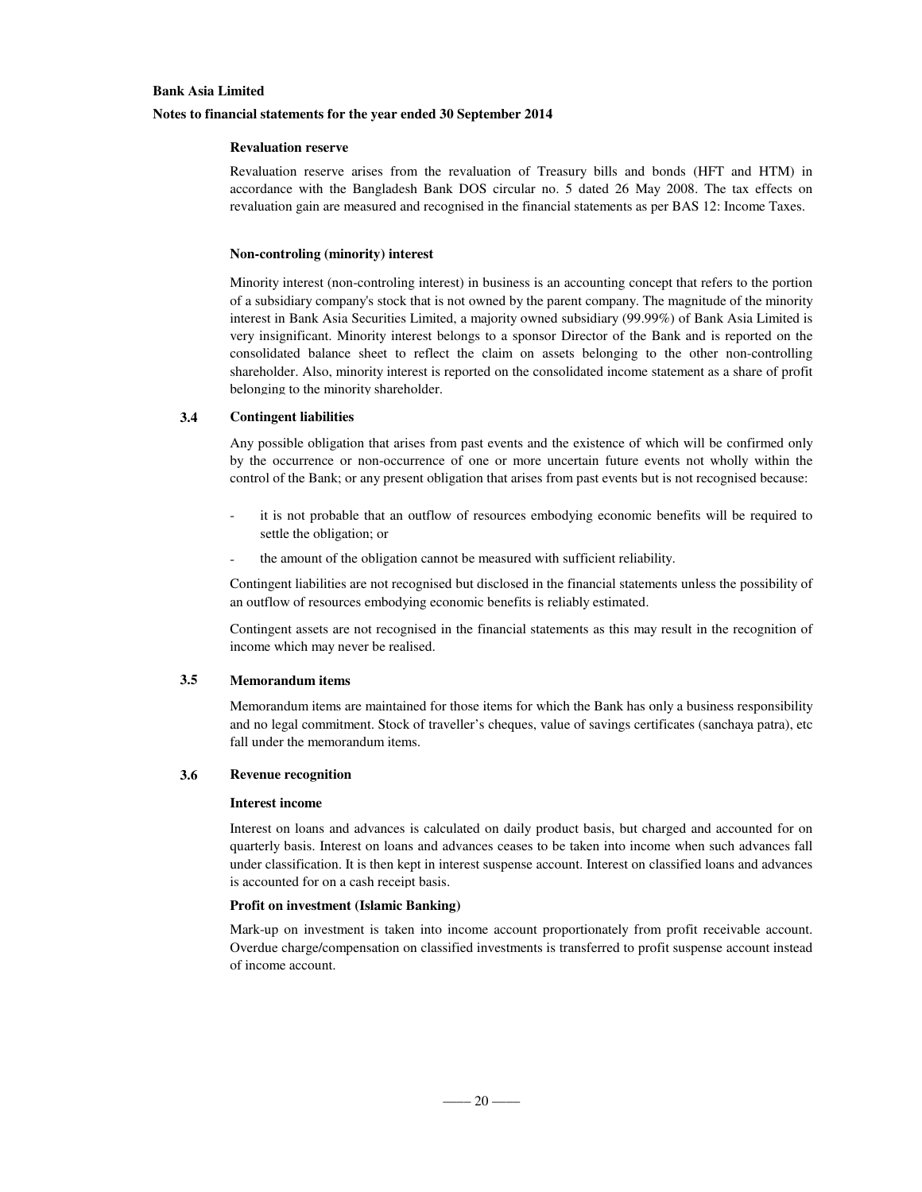### **Notes to financial statements for the year ended 30 September 2014**

### **Revaluation reserve**

Revaluation reserve arises from the revaluation of Treasury bills and bonds (HFT and HTM) in accordance with the Bangladesh Bank DOS circular no. 5 dated 26 May 2008. The tax effects on revaluation gain are measured and recognised in the financial statements as per BAS 12: Income Taxes.

#### **Non-controling (minority) interest**

Minority interest (non-controling interest) in business is an accounting concept that refers to the portion of a subsidiary company's stock that is not owned by the parent company. The magnitude of the minority interest in Bank Asia Securities Limited, a majority owned subsidiary (99.99%) of Bank Asia Limited is very insignificant. Minority interest belongs to a sponsor Director of the Bank and is reported on the consolidated balance sheet to reflect the claim on assets belonging to the other non-controlling shareholder. Also, minority interest is reported on the consolidated income statement as a share of profit belonging to the minority shareholder.

#### **3.4 Contingent liabilities**

Any possible obligation that arises from past events and the existence of which will be confirmed only by the occurrence or non-occurrence of one or more uncertain future events not wholly within the control of the Bank; or any present obligation that arises from past events but is not recognised because:

- it is not probable that an outflow of resources embodying economic benefits will be required to settle the obligation; or
- the amount of the obligation cannot be measured with sufficient reliability.

Contingent liabilities are not recognised but disclosed in the financial statements unless the possibility of an outflow of resources embodying economic benefits is reliably estimated.

Contingent assets are not recognised in the financial statements as this may result in the recognition of income which may never be realised.

### **3.5 Memorandum items**

Memorandum items are maintained for those items for which the Bank has only a business responsibility and no legal commitment. Stock of traveller's cheques, value of savings certificates (sanchaya patra), etc fall under the memorandum items.

### **3.6 Revenue recognition**

### **Interest income**

Interest on loans and advances is calculated on daily product basis, but charged and accounted for on quarterly basis. Interest on loans and advances ceases to be taken into income when such advances fall under classification. It is then kept in interest suspense account. Interest on classified loans and advances is accounted for on a cash receipt basis.

### **Profit on investment (Islamic Banking)**

Mark-up on investment is taken into income account proportionately from profit receivable account. Overdue charge/compensation on classified investments is transferred to profit suspense account instead of income account.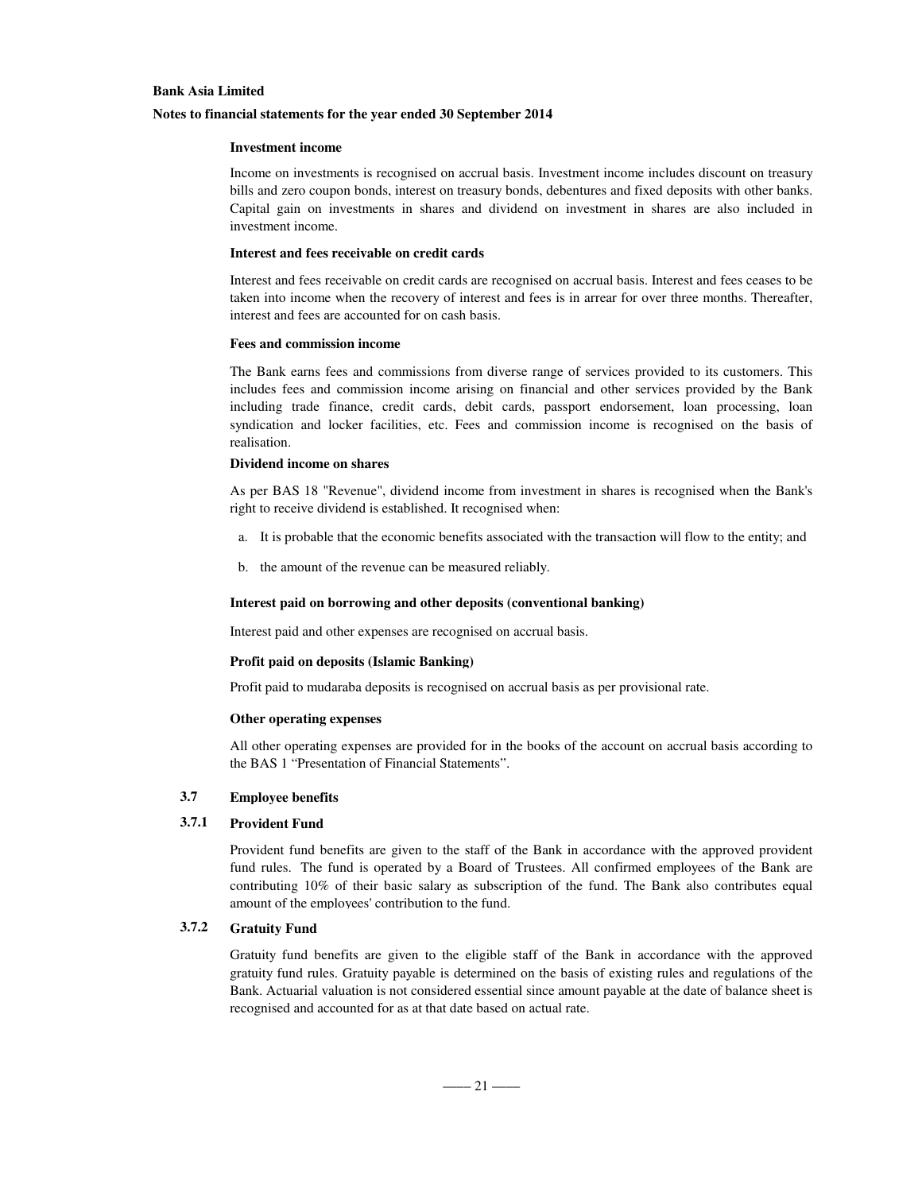### **Notes to financial statements for the year ended 30 September 2014**

### **Investment income**

Income on investments is recognised on accrual basis. Investment income includes discount on treasury bills and zero coupon bonds, interest on treasury bonds, debentures and fixed deposits with other banks. Capital gain on investments in shares and dividend on investment in shares are also included in investment income.

#### **Interest and fees receivable on credit cards**

Interest and fees receivable on credit cards are recognised on accrual basis. Interest and fees ceases to be taken into income when the recovery of interest and fees is in arrear for over three months. Thereafter, interest and fees are accounted for on cash basis.

#### **Fees and commission income**

The Bank earns fees and commissions from diverse range of services provided to its customers. This includes fees and commission income arising on financial and other services provided by the Bank including trade finance, credit cards, debit cards, passport endorsement, loan processing, loan syndication and locker facilities, etc. Fees and commission income is recognised on the basis of realisation.

### **Dividend income on shares**

As per BAS 18 "Revenue", dividend income from investment in shares is recognised when the Bank's right to receive dividend is established. It recognised when:

- a. It is probable that the economic benefits associated with the transaction will flow to the entity; and
- b. the amount of the revenue can be measured reliably.

### **Interest paid on borrowing and other deposits (conventional banking)**

Interest paid and other expenses are recognised on accrual basis.

### **Profit paid on deposits (Islamic Banking)**

Profit paid to mudaraba deposits is recognised on accrual basis as per provisional rate.

### **Other operating expenses**

All other operating expenses are provided for in the books of the account on accrual basis according to the BAS 1 "Presentation of Financial Statements".

### **3.7 Employee benefits**

### **3.7.1 Provident Fund**

Provident fund benefits are given to the staff of the Bank in accordance with the approved provident fund rules. The fund is operated by a Board of Trustees. All confirmed employees of the Bank are contributing 10% of their basic salary as subscription of the fund. The Bank also contributes equal amount of the employees' contribution to the fund.

### **3.7.2 Gratuity Fund**

Gratuity fund benefits are given to the eligible staff of the Bank in accordance with the approved gratuity fund rules. Gratuity payable is determined on the basis of existing rules and regulations of the Bank. Actuarial valuation is not considered essential since amount payable at the date of balance sheet is recognised and accounted for as at that date based on actual rate.

 $-$ ––21 ––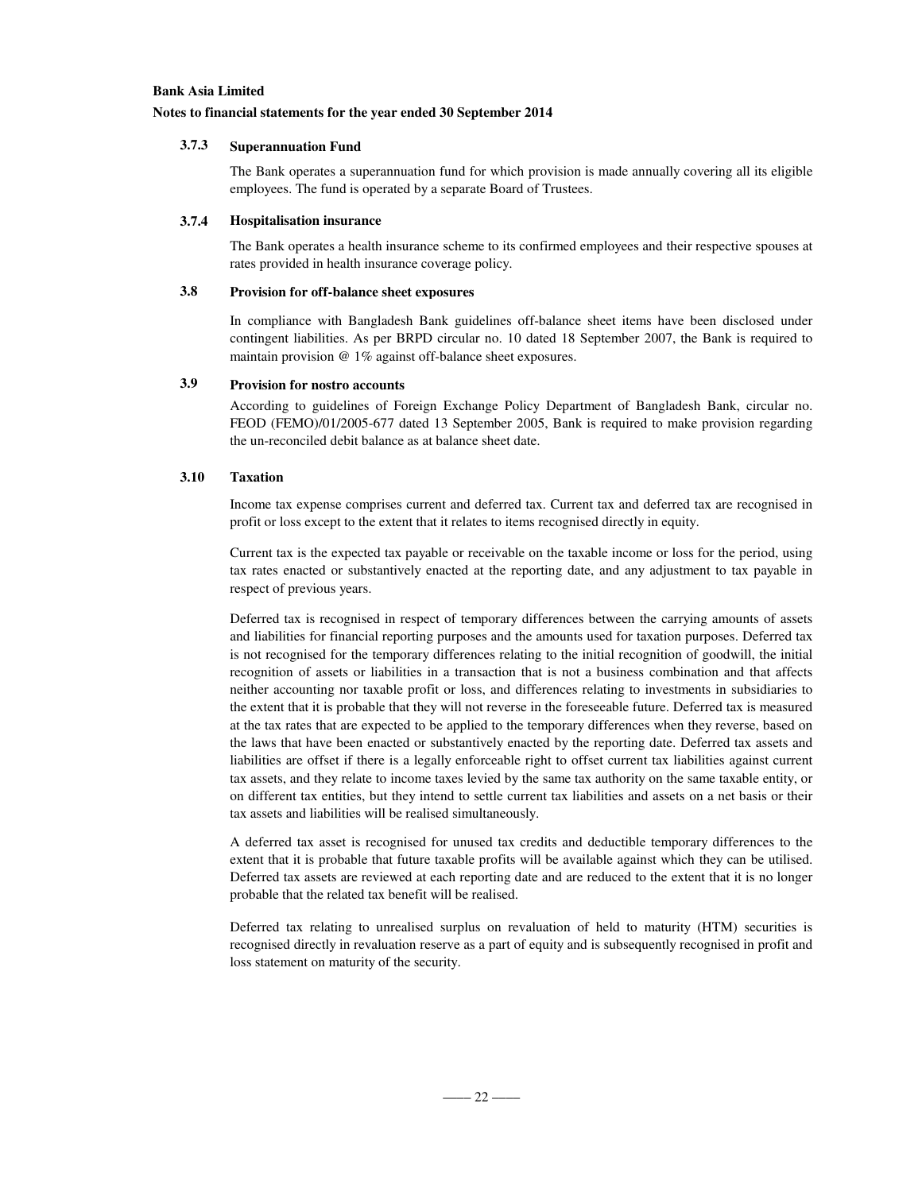### **Notes to financial statements for the year ended 30 September 2014**

### **3.7.3 Superannuation Fund**

The Bank operates a superannuation fund for which provision is made annually covering all its eligible employees. The fund is operated by a separate Board of Trustees.

### **3.7.4 Hospitalisation insurance**

The Bank operates a health insurance scheme to its confirmed employees and their respective spouses at rates provided in health insurance coverage policy.

### **3.8 Provision for off-balance sheet exposures**

In compliance with Bangladesh Bank guidelines off-balance sheet items have been disclosed under contingent liabilities. As per BRPD circular no. 10 dated 18 September 2007, the Bank is required to maintain provision @ 1% against off-balance sheet exposures.

### **3.9 Provision for nostro accounts**

According to guidelines of Foreign Exchange Policy Department of Bangladesh Bank, circular no. FEOD (FEMO)/01/2005-677 dated 13 September 2005, Bank is required to make provision regarding the un-reconciled debit balance as at balance sheet date.

### **3.10 Taxation**

Income tax expense comprises current and deferred tax. Current tax and deferred tax are recognised in profit or loss except to the extent that it relates to items recognised directly in equity.

Current tax is the expected tax payable or receivable on the taxable income or loss for the period, using tax rates enacted or substantively enacted at the reporting date, and any adjustment to tax payable in respect of previous years.

Deferred tax is recognised in respect of temporary differences between the carrying amounts of assets and liabilities for financial reporting purposes and the amounts used for taxation purposes. Deferred tax is not recognised for the temporary differences relating to the initial recognition of goodwill, the initial recognition of assets or liabilities in a transaction that is not a business combination and that affects neither accounting nor taxable profit or loss, and differences relating to investments in subsidiaries to the extent that it is probable that they will not reverse in the foreseeable future. Deferred tax is measured at the tax rates that are expected to be applied to the temporary differences when they reverse, based on the laws that have been enacted or substantively enacted by the reporting date. Deferred tax assets and liabilities are offset if there is a legally enforceable right to offset current tax liabilities against current tax assets, and they relate to income taxes levied by the same tax authority on the same taxable entity, or on different tax entities, but they intend to settle current tax liabilities and assets on a net basis or their tax assets and liabilities will be realised simultaneously.

A deferred tax asset is recognised for unused tax credits and deductible temporary differences to the extent that it is probable that future taxable profits will be available against which they can be utilised. Deferred tax assets are reviewed at each reporting date and are reduced to the extent that it is no longer probable that the related tax benefit will be realised.

Deferred tax relating to unrealised surplus on revaluation of held to maturity (HTM) securities is recognised directly in revaluation reserve as a part of equity and is subsequently recognised in profit and loss statement on maturity of the security.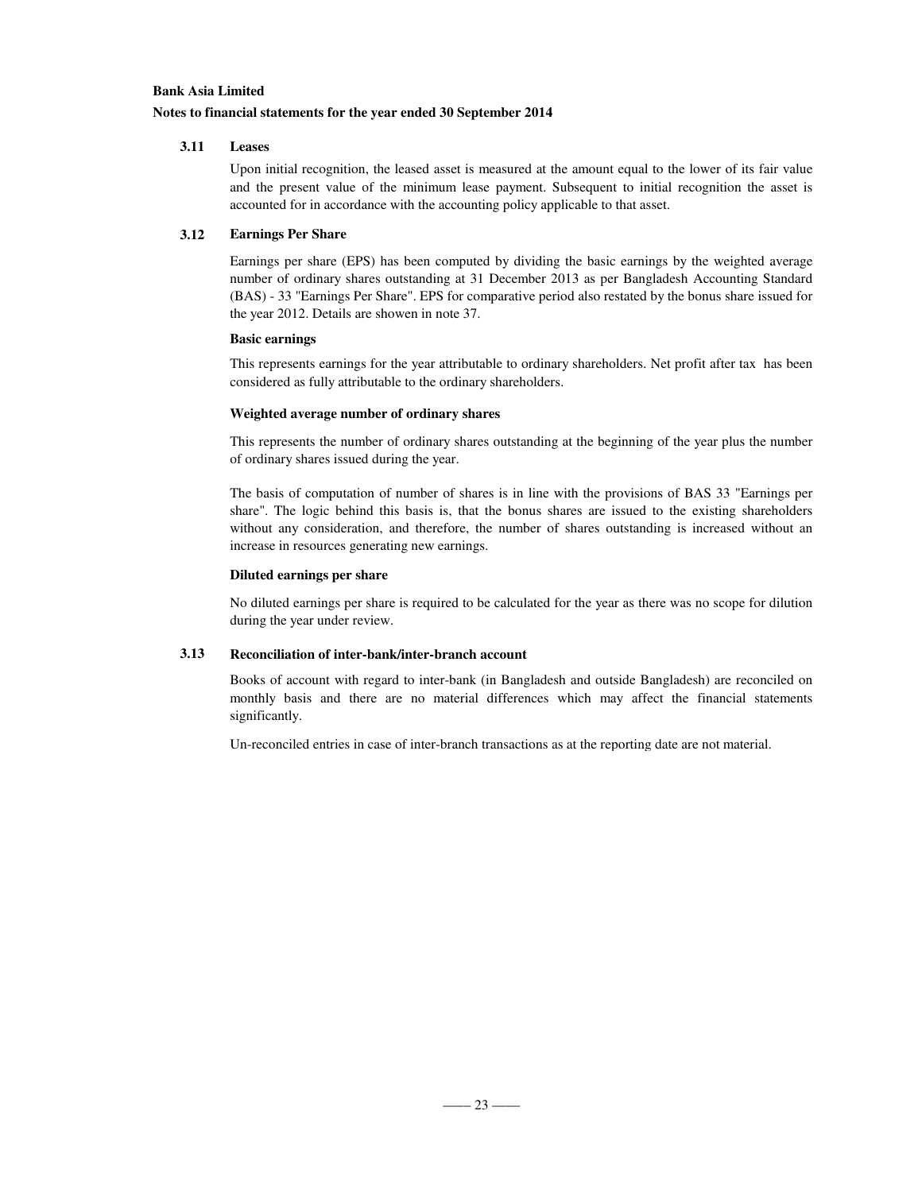### **Notes to financial statements for the year ended 30 September 2014**

### **3.11 Leases**

Upon initial recognition, the leased asset is measured at the amount equal to the lower of its fair value and the present value of the minimum lease payment. Subsequent to initial recognition the asset is accounted for in accordance with the accounting policy applicable to that asset.

### **3.12 Earnings Per Share**

Earnings per share (EPS) has been computed by dividing the basic earnings by the weighted average number of ordinary shares outstanding at 31 December 2013 as per Bangladesh Accounting Standard (BAS) - 33 "Earnings Per Share". EPS for comparative period also restated by the bonus share issued for the year 2012. Details are showen in note 37.

### **Basic earnings**

This represents earnings for the year attributable to ordinary shareholders. Net profit after tax has been considered as fully attributable to the ordinary shareholders.

### **Weighted average number of ordinary shares**

This represents the number of ordinary shares outstanding at the beginning of the year plus the number of ordinary shares issued during the year.

The basis of computation of number of shares is in line with the provisions of BAS 33 "Earnings per share". The logic behind this basis is, that the bonus shares are issued to the existing shareholders without any consideration, and therefore, the number of shares outstanding is increased without an increase in resources generating new earnings.

### **Diluted earnings per share**

No diluted earnings per share is required to be calculated for the year as there was no scope for dilution during the year under review.

### **3.13 Reconciliation of inter-bank/inter-branch account**

Books of account with regard to inter-bank (in Bangladesh and outside Bangladesh) are reconciled on monthly basis and there are no material differences which may affect the financial statements significantly.

Un-reconciled entries in case of inter-branch transactions as at the reporting date are not material.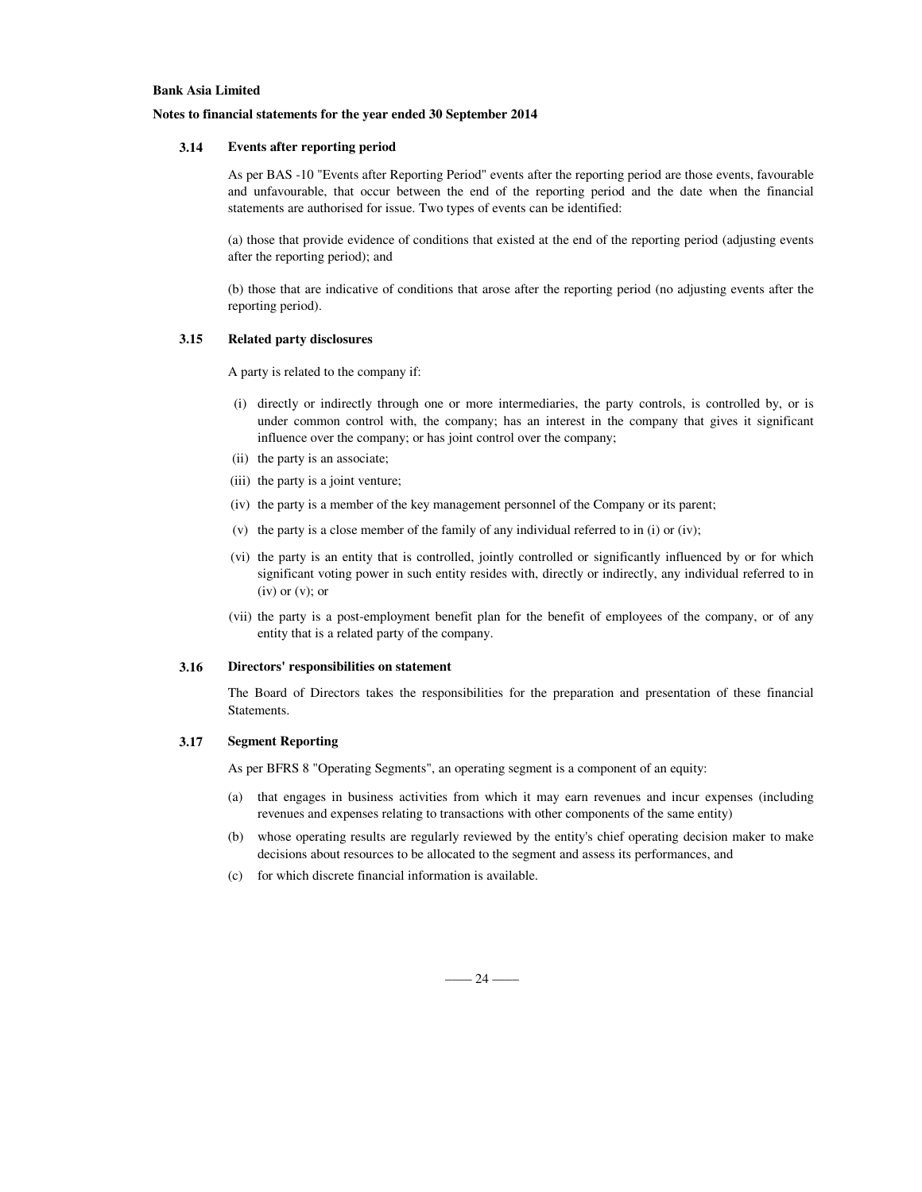#### **Notes to financial statements for the year ended 30 September 2014**

### **3.14 Events after reporting period**

As per BAS -10 "Events after Reporting Period" events after the reporting period are those events, favourable and unfavourable, that occur between the end of the reporting period and the date when the financial statements are authorised for issue. Two types of events can be identified:

(a) those that provide evidence of conditions that existed at the end of the reporting period (adjusting events after the reporting period); and

(b) those that are indicative of conditions that arose after the reporting period (no adjusting events after the reporting period).

#### **3.15 Related party disclosures**

A party is related to the company if:

- (i) directly or indirectly through one or more intermediaries, the party controls, is controlled by, or is under common control with, the company; has an interest in the company that gives it significant influence over the company; or has joint control over the company;
- (ii) the party is an associate;
- (iii) the party is a joint venture;
- (iv) the party is a member of the key management personnel of the Company or its parent;
- (v) the party is a close member of the family of any individual referred to in (i) or (iv);
- (vi) the party is an entity that is controlled, jointly controlled or significantly influenced by or for which significant voting power in such entity resides with, directly or indirectly, any individual referred to in  $(iv)$  or  $(v)$ ; or
- (vii) the party is a post-employment benefit plan for the benefit of employees of the company, or of any entity that is a related party of the company.

#### **3.16 Directors' responsibilities on statement**

The Board of Directors takes the responsibilities for the preparation and presentation of these financial Statements.

#### **3.17 Segment Reporting**

As per BFRS 8 "Operating Segments", an operating segment is a component of an equity:

- (a) that engages in business activities from which it may earn revenues and incur expenses (including revenues and expenses relating to transactions with other components of the same entity)
- (b) whose operating results are regularly reviewed by the entity's chief operating decision maker to make decisions about resources to be allocated to the segment and assess its performances, and
- (c) for which discrete financial information is available.

 $-$  24  $-$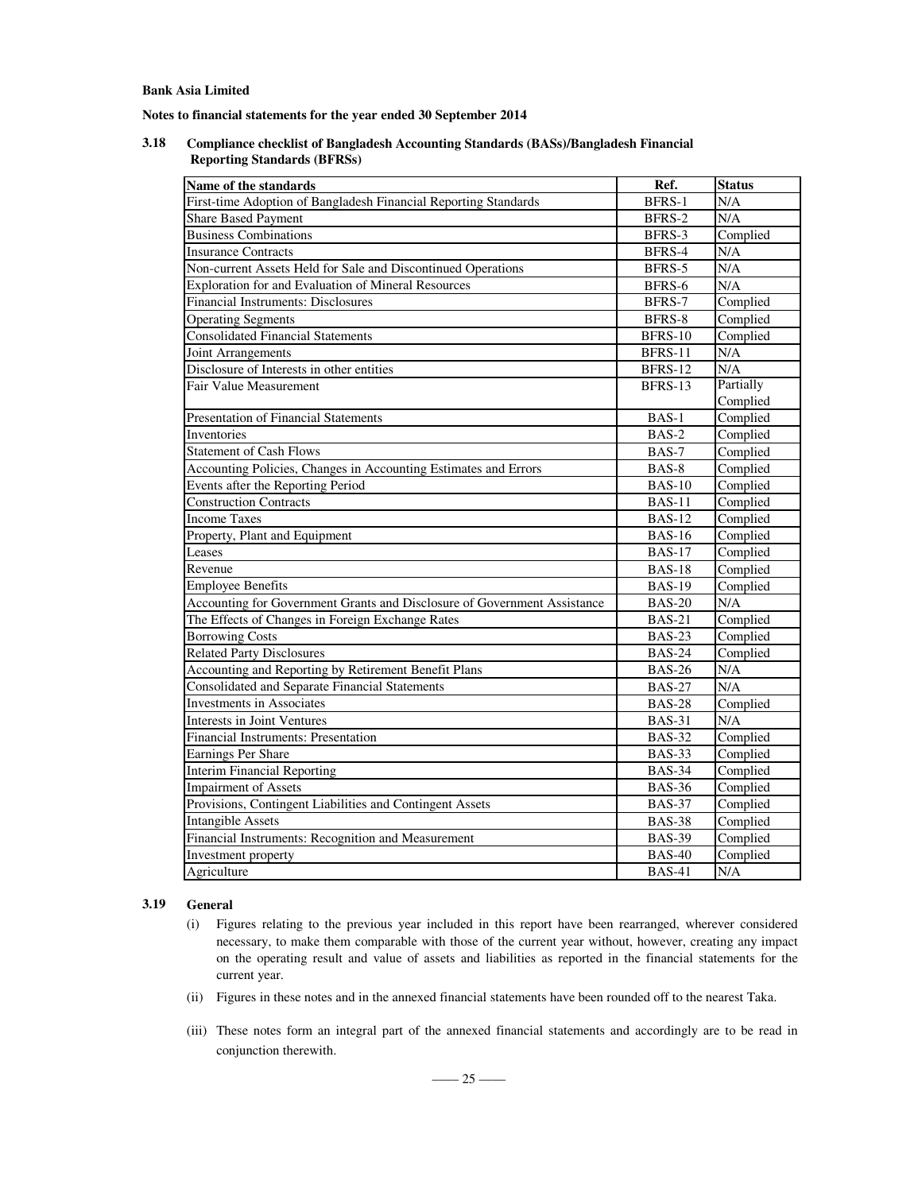**Notes to financial statements for the year ended 30 September 2014**

**3.18 Compliance checklist of Bangladesh Accounting Standards (BASs)/Bangladesh Financial Reporting Standards (BFRSs)**

| Name of the standards                                                    | Ref.           | <b>Status</b>                  |
|--------------------------------------------------------------------------|----------------|--------------------------------|
| First-time Adoption of Bangladesh Financial Reporting Standards          | BFRS-1         | N/A                            |
| <b>Share Based Payment</b>                                               | BFRS-2         | N/A                            |
| <b>Business Combinations</b>                                             | BFRS-3         | Complied                       |
| <b>Insurance Contracts</b>                                               | BFRS-4         | N/A                            |
| Non-current Assets Held for Sale and Discontinued Operations             | BFRS-5         | $\overline{\text{N}}/\text{A}$ |
| Exploration for and Evaluation of Mineral Resources                      | BFRS-6         | N/A                            |
| Financial Instruments: Disclosures                                       | BFRS-7         | Complied                       |
| <b>Operating Segments</b>                                                | BFRS-8         | Complied                       |
| <b>Consolidated Financial Statements</b>                                 | <b>BFRS-10</b> | Complied                       |
| Joint Arrangements                                                       | <b>BFRS-11</b> | N/A                            |
| Disclosure of Interests in other entities                                | BFRS-12        | N/A                            |
| Fair Value Measurement                                                   | <b>BFRS-13</b> | Partially                      |
|                                                                          |                | Complied                       |
| <b>Presentation of Financial Statements</b>                              | BAS-1          | Complied                       |
| Inventories                                                              | BAS-2          | Complied                       |
| <b>Statement of Cash Flows</b>                                           | BAS-7          | Complied                       |
| Accounting Policies, Changes in Accounting Estimates and Errors          | BAS-8          | Complied                       |
| Events after the Reporting Period                                        | <b>BAS-10</b>  | Complied                       |
| <b>Construction Contracts</b>                                            | <b>BAS-11</b>  | Complied                       |
| <b>Income Taxes</b>                                                      | <b>BAS-12</b>  | Complied                       |
| Property, Plant and Equipment                                            | <b>BAS-16</b>  | Complied                       |
| Leases                                                                   | <b>BAS-17</b>  | Complied                       |
| Revenue                                                                  | <b>BAS-18</b>  | Complied                       |
| <b>Employee Benefits</b>                                                 | <b>BAS-19</b>  | Complied                       |
| Accounting for Government Grants and Disclosure of Government Assistance | $BAS-20$       | N/A                            |
| The Effects of Changes in Foreign Exchange Rates                         | <b>BAS-21</b>  | Complied                       |
| <b>Borrowing Costs</b>                                                   | <b>BAS-23</b>  | Complied                       |
| <b>Related Party Disclosures</b>                                         | <b>BAS-24</b>  | Complied                       |
| Accounting and Reporting by Retirement Benefit Plans                     | <b>BAS-26</b>  | N/A                            |
| Consolidated and Separate Financial Statements                           | <b>BAS-27</b>  | N/A                            |
| <b>Investments</b> in Associates                                         | <b>BAS-28</b>  | Complied                       |
| Interests in Joint Ventures                                              | <b>BAS-31</b>  | N/A                            |
| Financial Instruments: Presentation                                      | <b>BAS-32</b>  | Complied                       |
| Earnings Per Share                                                       | <b>BAS-33</b>  | Complied                       |
| <b>Interim Financial Reporting</b>                                       | <b>BAS-34</b>  | Complied                       |
| <b>Impairment of Assets</b>                                              | <b>BAS-36</b>  | Complied                       |
| Provisions, Contingent Liabilities and Contingent Assets                 | <b>BAS-37</b>  | Complied                       |
| <b>Intangible Assets</b>                                                 | <b>BAS-38</b>  | Complied                       |
| Financial Instruments: Recognition and Measurement                       | <b>BAS-39</b>  | Complied                       |
| Investment property                                                      | <b>BAS-40</b>  | Complied                       |
| Agriculture                                                              | <b>BAS-41</b>  | N/A                            |

### **3.19 General**

- (i) Figures relating to the previous year included in this report have been rearranged, wherever considered necessary, to make them comparable with those of the current year without, however, creating any impact on the operating result and value of assets and liabilities as reported in the financial statements for the current year.
- (ii) Figures in these notes and in the annexed financial statements have been rounded off to the nearest Taka.
- (iii) These notes form an integral part of the annexed financial statements and accordingly are to be read in conjunction therewith.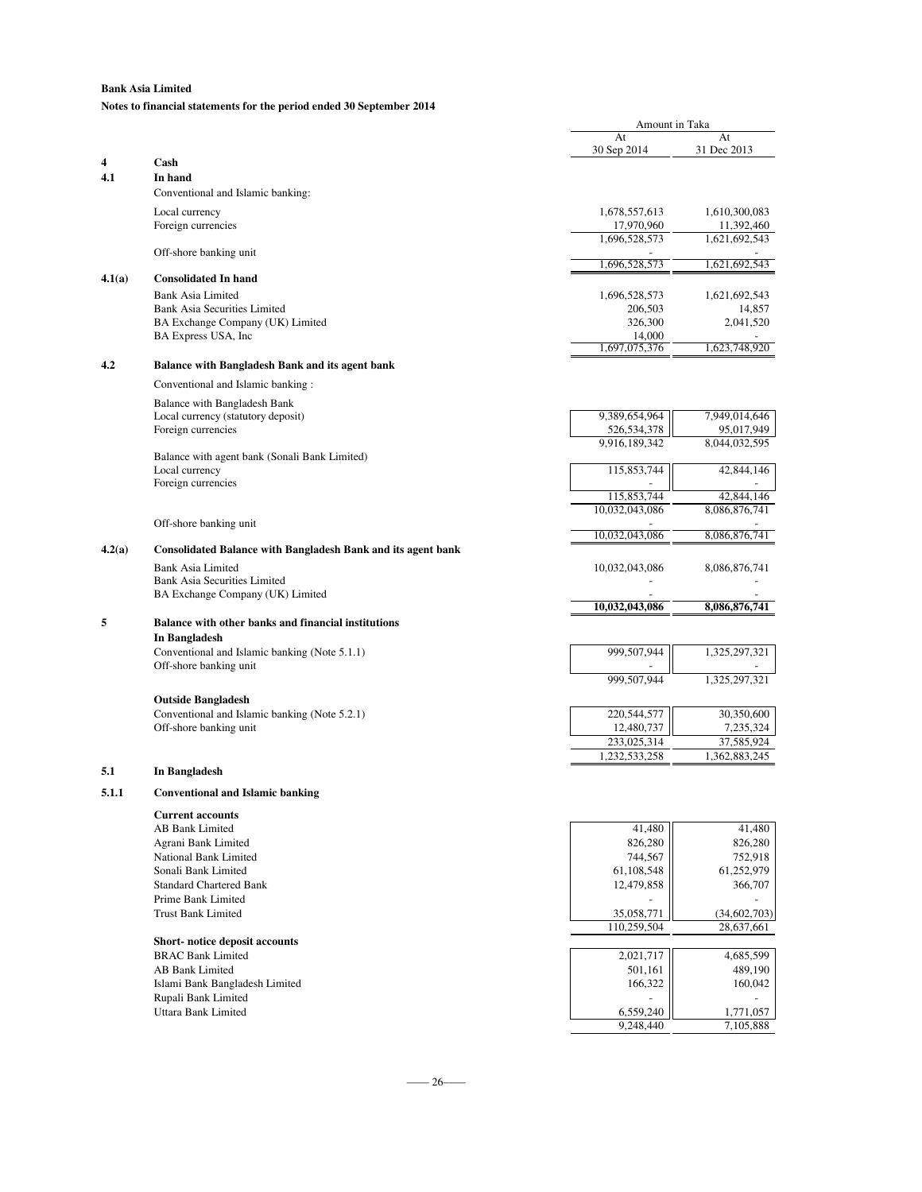### **Notes to financial statements for the period ended 30 September 2014**

|        |                                                                            | Amount in Taka              |                             |
|--------|----------------------------------------------------------------------------|-----------------------------|-----------------------------|
|        |                                                                            | At<br>30 Sep 2014           | At<br>31 Dec 2013           |
| 4      | Cash                                                                       |                             |                             |
| 4.1    | In hand                                                                    |                             |                             |
|        | Conventional and Islamic banking:                                          |                             |                             |
|        | Local currency                                                             | 1,678,557,613               | 1,610,300,083               |
|        | Foreign currencies                                                         | 17,970,960<br>1,696,528,573 | 11,392,460<br>1,621,692,543 |
|        | Off-shore banking unit                                                     |                             |                             |
| 4.1(a) | <b>Consolidated In hand</b>                                                | 1,696,528,573               | 1,621,692,543               |
|        | <b>Bank Asia Limited</b>                                                   | 1,696,528,573               | 1,621,692,543               |
|        | <b>Bank Asia Securities Limited</b>                                        | 206,503                     | 14,857                      |
|        | BA Exchange Company (UK) Limited                                           | 326,300                     | 2,041,520                   |
|        | BA Express USA, Inc.                                                       | 14,000<br>1,697,075,376     | 1,623,748,920               |
| 4.2    | Balance with Bangladesh Bank and its agent bank                            |                             |                             |
|        | Conventional and Islamic banking:                                          |                             |                             |
|        | Balance with Bangladesh Bank                                               |                             |                             |
|        | Local currency (statutory deposit)                                         | 9,389,654,964               | 7,949,014,646               |
|        | Foreign currencies                                                         | 526,534,378                 | 95,017,949<br>8,044,032,595 |
|        | Balance with agent bank (Sonali Bank Limited)                              | 9,916,189,342               |                             |
|        | Local currency                                                             | 115,853,744                 | 42,844,146                  |
|        | Foreign currencies                                                         | 115,853,744                 | 42,844,146                  |
|        |                                                                            | 10,032,043,086              | 8,086,876,741               |
|        | Off-shore banking unit                                                     |                             |                             |
| 4.2(a) | <b>Consolidated Balance with Bangladesh Bank and its agent bank</b>        | 10,032,043,086              | 8,086,876,741               |
|        | <b>Bank Asia Limited</b>                                                   | 10,032,043,086              | 8,086,876,741               |
|        | <b>Bank Asia Securities Limited</b>                                        |                             |                             |
|        | BA Exchange Company (UK) Limited                                           |                             |                             |
| 5      | Balance with other banks and financial institutions                        | 10,032,043,086              | 8,086,876,741               |
|        | In Bangladesh                                                              |                             |                             |
|        | Conventional and Islamic banking (Note 5.1.1)                              | 999,507,944                 | 1,325,297,321               |
|        | Off-shore banking unit                                                     |                             |                             |
|        |                                                                            | 999,507,944                 | 1,325,297,321               |
|        | <b>Outside Bangladesh</b><br>Conventional and Islamic banking (Note 5.2.1) | 220,544,577                 | 30,350,600                  |
|        | Off-shore banking unit                                                     | 12,480,737                  | 7,235,324                   |
|        |                                                                            | 233,025,314                 | 37,585,924                  |
|        |                                                                            | 1,232,533,258               | 1,362,883,245               |
| 5.1    | In Bangladesh                                                              |                             |                             |
| 5.1.1  | <b>Conventional and Islamic banking</b>                                    |                             |                             |
|        | <b>Current accounts</b>                                                    |                             |                             |
|        | <b>AB Bank Limited</b><br>Agrani Bank Limited                              | 41,480<br>826,280           | 41,480<br>826,280           |
|        | National Bank Limited                                                      | 744,567                     | 752,918                     |
|        | Sonali Bank Limited                                                        | 61,108,548                  | 61,252,979                  |
|        | <b>Standard Chartered Bank</b>                                             | 12,479,858                  | 366,707                     |
|        | Prime Bank Limited<br><b>Trust Bank Limited</b>                            | 35,058,771                  | (34, 602, 703)              |
|        |                                                                            | 110,259,504                 | 28,637,661                  |
|        | Short-notice deposit accounts                                              |                             |                             |
|        | <b>BRAC Bank Limited</b>                                                   | 2,021,717                   | 4,685,599                   |
|        | AB Bank Limited<br>Islami Bank Bangladesh Limited                          | 501,161<br>166,322          | 489,190<br>160,042          |
|        | Rupali Bank Limited                                                        |                             |                             |
|        | Uttara Bank Limited                                                        | 6,559,240                   | 1,771,057                   |
|        |                                                                            | 9,248,440                   | 7,105,888                   |
|        |                                                                            |                             |                             |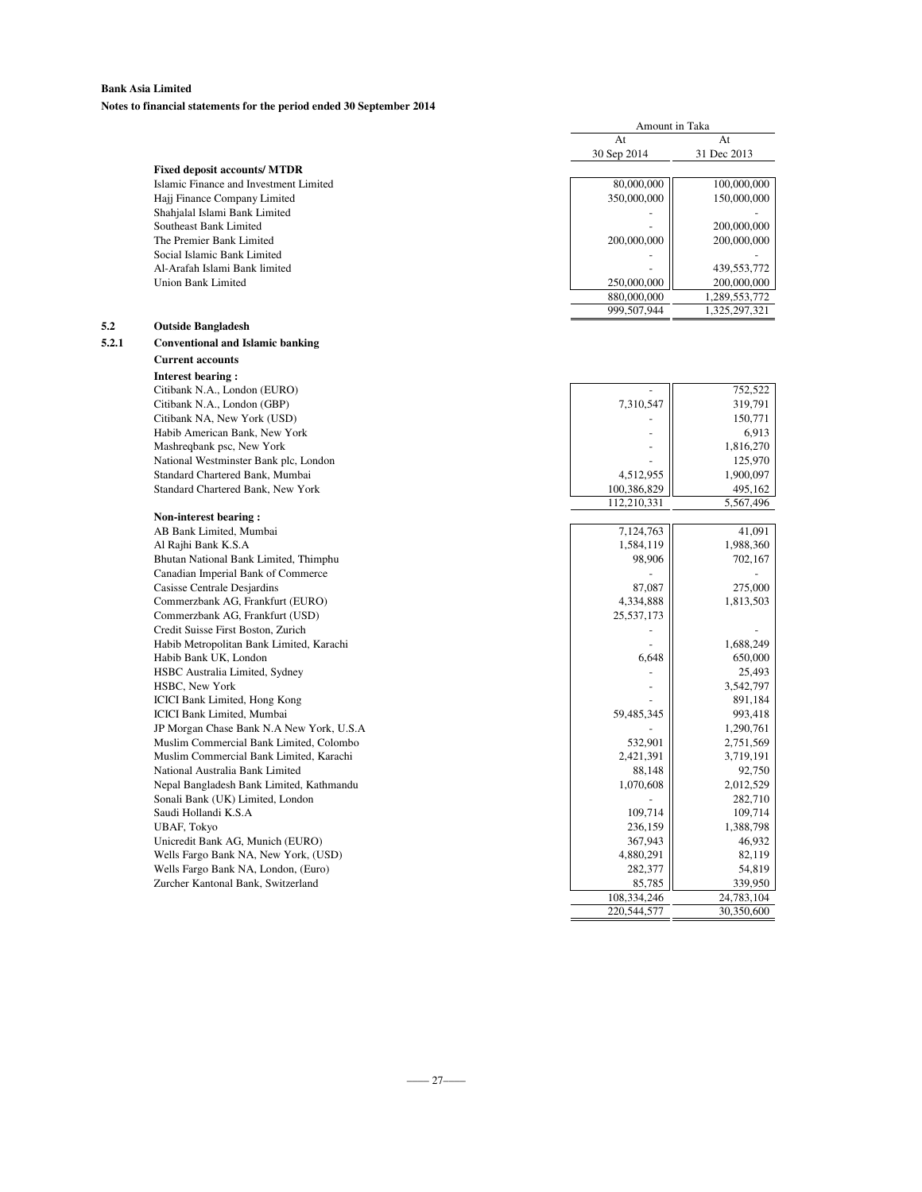**Notes to financial statements for the period ended 30 September 2014**

|       |                                          | At          | At            |
|-------|------------------------------------------|-------------|---------------|
|       |                                          | 30 Sep 2014 | 31 Dec 2013   |
|       | <b>Fixed deposit accounts/ MTDR</b>      |             |               |
|       | Islamic Finance and Investment Limited   | 80,000,000  | 100,000,000   |
|       | Hajj Finance Company Limited             | 350,000,000 | 150,000,000   |
|       | Shahjalal Islami Bank Limited            |             |               |
|       | Southeast Bank Limited                   |             | 200,000,000   |
|       | The Premier Bank Limited                 | 200,000,000 | 200,000,000   |
|       | Social Islamic Bank Limited              |             |               |
|       | Al-Arafah Islami Bank limited            |             | 439,553,772   |
|       | <b>Union Bank Limited</b>                | 250,000,000 | 200,000,000   |
|       |                                          | 880,000,000 | 1,289,553,772 |
|       |                                          | 999,507,944 | 1,325,297,321 |
| 5.2   | <b>Outside Bangladesh</b>                |             |               |
| 5.2.1 | <b>Conventional and Islamic banking</b>  |             |               |
|       | <b>Current accounts</b>                  |             |               |
|       | <b>Interest bearing:</b>                 |             |               |
|       | Citibank N.A., London (EURO)             |             | 752,522       |
|       | Citibank N.A., London (GBP)              | 7,310,547   | 319,791       |
|       | Citibank NA, New York (USD)              |             | 150,771       |
|       | Habib American Bank, New York            |             | 6,913         |
|       | Mashreqbank psc, New York                |             | 1,816,270     |
|       | National Westminster Bank plc, London    |             | 125,970       |
|       | Standard Chartered Bank, Mumbai          | 4,512,955   | 1,900,097     |
|       | Standard Chartered Bank, New York        | 100,386,829 | 495,162       |
|       |                                          | 112,210,331 | 5,567,496     |
|       | Non-interest bearing:                    |             |               |
|       | AB Bank Limited, Mumbai                  | 7,124,763   | 41,091        |
|       | Al Rajhi Bank K.S.A                      | 1,584,119   | 1,988,360     |
|       | Bhutan National Bank Limited, Thimphu    | 98,906      | 702,167       |
|       | Canadian Imperial Bank of Commerce       |             |               |
|       | Casisse Centrale Desjardins              | 87,087      | 275,000       |
|       | Commerzbank AG, Frankfurt (EURO)         | 4,334,888   | 1,813,503     |
|       | Commerzbank AG, Frankfurt (USD)          | 25,537,173  |               |
|       | Credit Suisse First Boston, Zurich       |             |               |
|       | Habib Metropolitan Bank Limited, Karachi |             | 1,688,249     |
|       | Habib Bank UK, London                    | 6,648       | 650,000       |
|       | HSBC Australia Limited, Sydney           |             | 25,493        |
|       | HSBC, New York                           |             | 3,542,797     |
|       | <b>ICICI Bank Limited, Hong Kong</b>     |             | 891,184       |
|       | ICICI Bank Limited, Mumbai               | 59,485,345  | 993,418       |
|       | JP Morgan Chase Bank N.A New York, U.S.A |             | 1,290,761     |
|       | Muslim Commercial Bank Limited, Colombo  | 532,901     | 2,751,569     |
|       | Muslim Commercial Bank Limited, Karachi  | 2,421,391   | 3,719,191     |
|       | National Australia Bank Limited          | 88,148      | 92,750        |
|       | Nepal Bangladesh Bank Limited, Kathmandu | 1,070,608   | 2,012,529     |
|       | Sonali Bank (UK) Limited, London         |             | 282,710       |
|       | Saudi Hollandi K.S.A                     | 109,714     | 109,714       |
|       | UBAF, Tokyo                              | 236,159     | 1,388,798     |
|       | Unicredit Bank AG, Munich (EURO)         | 367,943     | 46,932        |
|       | Wells Fargo Bank NA, New York, (USD)     | 4,880,291   | 82,119        |
|       | Wells Fargo Bank NA, London, (Euro)      | 282,377     | 54,819        |
|       | Zurcher Kantonal Bank, Switzerland       | 85,785      | 339,950       |
|       |                                          | 108.334.246 | 24.783.104    |
|       |                                          | 220,544,577 | 30,350,600    |

Amount in Taka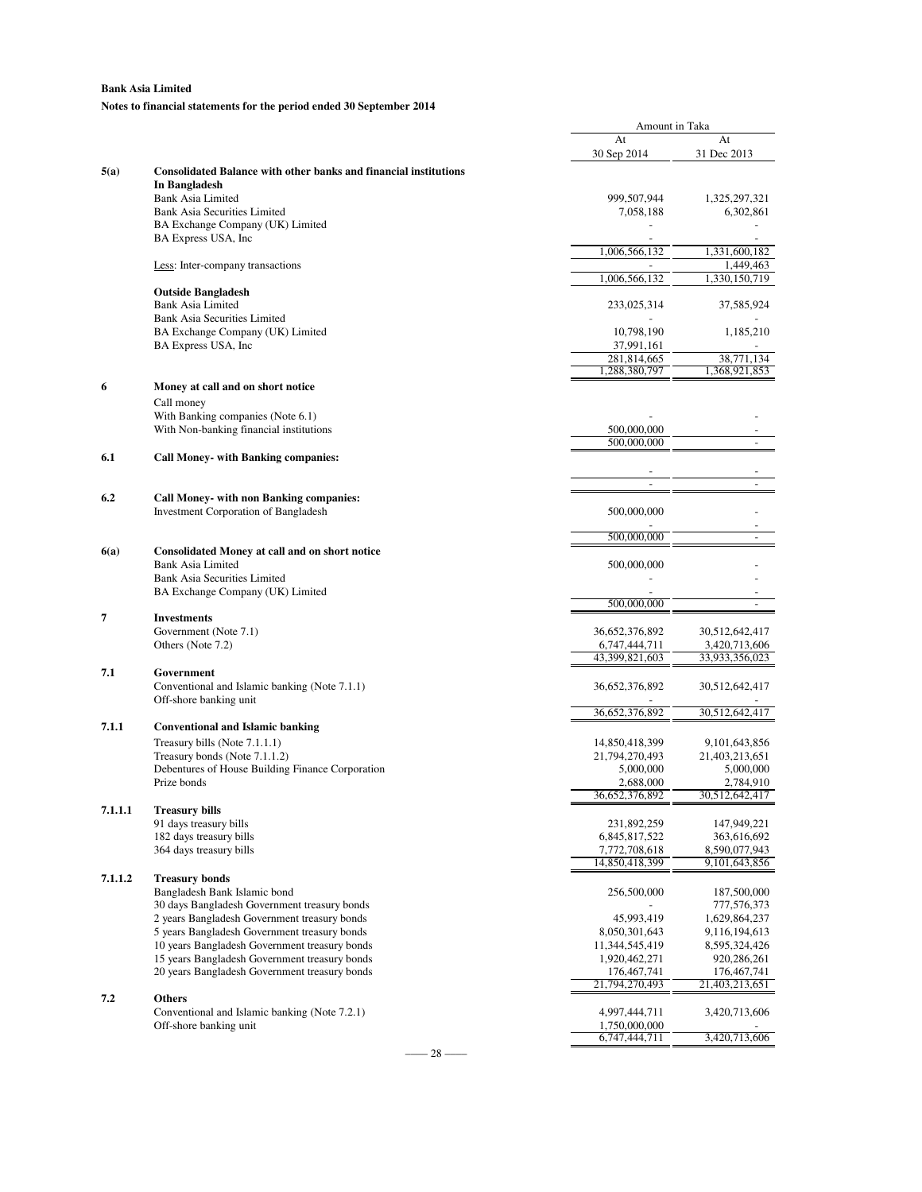### **Notes to financial statements for the period ended 30 September 2014**

|         |                                                                         | At             | At                       |
|---------|-------------------------------------------------------------------------|----------------|--------------------------|
|         |                                                                         | 30 Sep 2014    | 31 Dec 2013              |
| 5(a)    | <b>Consolidated Balance with other banks and financial institutions</b> |                |                          |
|         | In Bangladesh                                                           |                |                          |
|         | <b>Bank Asia Limited</b>                                                | 999,507,944    | 1,325,297,321            |
|         | <b>Bank Asia Securities Limited</b>                                     | 7,058,188      | 6,302,861                |
|         | BA Exchange Company (UK) Limited                                        |                |                          |
|         | BA Express USA, Inc.                                                    |                |                          |
|         |                                                                         | 1,006,566,132  | 1,331,600,182            |
|         | Less: Inter-company transactions                                        |                | 1,449,463                |
|         |                                                                         | 1,006,566,132  | 1,330,150,719            |
|         | <b>Outside Bangladesh</b>                                               |                |                          |
|         | <b>Bank Asia Limited</b>                                                | 233,025,314    | 37,585,924               |
|         | <b>Bank Asia Securities Limited</b>                                     |                |                          |
|         | BA Exchange Company (UK) Limited                                        | 10,798,190     | 1,185,210                |
|         | BA Express USA, Inc.                                                    | 37,991,161     |                          |
|         |                                                                         | 281,814,665    | 38,771,134               |
|         |                                                                         | 1,288,380,797  | 1,368,921,853            |
| 6       | Money at call and on short notice                                       |                |                          |
|         | Call money                                                              |                |                          |
|         | With Banking companies (Note 6.1)                                       |                |                          |
|         | With Non-banking financial institutions                                 | 500,000,000    |                          |
|         |                                                                         | 500,000,000    |                          |
| 6.1     | <b>Call Money- with Banking companies:</b>                              |                |                          |
|         |                                                                         |                |                          |
|         |                                                                         | L.             |                          |
| 6.2     | <b>Call Money- with non Banking companies:</b>                          |                |                          |
|         | Investment Corporation of Bangladesh                                    | 500,000,000    |                          |
|         |                                                                         |                |                          |
|         |                                                                         | 500,000,000    |                          |
| 6(a)    | <b>Consolidated Money at call and on short notice</b>                   |                |                          |
|         | <b>Bank Asia Limited</b>                                                | 500,000,000    |                          |
|         | <b>Bank Asia Securities Limited</b>                                     |                |                          |
|         | BA Exchange Company (UK) Limited                                        |                |                          |
|         |                                                                         | 500,000,000    | $\overline{\phantom{a}}$ |
| 7       | <b>Investments</b>                                                      |                |                          |
|         | Government (Note 7.1)                                                   | 36,652,376,892 | 30,512,642,417           |
|         | Others (Note 7.2)                                                       | 6,747,444,711  | 3,420,713,606            |
|         |                                                                         | 43,399,821,603 | 33,933,356,023           |
| 7.1     | Government                                                              |                |                          |
|         | Conventional and Islamic banking (Note 7.1.1)                           | 36,652,376,892 | 30,512,642,417           |
|         | Off-shore banking unit                                                  |                |                          |
|         |                                                                         | 36,652,376,892 | 30,512,642,417           |
| 7.1.1   | <b>Conventional and Islamic banking</b>                                 |                |                          |
|         | Treasury bills (Note 7.1.1.1)                                           | 14,850,418,399 | 9,101,643,856            |
|         | Treasury bonds (Note 7.1.1.2)                                           | 21,794,270,493 | 21,403,213,651           |
|         | Debentures of House Building Finance Corporation                        | 5,000,000      | 5,000,000                |
|         | Prize bonds                                                             | 2,688,000      | 2,784,910                |
|         |                                                                         | 36,652,376,892 | 30,512,642,417           |
| 7.1.1.1 | <b>Treasury bills</b>                                                   |                |                          |
|         | 91 days treasury bills                                                  | 231,892,259    | 147,949,221              |
|         | 182 days treasury bills                                                 | 6,845,817,522  | 363,616,692              |
|         | 364 days treasury bills                                                 | 7,772,708,618  | 8,590,077,943            |
|         |                                                                         | 14,850,418,399 | 9, 101, 643, 856         |
| 7.1.1.2 | <b>Treasury bonds</b>                                                   |                |                          |
|         | Bangladesh Bank Islamic bond                                            | 256,500,000    | 187,500,000              |
|         | 30 days Bangladesh Government treasury bonds                            |                | 777,576,373              |
|         | 2 years Bangladesh Government treasury bonds                            | 45,993,419     | 1,629,864,237            |
|         | 5 years Bangladesh Government treasury bonds                            | 8,050,301,643  | 9,116,194,613            |
|         | 10 years Bangladesh Government treasury bonds                           | 11,344,545,419 | 8,595,324,426            |
|         | 15 years Bangladesh Government treasury bonds                           | 1,920,462,271  | 920,286,261              |
|         | 20 years Bangladesh Government treasury bonds                           | 176, 467, 741  | 176, 467, 741            |
|         |                                                                         | 21,794,270,493 | 21,403,213,651           |
| 7.2     | <b>Others</b>                                                           |                |                          |
|         | Conventional and Islamic banking (Note 7.2.1)                           | 4,997,444,711  | 3,420,713,606            |
|         | Off-shore banking unit                                                  | 1,750,000,000  |                          |
|         |                                                                         | 6,747,444,711  | 3,420,713,606            |
|         |                                                                         |                |                          |

Amount in Taka

 $-$  28  $-$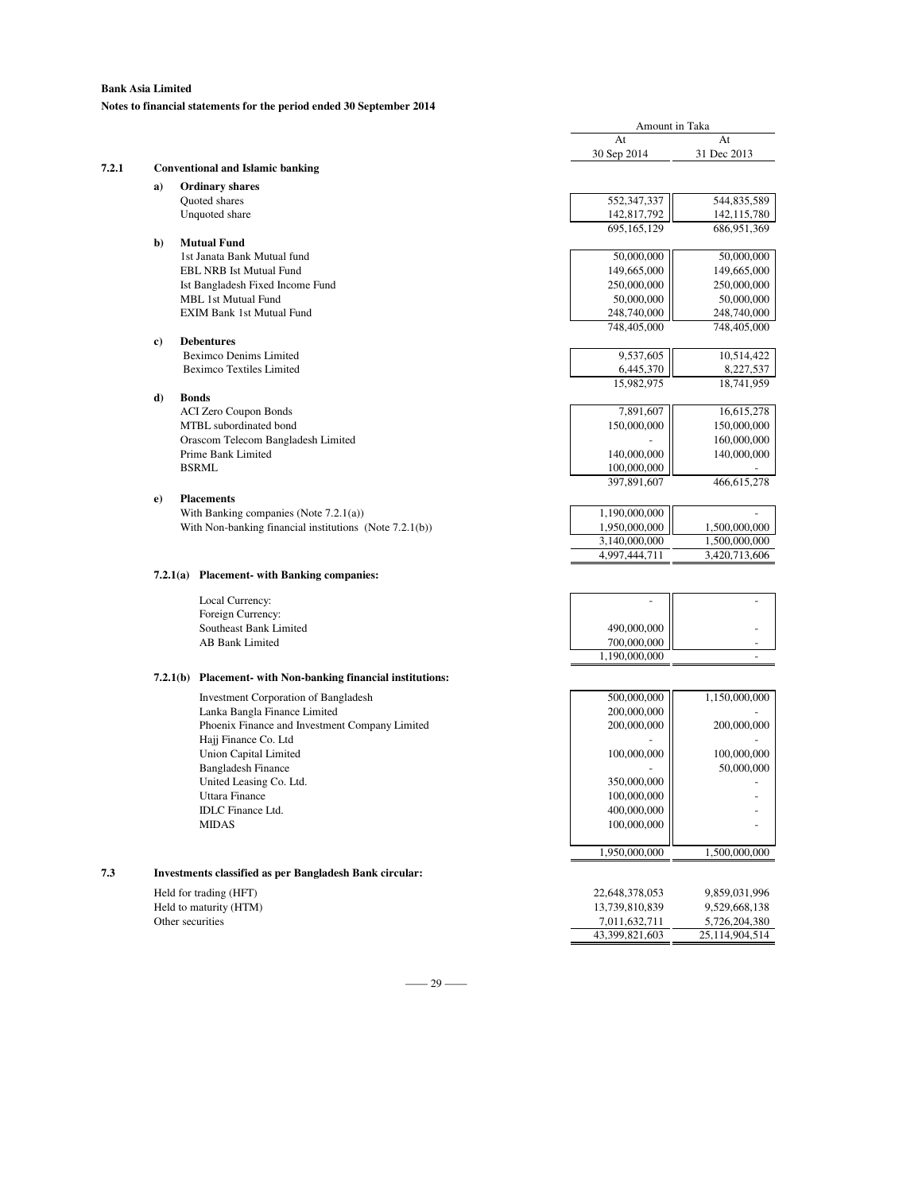### **Bank Asia Limited Notes to financial statements for the period ended 30 September 2014**

|       |                                                                | Amount in Taka               |                            |
|-------|----------------------------------------------------------------|------------------------------|----------------------------|
|       |                                                                | At                           | At                         |
|       |                                                                | 30 Sep 2014                  | 31 Dec 2013                |
| 7.2.1 | <b>Conventional and Islamic banking</b>                        |                              |                            |
|       | <b>Ordinary shares</b><br>a)                                   |                              |                            |
|       | Quoted shares<br>Unquoted share                                | 552, 347, 337<br>142,817,792 | 544,835,589<br>142,115,780 |
|       |                                                                | 695,165,129                  | 686,951,369                |
|       | <b>Mutual Fund</b><br>b)                                       |                              |                            |
|       | 1st Janata Bank Mutual fund                                    | 50,000,000                   | 50,000,000                 |
|       | <b>EBL NRB Ist Mutual Fund</b>                                 | 149,665,000                  | 149,665,000                |
|       | Ist Bangladesh Fixed Income Fund                               | 250,000,000                  | 250,000,000                |
|       | MBL 1st Mutual Fund                                            | 50,000,000                   | 50,000,000                 |
|       | <b>EXIM Bank 1st Mutual Fund</b>                               | 248,740,000<br>748,405,000   | 248,740,000<br>748,405,000 |
|       | <b>Debentures</b><br>c)                                        |                              |                            |
|       | <b>Beximco Denims Limited</b>                                  | 9,537,605                    | 10,514,422                 |
|       | <b>Beximco Textiles Limited</b>                                | 6,445,370                    | 8,227,537                  |
|       |                                                                | 15,982,975                   | 18,741,959                 |
|       | d)<br><b>Bonds</b>                                             |                              |                            |
|       | <b>ACI Zero Coupon Bonds</b>                                   | 7,891,607                    | 16,615,278                 |
|       | MTBL subordinated bond                                         | 150,000,000                  | 150,000,000                |
|       | Orascom Telecom Bangladesh Limited<br>Prime Bank Limited       |                              | 160,000,000                |
|       | <b>BSRML</b>                                                   | 140,000,000<br>100,000,000   | 140,000,000                |
|       |                                                                | 397,891,607                  | 466,615,278                |
|       | <b>Placements</b><br>$\bf e)$                                  |                              |                            |
|       | With Banking companies (Note $7.2.1(a)$ )                      | 1,190,000,000                |                            |
|       | With Non-banking financial institutions (Note $7.2.1(b)$ )     | 1,950,000,000                | 1,500,000,000              |
|       |                                                                | 3,140,000,000                | 1.500.000.000              |
|       |                                                                | 4,997,444,711                | 3,420,713,606              |
|       | 7.2.1(a) Placement- with Banking companies:                    |                              |                            |
|       | Local Currency:                                                |                              |                            |
|       | Foreign Currency:                                              |                              |                            |
|       | Southeast Bank Limited                                         | 490,000,000                  |                            |
|       | AB Bank Limited                                                | 700,000,000                  |                            |
|       |                                                                | 1,190,000,000                |                            |
|       | 7.2.1(b) Placement- with Non-banking financial institutions:   |                              |                            |
|       | <b>Investment Corporation of Bangladesh</b>                    | 500,000,000                  | 1,150,000,000              |
|       | Lanka Bangla Finance Limited                                   | 200,000,000                  |                            |
|       | Phoenix Finance and Investment Company Limited                 | 200,000,000                  | 200,000,000                |
|       | Hajj Finance Co. Ltd<br>Union Capital Limited                  | 100,000,000                  | 100,000,000                |
|       | <b>Bangladesh Finance</b>                                      |                              | 50,000,000                 |
|       | United Leasing Co. Ltd.                                        | 350,000,000                  |                            |
|       | Uttara Finance                                                 | 100,000,000                  |                            |
|       | <b>IDLC</b> Finance Ltd.                                       | 400,000,000                  |                            |
|       | <b>MIDAS</b>                                                   | 100,000,000                  |                            |
|       |                                                                | 1,950,000,000                | 1,500,000,000              |
| 7.3   | <b>Investments classified as per Bangladesh Bank circular:</b> |                              |                            |
|       | Held for trading (HFT)                                         | 22,648,378,053               | 9,859,031,996              |
|       | Held to maturity (HTM)                                         | 13,739,810,839               | 9,529,668,138              |
|       | Other securities                                               | 7,011,632,711                | 5,726,204,380              |
|       |                                                                | 43,399,821,603               | 25,114,904,514             |
|       |                                                                |                              |                            |

–––– 29 ––––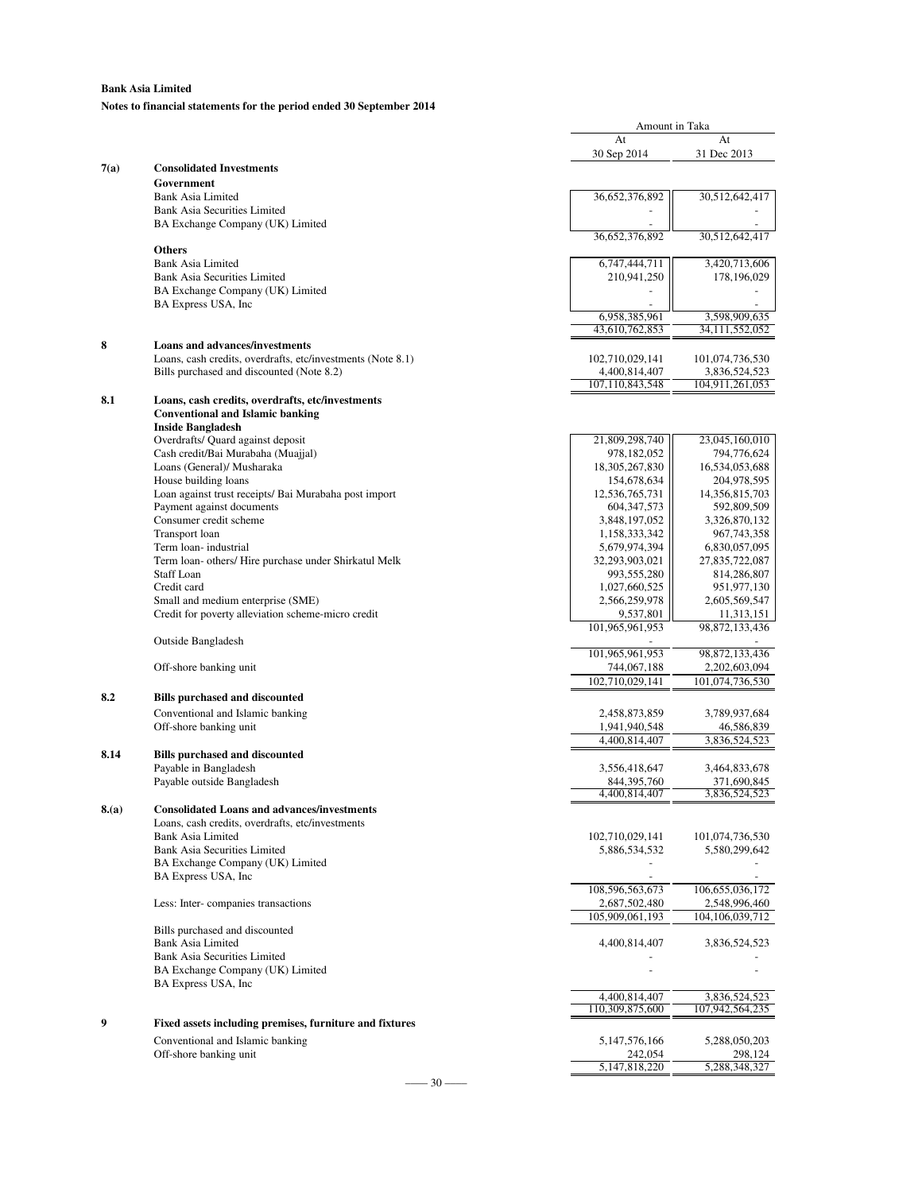**Notes to financial statements for the period ended 30 September 2014**

|      |                                                             |                              | Amount in Taka                  |  |
|------|-------------------------------------------------------------|------------------------------|---------------------------------|--|
|      |                                                             | At                           | At                              |  |
|      |                                                             | 30 Sep 2014                  | 31 Dec 2013                     |  |
| 7(a) | <b>Consolidated Investments</b>                             |                              |                                 |  |
|      | Government                                                  |                              |                                 |  |
|      | Bank Asia Limited                                           | 36,652,376,892               | 30,512,642,417                  |  |
|      | <b>Bank Asia Securities Limited</b>                         |                              |                                 |  |
|      | BA Exchange Company (UK) Limited                            |                              |                                 |  |
|      | <b>Others</b>                                               | 36,652,376,892               | 30,512,642,417                  |  |
|      | <b>Bank Asia Limited</b>                                    |                              |                                 |  |
|      | <b>Bank Asia Securities Limited</b>                         | 6,747,444,711<br>210,941,250 | 3,420,713,606<br>178,196,029    |  |
|      | BA Exchange Company (UK) Limited                            |                              |                                 |  |
|      | BA Express USA, Inc.                                        |                              |                                 |  |
|      |                                                             | 6,958,385,961                | 3,598,909,635                   |  |
|      |                                                             | 43,610,762,853               | 34,111,552,052                  |  |
| 8    | <b>Loans and advances/investments</b>                       |                              |                                 |  |
|      | Loans, cash credits, overdrafts, etc/investments (Note 8.1) | 102,710,029,141              | 101,074,736,530                 |  |
|      | Bills purchased and discounted (Note 8.2)                   | 4,400,814,407                | 3,836,524,523                   |  |
|      |                                                             | 107,110,843,548              | 104,911,261,053                 |  |
| 8.1  | Loans, cash credits, overdrafts, etc/investments            |                              |                                 |  |
|      | <b>Conventional and Islamic banking</b>                     |                              |                                 |  |
|      | <b>Inside Bangladesh</b>                                    |                              |                                 |  |
|      | Overdrafts/ Quard against deposit                           | 21,809,298,740               | 23,045,160,010                  |  |
|      | Cash credit/Bai Murabaha (Muajjal)                          | 978,182,052                  | 794,776,624                     |  |
|      | Loans (General)/ Musharaka                                  | 18, 305, 267, 830            | 16,534,053,688                  |  |
|      | House building loans                                        | 154,678,634                  | 204,978,595                     |  |
|      | Loan against trust receipts/ Bai Murabaha post import       | 12,536,765,731               | 14,356,815,703                  |  |
|      | Payment against documents                                   | 604, 347, 573                | 592,809,509                     |  |
|      | Consumer credit scheme                                      | 3,848,197,052                | 3,326,870,132                   |  |
|      | Transport loan                                              | 1,158,333,342                | 967,743,358                     |  |
|      | Term loan-industrial                                        | 5,679,974,394                | 6,830,057,095                   |  |
|      | Term loan- others/ Hire purchase under Shirkatul Melk       | 32,293,903,021               | 27,835,722,087                  |  |
|      | <b>Staff Loan</b>                                           | 993,555,280                  | 814,286,807                     |  |
|      | Credit card                                                 | 1,027,660,525                | 951,977,130                     |  |
|      | Small and medium enterprise (SME)                           | 2,566,259,978                | 2,605,569,547                   |  |
|      | Credit for poverty alleviation scheme-micro credit          | 9,537,801<br>101,965,961,953 | 11,313,151<br>98, 872, 133, 436 |  |
|      | Outside Bangladesh                                          |                              |                                 |  |
|      |                                                             | 101,965,961,953              | 98, 872, 133, 436               |  |
|      | Off-shore banking unit                                      | 744,067,188                  | 2,202,603,094                   |  |
|      |                                                             | 102,710,029,141              | 101,074,736,530                 |  |
| 8.2  | <b>Bills purchased and discounted</b>                       |                              |                                 |  |
|      | Conventional and Islamic banking                            | 2,458,873,859                | 3,789,937,684                   |  |
|      | Off-shore banking unit                                      | 1,941,940,548                | 46,586,839                      |  |
|      |                                                             | 4,400,814,407                | 3,836,524,523                   |  |
| 8.14 | <b>Bills purchased and discounted</b>                       |                              |                                 |  |
|      | Payable in Bangladesh                                       | 3,556,418,647                | 3,464,833,678                   |  |
|      | Payable outside Bangladesh                                  | 844, 395, 760                | 371,690,845                     |  |
|      |                                                             | 4,400,814,407                | 3,836,524,523                   |  |
| 8(a) | <b>Consolidated Loans and advances/investments</b>          |                              |                                 |  |
|      | Loans, cash credits, overdrafts, etc/investments            |                              |                                 |  |
|      | Bank Asia Limited                                           | 102,710,029,141              | 101,074,736,530                 |  |
|      | <b>Bank Asia Securities Limited</b>                         | 5,886,534,532                | 5,580,299,642                   |  |
|      | BA Exchange Company (UK) Limited                            |                              |                                 |  |
|      | BA Express USA, Inc.                                        |                              |                                 |  |
|      |                                                             | 108,596,563,673              | 106, 655, 036, 172              |  |
|      | Less: Inter-companies transactions                          | 2,687,502,480                | 2,548,996,460                   |  |
|      |                                                             | 105,909,061,193              | 104, 106, 039, 712              |  |
|      | Bills purchased and discounted                              |                              |                                 |  |
|      | Bank Asia Limited                                           | 4,400,814,407                | 3,836,524,523                   |  |
|      | <b>Bank Asia Securities Limited</b>                         |                              |                                 |  |
|      | BA Exchange Company (UK) Limited                            |                              |                                 |  |
|      | BA Express USA, Inc                                         |                              |                                 |  |
|      |                                                             | 4,400,814,407                | 3,836,524,523                   |  |
| 9    |                                                             | 110,309,875,600              | 107,942,564,235                 |  |
|      | Fixed assets including premises, furniture and fixtures     |                              |                                 |  |
|      | Conventional and Islamic banking                            | 5, 147, 576, 166             | 5,288,050,203                   |  |
|      | Off-shore banking unit                                      | 242,054                      | 298,124                         |  |
|      |                                                             | 5,147,818,220                | 5,288,348,327                   |  |
|      | $30 -$                                                      |                              |                                 |  |

Amount in Taka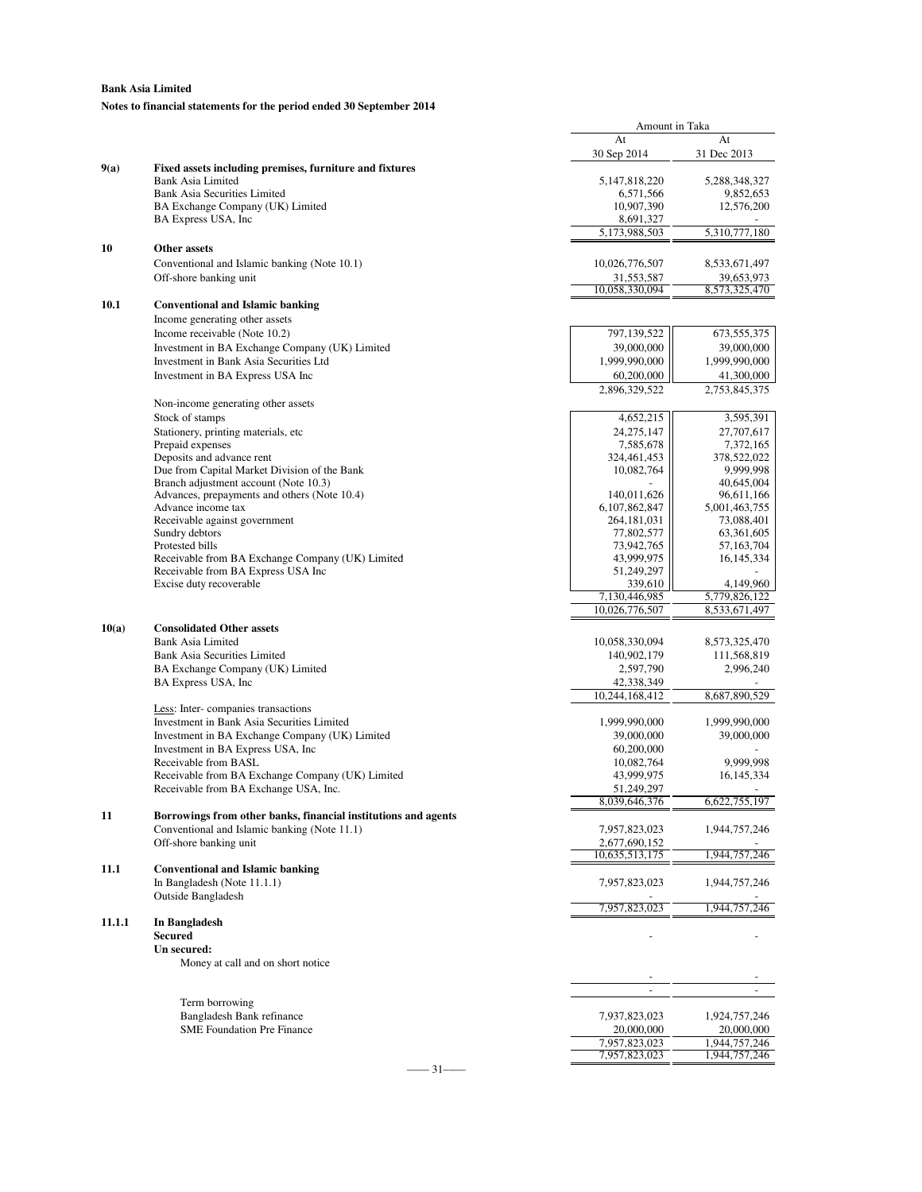### **Bank Asia Limited Notes to financial statements for the period ended 30 September 2014**

|        |                                                                                       | At                       | At                      |
|--------|---------------------------------------------------------------------------------------|--------------------------|-------------------------|
|        |                                                                                       | 30 Sep 2014              | 31 Dec 2013             |
| 9(a)   | Fixed assets including premises, furniture and fixtures                               |                          |                         |
|        | <b>Bank Asia Limited</b>                                                              | 5, 147, 818, 220         | 5,288,348,327           |
|        | <b>Bank Asia Securities Limited</b>                                                   | 6,571,566                | 9,852,653               |
|        | BA Exchange Company (UK) Limited                                                      | 10,907,390               | 12,576,200              |
|        | BA Express USA, Inc                                                                   | 8,691,327                |                         |
|        |                                                                                       | 5,173,988,503            | 5,310,777,180           |
| 10     | Other assets                                                                          |                          |                         |
|        | Conventional and Islamic banking (Note 10.1)                                          | 10,026,776,507           | 8,533,671,497           |
|        | Off-shore banking unit                                                                | 31,553,587               | 39,653,973              |
|        |                                                                                       | 10,058,330,094           | 8,573,325,470           |
| 10.1   | <b>Conventional and Islamic banking</b>                                               |                          |                         |
|        | Income generating other assets                                                        |                          |                         |
|        | Income receivable (Note 10.2)                                                         | 797,139,522              | 673, 555, 375           |
|        | Investment in BA Exchange Company (UK) Limited                                        | 39,000,000               | 39,000,000              |
|        | Investment in Bank Asia Securities Ltd                                                | 1,999,990,000            | 1,999,990,000           |
|        | Investment in BA Express USA Inc                                                      | 60,200,000               | 41,300,000              |
|        |                                                                                       | 2,896,329,522            | 2,753,845,375           |
|        |                                                                                       |                          |                         |
|        | Non-income generating other assets                                                    |                          |                         |
|        | Stock of stamps                                                                       | 4,652,215                | 3,595,391               |
|        | Stationery, printing materials, etc                                                   | 24, 275, 147             | 27,707,617              |
|        | Prepaid expenses                                                                      | 7,585,678                | 7,372,165               |
|        | Deposits and advance rent                                                             | 324,461,453              | 378,522,022             |
|        | Due from Capital Market Division of the Bank<br>Branch adjustment account (Note 10.3) | 10,082,764               | 9,999,998<br>40,645,004 |
|        | Advances, prepayments and others (Note 10.4)                                          | 140,011,626              | 96,611,166              |
|        | Advance income tax                                                                    | 6,107,862,847            | 5,001,463,755           |
|        | Receivable against government                                                         | 264, 181, 031            | 73,088,401              |
|        | Sundry debtors                                                                        | 77,802,577               | 63,361,605              |
|        | Protested bills                                                                       | 73,942,765               | 57,163,704              |
|        | Receivable from BA Exchange Company (UK) Limited                                      | 43,999,975               | 16,145,334              |
|        | Receivable from BA Express USA Inc                                                    | 51,249,297               |                         |
|        | Excise duty recoverable                                                               | 339,610                  | 4,149,960               |
|        |                                                                                       | 7,130,446,985            | 5,779,826,122           |
|        |                                                                                       | 10,026,776,507           | 8,533,671,497           |
| 10(a)  | <b>Consolidated Other assets</b>                                                      |                          |                         |
|        | Bank Asia Limited                                                                     | 10,058,330,094           | 8,573,325,470           |
|        | <b>Bank Asia Securities Limited</b>                                                   | 140,902,179              | 111,568,819             |
|        | BA Exchange Company (UK) Limited                                                      | 2,597,790                | 2,996,240               |
|        | BA Express USA, Inc.                                                                  | 42,338,349               |                         |
|        |                                                                                       | 10,244,168,412           | 8,687,890,529           |
|        | Less: Inter-companies transactions                                                    |                          |                         |
|        | Investment in Bank Asia Securities Limited                                            | 1,999,990,000            | 1,999,990,000           |
|        | Investment in BA Exchange Company (UK) Limited                                        | 39,000,000               | 39,000,000              |
|        | Investment in BA Express USA, Inc.                                                    | 60,200,000               |                         |
|        | Receivable from BASL                                                                  | 10,082,764               | 9,999,998               |
|        | Receivable from BA Exchange Company (UK) Limited                                      | 43,999,975               | 16, 145, 334            |
|        | Receivable from BA Exchange USA, Inc.                                                 | 51,249,297               |                         |
|        |                                                                                       | 8,039,646,376            | 6,622,755,197           |
| 11     | Borrowings from other banks, financial institutions and agents                        |                          |                         |
|        | Conventional and Islamic banking (Note 11.1)                                          | 7,957,823,023            | 1,944,757,246           |
|        | Off-shore banking unit                                                                | 2,677,690,152            |                         |
|        |                                                                                       | 10,635,513,175           | 1,944,757,246           |
| 11.1   | <b>Conventional and Islamic banking</b>                                               |                          |                         |
|        | In Bangladesh (Note 11.1.1)                                                           | 7,957,823,023            | 1,944,757,246           |
|        | <b>Outside Bangladesh</b>                                                             |                          |                         |
|        |                                                                                       | 7,957,823,023            | 1,944,757,246           |
| 11.1.1 | In Bangladesh                                                                         |                          |                         |
|        | <b>Secured</b>                                                                        |                          |                         |
|        | Un secured:                                                                           |                          |                         |
|        | Money at call and on short notice                                                     |                          |                         |
|        |                                                                                       |                          |                         |
|        |                                                                                       | $\overline{\phantom{a}}$ |                         |
|        | Term borrowing                                                                        |                          |                         |
|        | Bangladesh Bank refinance                                                             | 7,937,823,023            | 1,924,757,246           |
|        | <b>SME Foundation Pre Finance</b>                                                     | 20,000,000               | 20,000,000              |
|        |                                                                                       | 7,957,823,023            | 1,944,757,246           |
|        |                                                                                       | 7,957,823,023            | 1,944,757,246           |

Amount in Taka

–––– 31––––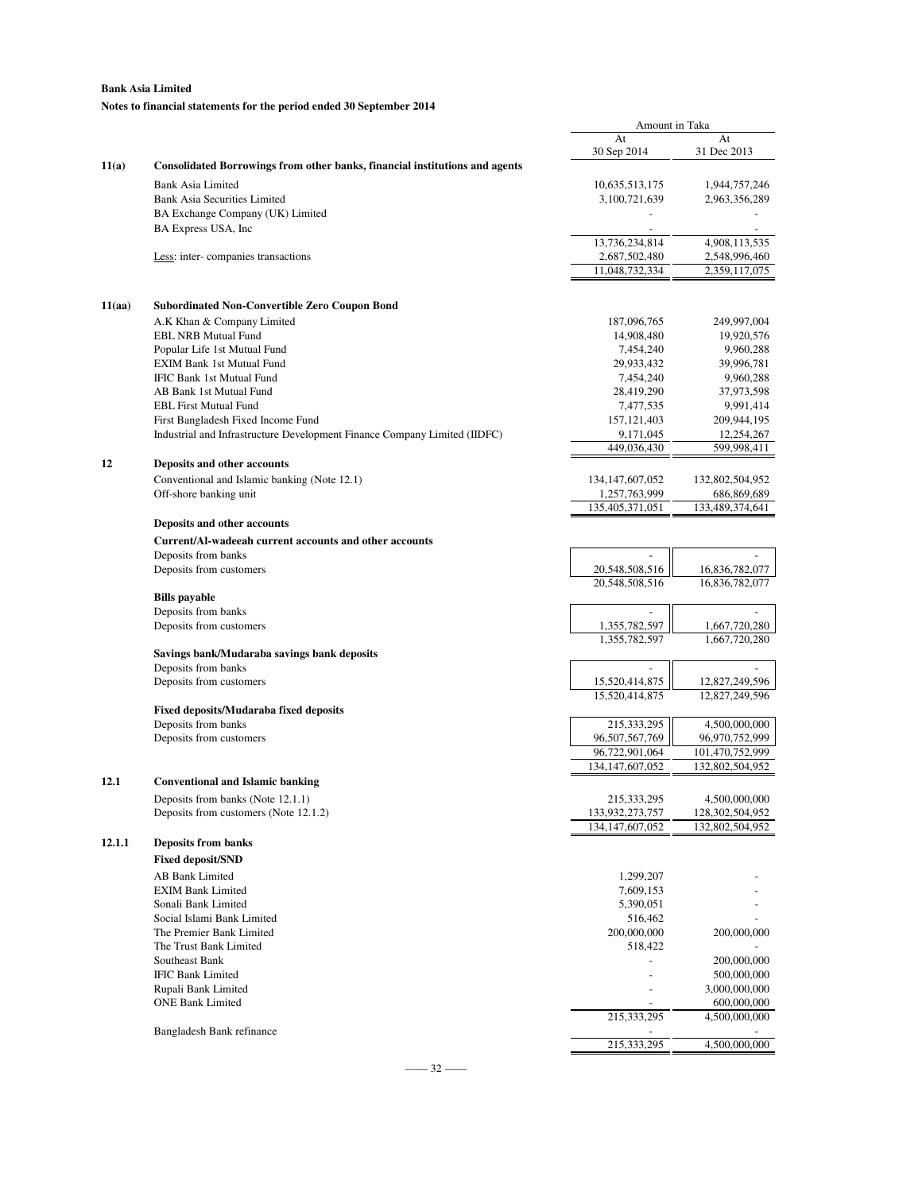### **Notes to financial statements for the period ended 30 September 2014**

|        |                                                                                    | Amount in Taka                      |                                |
|--------|------------------------------------------------------------------------------------|-------------------------------------|--------------------------------|
|        |                                                                                    | At                                  | At                             |
|        |                                                                                    | 30 Sep 2014                         | 31 Dec 2013                    |
| 11(a)  | <b>Consolidated Borrowings from other banks, financial institutions and agents</b> |                                     |                                |
|        | <b>Bank Asia Limited</b>                                                           | 10,635,513,175                      | 1,944,757,246                  |
|        | <b>Bank Asia Securities Limited</b>                                                | 3,100,721,639                       | 2,963,356,289                  |
|        | BA Exchange Company (UK) Limited                                                   |                                     |                                |
|        | BA Express USA, Inc                                                                | 13,736,234,814                      | 4,908,113,535                  |
|        | Less: inter-companies transactions                                                 | 2,687,502,480                       | 2,548,996,460                  |
|        |                                                                                    | 11,048,732,334                      | 2,359,117,075                  |
|        |                                                                                    |                                     |                                |
| 11(aa) | <b>Subordinated Non-Convertible Zero Coupon Bond</b>                               |                                     |                                |
|        | A.K Khan & Company Limited                                                         | 187,096,765                         | 249,997,004                    |
|        | <b>EBL NRB Mutual Fund</b>                                                         | 14,908,480                          | 19,920,576                     |
|        | Popular Life 1st Mutual Fund                                                       | 7,454,240                           | 9,960,288                      |
|        | <b>EXIM Bank 1st Mutual Fund</b>                                                   | 29,933,432                          | 39,996,781                     |
|        | IFIC Bank 1st Mutual Fund                                                          | 7,454,240                           | 9,960,288                      |
|        | AB Bank 1st Mutual Fund                                                            | 28,419,290                          | 37,973,598                     |
|        | <b>EBL First Mutual Fund</b>                                                       | 7,477,535                           | 9,991,414                      |
|        | First Bangladesh Fixed Income Fund                                                 | 157, 121, 403                       | 209,944,195                    |
|        | Industrial and Infrastructure Development Finance Company Limited (IIDFC)          | 9,171,045<br>449,036,430            | 12,254,267<br>599.998.411      |
| 12     | Deposits and other accounts                                                        |                                     |                                |
|        |                                                                                    |                                     |                                |
|        | Conventional and Islamic banking (Note 12.1)<br>Off-shore banking unit             | 134, 147, 607, 052<br>1,257,763,999 | 132,802,504,952<br>686,869,689 |
|        |                                                                                    | 135,405,371,051                     | 133,489,374,641                |
|        | Deposits and other accounts                                                        |                                     |                                |
|        | Current/Al-wadeeah current accounts and other accounts                             |                                     |                                |
|        | Deposits from banks                                                                |                                     |                                |
|        | Deposits from customers                                                            | 20,548,508,516                      | 16,836,782,077                 |
|        |                                                                                    | 20,548,508,516                      | 16,836,782,077                 |
|        | <b>Bills</b> payable                                                               |                                     |                                |
|        | Deposits from banks                                                                |                                     |                                |
|        | Deposits from customers                                                            | 1,355,782,597                       | 1,667,720,280                  |
|        |                                                                                    | 1,355,782,597                       | 1,667,720,280                  |
|        | Savings bank/Mudaraba savings bank deposits<br>Deposits from banks                 |                                     |                                |
|        | Deposits from customers                                                            | 15,520,414,875                      | 12,827,249,596                 |
|        |                                                                                    | 15,520,414,875                      | 12,827,249,596                 |
|        | <b>Fixed deposits/Mudaraba fixed deposits</b>                                      |                                     |                                |
|        | Deposits from banks                                                                | 215,333,295                         | 4,500,000,000                  |
|        | Deposits from customers                                                            | 96,507,567,769                      | 96,970,752,999                 |
|        |                                                                                    | 96,722,901,064                      | 101,470,752,999                |
|        |                                                                                    | 134, 147, 607, 052                  | 132,802,504,952                |
| 12.1   | <b>Conventional and Islamic banking</b>                                            |                                     |                                |
|        | Deposits from banks (Note 12.1.1)                                                  | 215,333,295                         | 4,500,000,000                  |
|        | Deposits from customers (Note 12.1.2)                                              | 133,932,273,757                     | 128,302,504,952                |
|        |                                                                                    | 134, 147, 607, 052                  | 132,802,504,952                |
| 12.1.1 | <b>Deposits from banks</b>                                                         |                                     |                                |
|        | <b>Fixed deposit/SND</b>                                                           |                                     |                                |
|        | <b>AB Bank Limited</b>                                                             | 1,299,207                           |                                |
|        | <b>EXIM Bank Limited</b>                                                           | 7,609,153                           |                                |
|        | Sonali Bank Limited                                                                | 5,390,051                           |                                |
|        | Social Islami Bank Limited<br>The Premier Bank Limited                             | 516,462<br>200,000,000              | 200,000,000                    |
|        | The Trust Bank Limited                                                             | 518,422                             |                                |
|        | Southeast Bank                                                                     |                                     | 200,000,000                    |
|        | <b>IFIC Bank Limited</b>                                                           |                                     | 500,000,000                    |
|        | Rupali Bank Limited                                                                |                                     | 3,000,000,000                  |
|        | <b>ONE Bank Limited</b>                                                            |                                     | 600,000,000                    |
|        |                                                                                    | 215,333,295                         | 4,500,000,000                  |
|        | Bangladesh Bank refinance                                                          |                                     |                                |
|        |                                                                                    | 215,333,295                         | 4,500,000,000                  |

–––– 32 ––––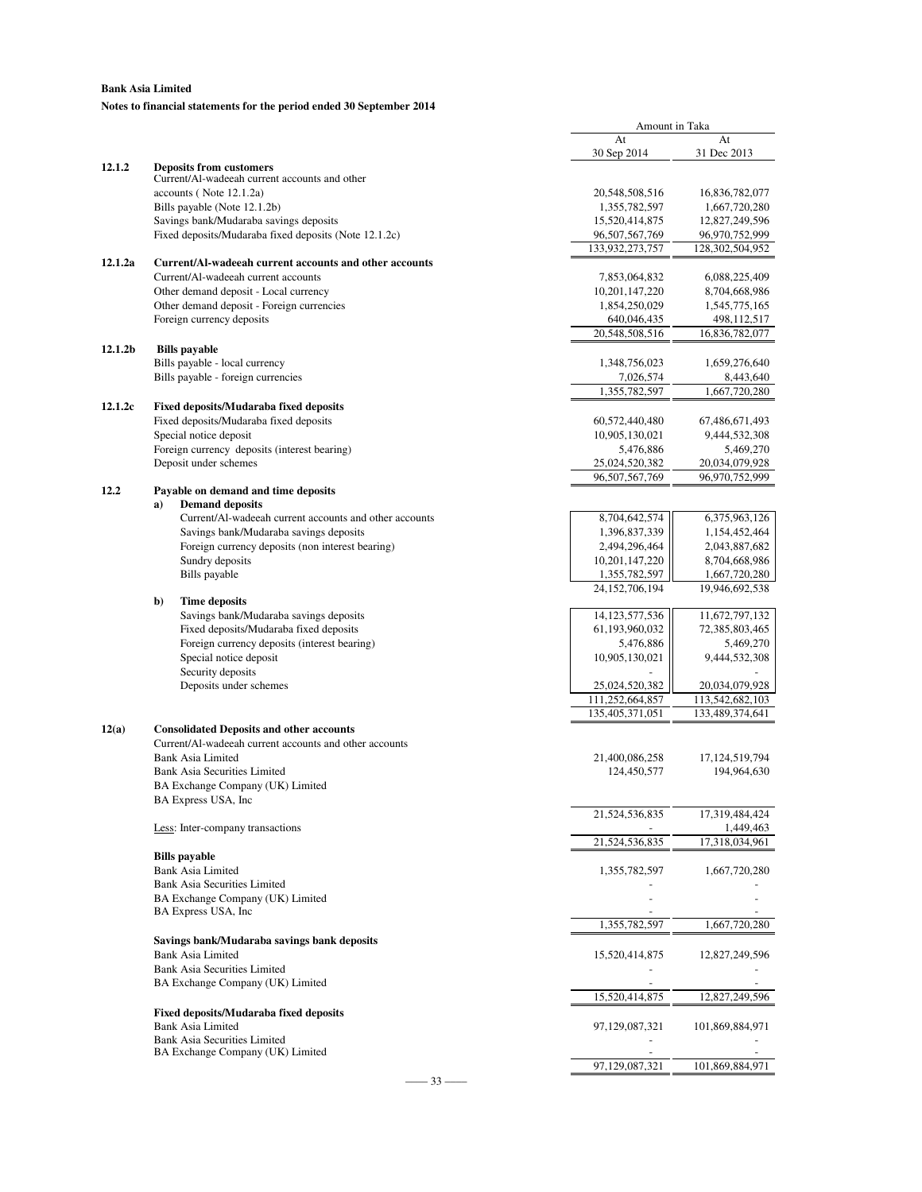### **Notes to financial statements for the period ended 30 September 2014**

|         |                                                                                    | Amount in Taka               |                              |
|---------|------------------------------------------------------------------------------------|------------------------------|------------------------------|
|         |                                                                                    | At                           | At                           |
| 12.1.2  |                                                                                    | 30 Sep 2014                  | 31 Dec 2013                  |
|         | <b>Deposits from customers</b><br>Current/Al-wadeeah current accounts and other    |                              |                              |
|         | accounts (Note 12.1.2a)                                                            | 20,548,508,516               | 16,836,782,077               |
|         | Bills payable (Note 12.1.2b)                                                       | 1,355,782,597                | 1,667,720,280                |
|         | Savings bank/Mudaraba savings deposits                                             | 15,520,414,875               | 12,827,249,596               |
|         | Fixed deposits/Mudaraba fixed deposits (Note 12.1.2c)                              | 96,507,567,769               | 96,970,752,999               |
|         |                                                                                    | 133,932,273,757              | 128,302,504,952              |
| 12.1.2a | Current/Al-wadeeah current accounts and other accounts                             |                              |                              |
|         | Current/Al-wadeeah current accounts                                                | 7,853,064,832                | 6,088,225,409                |
|         | Other demand deposit - Local currency<br>Other demand deposit - Foreign currencies | 10,201,147,220               | 8,704,668,986                |
|         | Foreign currency deposits                                                          | 1,854,250,029<br>640,046,435 | 1,545,775,165<br>498,112,517 |
|         |                                                                                    | 20,548,508,516               | 16,836,782,077               |
| 12.1.2b | <b>Bills</b> payable                                                               |                              |                              |
|         | Bills payable - local currency                                                     | 1,348,756,023                | 1,659,276,640                |
|         | Bills payable - foreign currencies                                                 | 7,026,574                    | 8,443,640                    |
|         |                                                                                    | 1,355,782,597                | 1,667,720,280                |
| 12.1.2c | <b>Fixed deposits/Mudaraba fixed deposits</b>                                      |                              |                              |
|         | Fixed deposits/Mudaraba fixed deposits                                             | 60,572,440,480               | 67,486,671,493               |
|         | Special notice deposit                                                             | 10,905,130,021               | 9,444,532,308                |
|         | Foreign currency deposits (interest bearing)                                       | 5,476,886                    | 5,469,270                    |
|         | Deposit under schemes                                                              | 25,024,520,382               | 20,034,079,928               |
|         |                                                                                    | 96,507,567,769               | 96,970,752,999               |
| 12.2    | Payable on demand and time deposits<br><b>Demand deposits</b><br>a)                |                              |                              |
|         | Current/Al-wadeeah current accounts and other accounts                             | 8,704,642,574                | 6,375,963,126                |
|         | Savings bank/Mudaraba savings deposits                                             | 1,396,837,339                | 1,154,452,464                |
|         | Foreign currency deposits (non interest bearing)                                   | 2,494,296,464                | 2,043,887,682                |
|         | Sundry deposits                                                                    | 10,201,147,220               | 8,704,668,986                |
|         | Bills payable                                                                      | 1,355,782,597                | 1,667,720,280                |
|         |                                                                                    | 24, 152, 706, 194            | 19,946,692,538               |
|         | b)<br><b>Time deposits</b>                                                         |                              |                              |
|         | Savings bank/Mudaraba savings deposits                                             | 14, 123, 577, 536            | 11,672,797,132               |
|         | Fixed deposits/Mudaraba fixed deposits                                             | 61,193,960,032               | 72,385,803,465               |
|         | Foreign currency deposits (interest bearing)<br>Special notice deposit             | 5,476,886<br>10,905,130,021  | 5,469,270<br>9,444,532,308   |
|         | Security deposits                                                                  |                              |                              |
|         | Deposits under schemes                                                             | 25,024,520,382               | 20,034,079,928               |
|         |                                                                                    | 111,252,664,857              | 113,542,682,103              |
|         |                                                                                    | 135,405,371,051              | 133,489,374,641              |
| 12(a)   | <b>Consolidated Deposits and other accounts</b>                                    |                              |                              |
|         | Current/Al-wadeeah current accounts and other accounts                             |                              |                              |
|         | <b>Bank Asia Limited</b>                                                           | 21,400,086,258               | 17, 124, 519, 794            |
|         | <b>Bank Asia Securities Limited</b>                                                | 124,450,577                  | 194,964,630                  |
|         | BA Exchange Company (UK) Limited                                                   |                              |                              |
|         | BA Express USA, Inc.                                                               |                              |                              |
|         |                                                                                    | 21,524,536,835               | 17,319,484,424               |
|         | Less: Inter-company transactions                                                   | 21,524,536,835               | 1,449,463<br>17,318,034,961  |
|         | <b>Bills</b> payable                                                               |                              |                              |
|         | Bank Asia Limited                                                                  | 1,355,782,597                | 1,667,720,280                |
|         | <b>Bank Asia Securities Limited</b>                                                |                              |                              |
|         | BA Exchange Company (UK) Limited                                                   |                              |                              |
|         | BA Express USA, Inc.                                                               |                              |                              |
|         |                                                                                    | 1,355,782,597                | 1,667,720,280                |
|         | Savings bank/Mudaraba savings bank deposits                                        |                              |                              |
|         | Bank Asia Limited                                                                  | 15,520,414,875               | 12,827,249,596               |
|         | <b>Bank Asia Securities Limited</b>                                                |                              |                              |
|         | BA Exchange Company (UK) Limited                                                   |                              |                              |
|         |                                                                                    | 15,520,414,875               | 12,827,249,596               |
|         | <b>Fixed deposits/Mudaraba fixed deposits</b><br>Bank Asia Limited                 |                              |                              |
|         | <b>Bank Asia Securities Limited</b>                                                | 97,129,087,321               | 101,869,884,971              |
|         | BA Exchange Company (UK) Limited                                                   |                              |                              |
|         |                                                                                    | 97,129,087,321               | 101,869,884,971              |
|         | $33 -$                                                                             |                              |                              |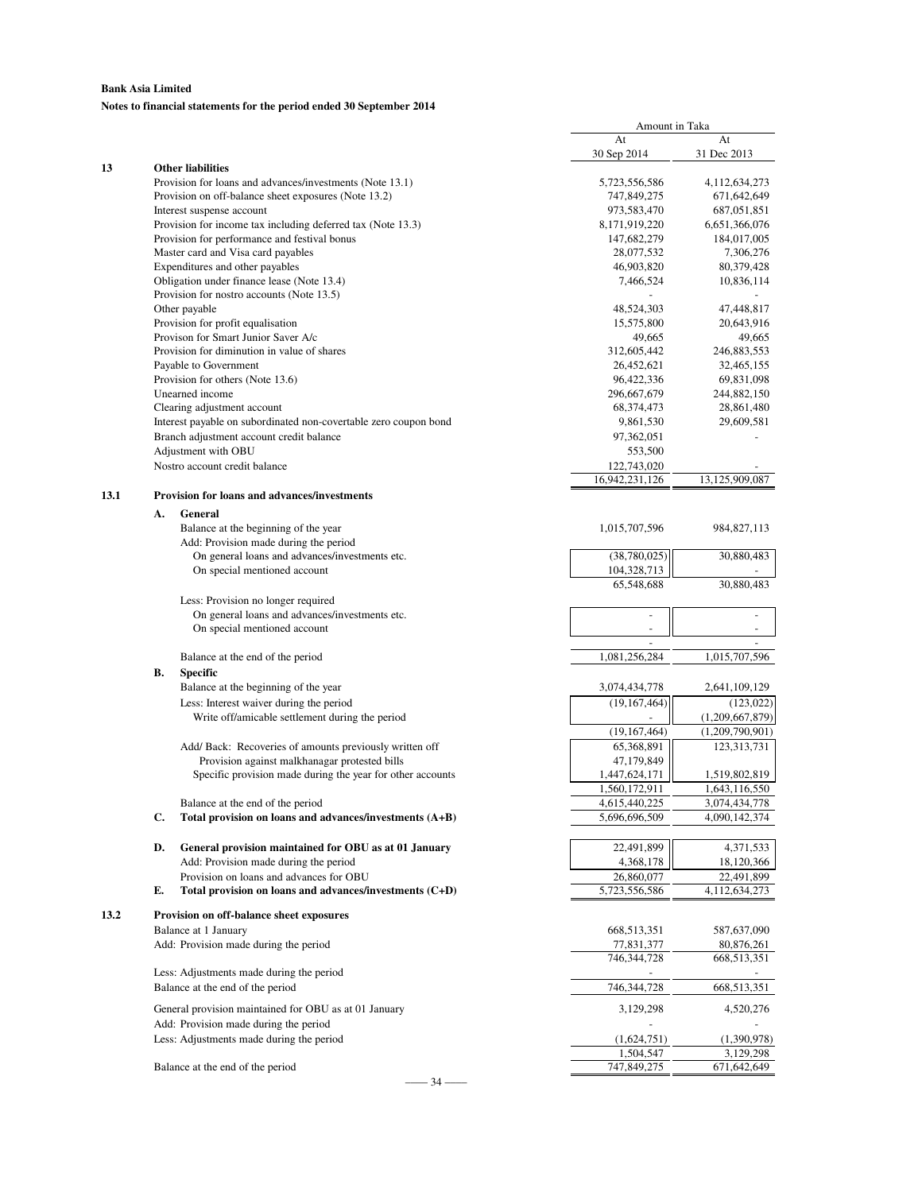### **Notes to financial statements for the period ended 30 September 2014**

|      |    |                                                                                         | Amount in Taka              |                           |
|------|----|-----------------------------------------------------------------------------------------|-----------------------------|---------------------------|
|      |    |                                                                                         | At                          | At                        |
| 13   |    | <b>Other liabilities</b>                                                                | 30 Sep 2014                 | 31 Dec 2013               |
|      |    | Provision for loans and advances/investments (Note 13.1)                                | 5,723,556,586               | 4,112,634,273             |
|      |    | Provision on off-balance sheet exposures (Note 13.2)                                    | 747,849,275                 | 671,642,649               |
|      |    | Interest suspense account                                                               | 973,583,470                 | 687,051,851               |
|      |    | Provision for income tax including deferred tax (Note 13.3)                             | 8,171,919,220               | 6,651,366,076             |
|      |    | Provision for performance and festival bonus                                            | 147,682,279                 | 184,017,005               |
|      |    | Master card and Visa card payables                                                      | 28,077,532                  | 7,306,276                 |
|      |    | Expenditures and other payables                                                         | 46,903,820                  | 80,379,428                |
|      |    | Obligation under finance lease (Note 13.4)<br>Provision for nostro accounts (Note 13.5) | 7,466,524                   | 10,836,114                |
|      |    | Other payable                                                                           | 48,524,303                  | 47,448,817                |
|      |    | Provision for profit equalisation                                                       | 15,575,800                  | 20,643,916                |
|      |    | Provison for Smart Junior Saver A/c                                                     | 49,665                      | 49,665                    |
|      |    | Provision for diminution in value of shares                                             | 312,605,442                 | 246,883,553               |
|      |    | Payable to Government                                                                   | 26,452,621                  | 32,465,155                |
|      |    | Provision for others (Note 13.6)                                                        | 96,422,336                  | 69,831,098                |
|      |    | Unearned income                                                                         | 296,667,679                 | 244,882,150               |
|      |    | Clearing adjustment account                                                             | 68,374,473                  | 28,861,480                |
|      |    | Interest payable on subordinated non-covertable zero coupon bond                        | 9,861,530                   | 29,609,581                |
|      |    | Branch adjustment account credit balance                                                | 97,362,051                  |                           |
|      |    | Adjustment with OBU                                                                     | 553,500                     |                           |
|      |    | Nostro account credit balance                                                           | 122,743,020                 |                           |
|      |    |                                                                                         | 16,942,231,126              | 13,125,909,087            |
| 13.1 |    | Provision for loans and advances/investments                                            |                             |                           |
|      | А. | General                                                                                 |                             |                           |
|      |    | Balance at the beginning of the year                                                    | 1,015,707,596               | 984, 827, 113             |
|      |    | Add: Provision made during the period<br>On general loans and advances/investments etc. | (38,780,025)                | 30,880,483                |
|      |    | On special mentioned account                                                            | 104,328,713                 |                           |
|      |    |                                                                                         | 65,548,688                  | 30,880,483                |
|      |    | Less: Provision no longer required                                                      |                             |                           |
|      |    | On general loans and advances/investments etc.                                          | ÷,                          |                           |
|      |    | On special mentioned account                                                            |                             |                           |
|      |    |                                                                                         |                             |                           |
|      |    | Balance at the end of the period                                                        | 1,081,256,284               | 1,015,707,596             |
|      | В. | <b>Specific</b>                                                                         |                             |                           |
|      |    | Balance at the beginning of the year                                                    | 3,074,434,778               | 2,641,109,129             |
|      |    | Less: Interest waiver during the period                                                 | (19, 167, 464)              | (123, 022)                |
|      |    | Write off/amicable settlement during the period                                         |                             | (1,209,667,879)           |
|      |    |                                                                                         | (19, 167, 464)              | (1,209,790,901)           |
|      |    | Add/ Back: Recoveries of amounts previously written off                                 | 65,368,891                  | 123,313,731               |
|      |    | Provision against malkhanagar protested bills                                           | 47,179,849                  |                           |
|      |    | Specific provision made during the year for other accounts                              | 1,447,624,171               | 1,519,802,819             |
|      |    |                                                                                         | 1.560.172.911               | 1.643.116.550             |
|      |    | Balance at the end of the period                                                        | 4,615,440,225               | 3,074,434,778             |
|      | C. | Total provision on loans and advances/investments (A+B)                                 | 5,696,696,509               | 4,090,142,374             |
|      | D. | General provision maintained for OBU as at 01 January                                   | 22,491,899                  | 4,371,533                 |
|      |    | Add: Provision made during the period                                                   | 4,368,178                   | 18,120,366                |
|      |    | Provision on loans and advances for OBU                                                 | 26,860,077                  | 22,491,899                |
|      | Е. | Total provision on loans and advances/investments (C+D)                                 | 5,723,556,586               | 4,112,634,273             |
|      |    |                                                                                         |                             |                           |
| 13.2 |    | Provision on off-balance sheet exposures                                                |                             |                           |
|      |    | Balance at 1 January                                                                    | 668,513,351                 | 587,637,090               |
|      |    | Add: Provision made during the period                                                   | 77,831,377<br>746, 344, 728 | 80,876,261<br>668,513,351 |
|      |    | Less: Adjustments made during the period                                                |                             |                           |
|      |    | Balance at the end of the period                                                        | 746,344,728                 | 668,513,351               |
|      |    |                                                                                         |                             |                           |
|      |    | General provision maintained for OBU as at 01 January                                   | 3,129,298                   | 4,520,276                 |
|      |    | Add: Provision made during the period                                                   |                             |                           |
|      |    | Less: Adjustments made during the period                                                | (1,624,751)                 | (1,390,978)               |
|      |    |                                                                                         | 1,504,547                   | 3,129,298                 |
|      |    | Balance at the end of the period<br>34                                                  | 747,849,275                 | 671,642,649               |
|      |    |                                                                                         |                             |                           |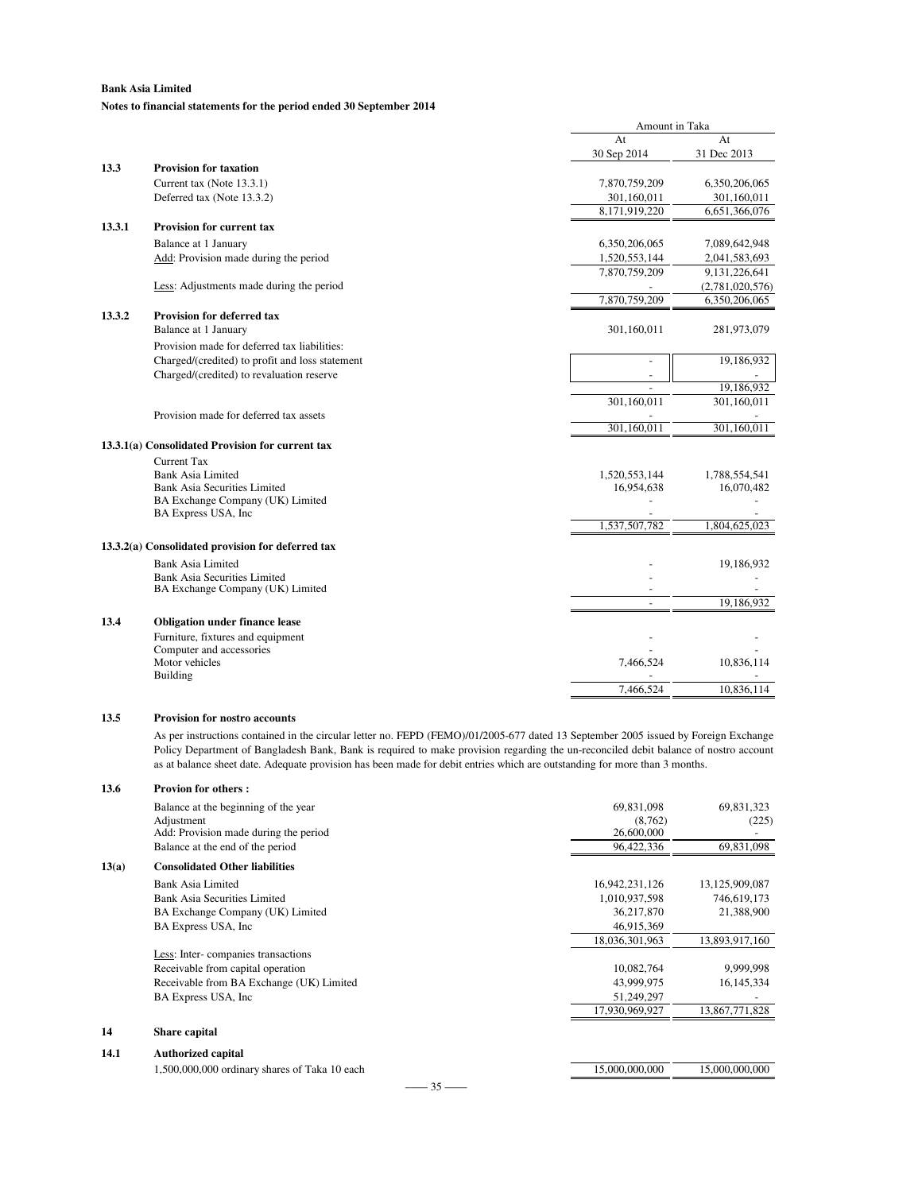### **Bank Asia Limited Notes to financial statements for the period ended 30 September 2014**

|        |                                                   | Amount in Taka |                 |
|--------|---------------------------------------------------|----------------|-----------------|
|        |                                                   | At             | At              |
|        |                                                   | 30 Sep 2014    | 31 Dec 2013     |
| 13.3   | <b>Provision for taxation</b>                     |                |                 |
|        | Current tax (Note 13.3.1)                         | 7,870,759,209  | 6,350,206,065   |
|        | Deferred tax (Note 13.3.2)                        | 301,160,011    | 301,160,011     |
|        |                                                   | 8,171,919,220  | 6,651,366,076   |
| 13.3.1 | Provision for current tax                         |                |                 |
|        | Balance at 1 January                              | 6,350,206,065  | 7,089,642,948   |
|        | Add: Provision made during the period             | 1,520,553,144  | 2,041,583,693   |
|        |                                                   | 7,870,759,209  | 9,131,226,641   |
|        | Less: Adjustments made during the period          |                | (2,781,020,576) |
|        |                                                   | 7,870,759,209  | 6,350,206,065   |
| 13.3.2 | <b>Provision for deferred tax</b>                 |                |                 |
|        | Balance at 1 January                              | 301,160,011    | 281,973,079     |
|        | Provision made for deferred tax liabilities:      |                |                 |
|        | Charged/(credited) to profit and loss statement   |                | 19,186,932      |
|        | Charged/(credited) to revaluation reserve         |                |                 |
|        |                                                   |                | 19,186,932      |
|        |                                                   | 301,160,011    | 301,160,011     |
|        | Provision made for deferred tax assets            |                |                 |
|        |                                                   | 301,160,011    | 301,160,011     |
|        | 13.3.1(a) Consolidated Provision for current tax  |                |                 |
|        | <b>Current Tax</b>                                |                |                 |
|        | <b>Bank Asia Limited</b>                          | 1,520,553,144  | 1,788,554,541   |
|        | <b>Bank Asia Securities Limited</b>               | 16,954,638     | 16,070,482      |
|        | BA Exchange Company (UK) Limited                  |                |                 |
|        | BA Express USA, Inc                               |                |                 |
|        |                                                   | 1,537,507,782  | 1,804,625,023   |
|        | 13.3.2(a) Consolidated provision for deferred tax |                |                 |
|        | <b>Bank Asia Limited</b>                          |                | 19,186,932      |
|        | <b>Bank Asia Securities Limited</b>               |                |                 |
|        | BA Exchange Company (UK) Limited                  |                |                 |
|        |                                                   |                | 19,186,932      |
| 13.4   | <b>Obligation under finance lease</b>             |                |                 |
|        | Furniture, fixtures and equipment                 |                |                 |
|        | Computer and accessories                          |                |                 |
|        | Motor vehicles                                    | 7,466,524      | 10,836,114      |
|        | Building                                          |                |                 |
|        |                                                   | 7,466,524      | 10,836,114      |
|        |                                                   |                |                 |

### **13.5 Provision for nostro accounts**

As per instructions contained in the circular letter no. FEPD (FEMO)/01/2005-677 dated 13 September 2005 issued by Foreign Exchange Policy Department of Bangladesh Bank, Bank is required to make provision regarding the un-reconciled debit balance of nostro account as at balance sheet date. Adequate provision has been made for debit entries which are outstanding for more than 3 months.

| 13.6  | <b>Provion for others:</b>                         |                       |                     |
|-------|----------------------------------------------------|-----------------------|---------------------|
|       | Balance at the beginning of the year<br>Adjustment | 69,831,098<br>(8,762) | 69,831,323<br>(225) |
|       | Add: Provision made during the period              | 26,600,000            |                     |
|       | Balance at the end of the period                   | 96,422,336            | 69,831,098          |
| 13(a) | <b>Consolidated Other liabilities</b>              |                       |                     |
|       | Bank Asia Limited                                  | 16,942,231,126        | 13,125,909,087      |
|       | Bank Asia Securities Limited                       | 1,010,937,598         | 746,619,173         |
|       | BA Exchange Company (UK) Limited                   | 36,217,870            | 21,388,900          |
|       | BA Express USA, Inc.                               | 46,915,369            |                     |
|       |                                                    | 18,036,301,963        | 13,893,917,160      |
|       | Less: Inter-companies transactions                 |                       |                     |
|       | Receivable from capital operation                  | 10,082,764            | 9,999,998           |
|       | Receivable from BA Exchange (UK) Limited           | 43,999,975            | 16, 145, 334        |
|       | BA Express USA, Inc.                               | 51,249,297            |                     |
|       |                                                    | 17,930,969,927        | 13,867,771,828      |
| 14    | Share capital                                      |                       |                     |
| 14.1  | <b>Authorized capital</b>                          |                       |                     |
|       | 1,500,000,000 ordinary shares of Taka 10 each      | 15,000,000,000        | 15,000,000,000      |
|       | $-$ 35 $-$                                         |                       |                     |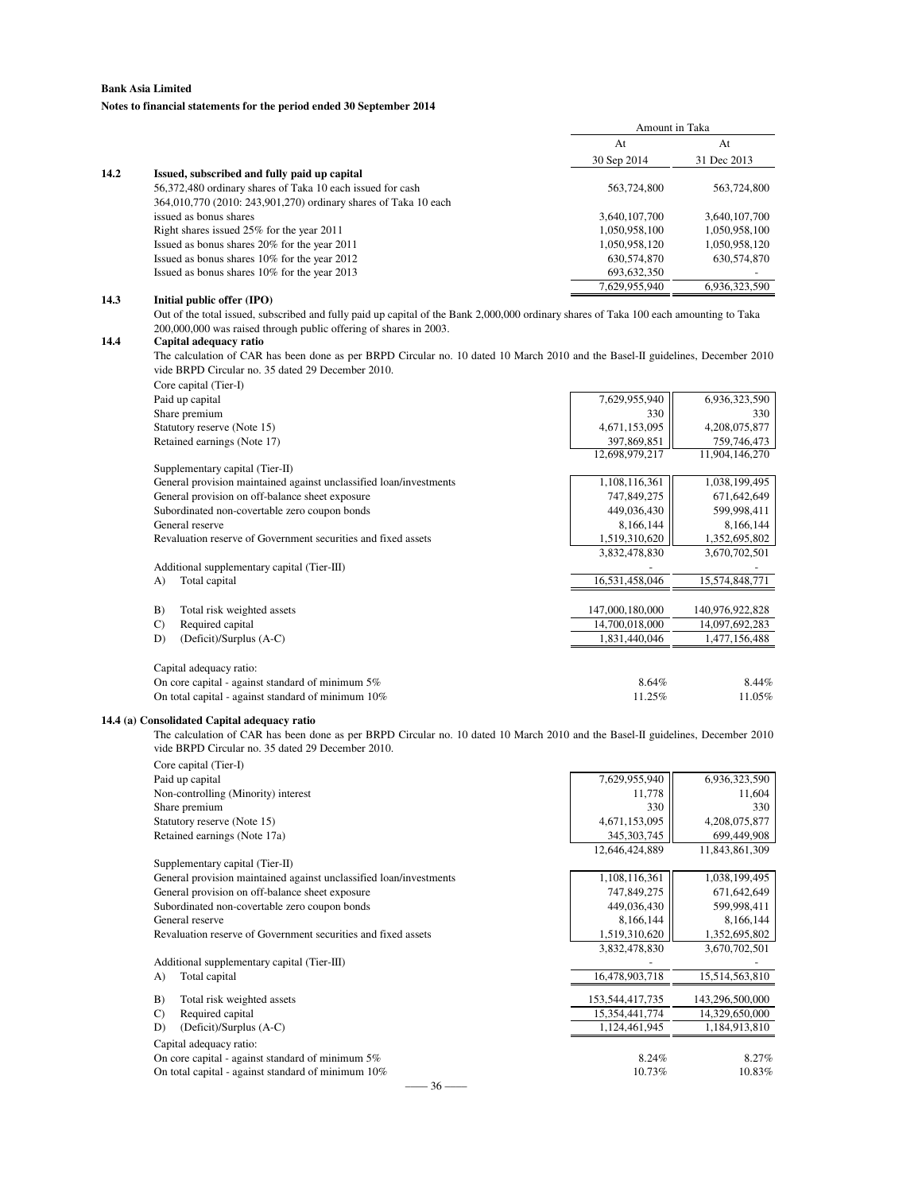### **Notes to financial statements for the period ended 30 September 2014**

|      |                                                                 | Amount in Taka |                          |
|------|-----------------------------------------------------------------|----------------|--------------------------|
|      |                                                                 | At             | At                       |
|      |                                                                 | 30 Sep 2014    | 31 Dec 2013              |
| 14.2 | Issued, subscribed and fully paid up capital                    |                |                          |
|      | 56,372,480 ordinary shares of Taka 10 each issued for cash      | 563,724,800    | 563,724,800              |
|      | 364,010,770 (2010: 243,901,270) ordinary shares of Taka 10 each |                |                          |
|      | issued as bonus shares                                          | 3,640,107,700  | 3,640,107,700            |
|      | Right shares issued 25% for the year 2011                       | 1,050,958,100  | 1,050,958,100            |
|      | Issued as bonus shares 20% for the year 2011                    | 1,050,958,120  | 1,050,958,120            |
|      | Issued as bonus shares 10% for the year 2012                    | 630, 574, 870  | 630, 574, 870            |
|      | Issued as bonus shares 10% for the year 2013                    | 693, 632, 350  | $\overline{\phantom{a}}$ |
|      |                                                                 | 7.629.955.940  | 6.936.323.590            |

### **14.3 Initial public offer (IPO)**

Out of the total issued, subscribed and fully paid up capital of the Bank 2,000,000 ordinary shares of Taka 100 each amounting to Taka 200,000,000 was raised through public offering of shares in 2003.

#### **14.4 Capital adequacy ratio**

The calculation of CAR has been done as per BRPD Circular no. 10 dated 10 March 2010 and the Basel-II guidelines, December 2010 vide BRPD Circular no. 35 dated 29 December 2010.

| Core capital (Tier-I)                                              |                 |                 |
|--------------------------------------------------------------------|-----------------|-----------------|
| Paid up capital                                                    | 7,629,955,940   | 6,936,323,590   |
| Share premium                                                      | 330             | 330             |
| Statutory reserve (Note 15)                                        | 4,671,153,095   | 4,208,075,877   |
| Retained earnings (Note 17)                                        | 397,869,851     | 759,746,473     |
|                                                                    | 12,698,979,217  | 11,904,146,270  |
| Supplementary capital (Tier-II)                                    |                 |                 |
| General provision maintained against unclassified loan/investments | 1,108,116,361   | 1,038,199,495   |
| General provision on off-balance sheet exposure                    | 747,849,275     | 671,642,649     |
| Subordinated non-covertable zero coupon bonds                      | 449,036,430     | 599,998,411     |
| General reserve                                                    | 8,166,144       | 8,166,144       |
| Revaluation reserve of Government securities and fixed assets      | 1,519,310,620   | 1,352,695,802   |
|                                                                    | 3,832,478,830   | 3,670,702,501   |
| Additional supplementary capital (Tier-III)                        |                 |                 |
| Total capital<br>A)                                                | 16,531,458,046  | 15,574,848,771  |
|                                                                    |                 |                 |
| Total risk weighted assets<br>B)                                   | 147,000,180,000 | 140,976,922,828 |
| Required capital<br>$\mathcal{C}$                                  | 14,700,018,000  | 14,097,692,283  |
| (Deficit)/Surplus (A-C)<br>D)                                      | 1,831,440,046   | 1,477,156,488   |
|                                                                    |                 |                 |
| Capital adequacy ratio:                                            |                 |                 |
| On core capital - against standard of minimum $5\%$                | 8.64%           | 8.44%           |
| On total capital - against standard of minimum 10%                 | 11.25%          | 11.05%          |

### **14.4 (a) Consolidated Capital adequacy ratio**

The calculation of CAR has been done as per BRPD Circular no. 10 dated 10 March 2010 and the Basel-II guidelines, December 2010 vide BRPD Circular no. 35 dated 29 December 2010.

| Core capital (Tier-I)                                              |                 |                 |
|--------------------------------------------------------------------|-----------------|-----------------|
| Paid up capital                                                    | 7,629,955,940   | 6,936,323,590   |
| Non-controlling (Minority) interest                                | 11,778          | 11,604          |
| Share premium                                                      | 330             | 330             |
| Statutory reserve (Note 15)                                        | 4,671,153,095   | 4,208,075,877   |
| Retained earnings (Note 17a)                                       | 345, 303, 745   | 699,449,908     |
|                                                                    | 12,646,424,889  | 11,843,861,309  |
| Supplementary capital (Tier-II)                                    |                 |                 |
| General provision maintained against unclassified loan/investments | 1,108,116,361   | 1,038,199,495   |
| General provision on off-balance sheet exposure                    | 747,849,275     | 671,642,649     |
| Subordinated non-covertable zero coupon bonds                      | 449,036,430     | 599,998,411     |
| General reserve                                                    | 8,166,144       | 8,166,144       |
| Revaluation reserve of Government securities and fixed assets      | 1,519,310,620   | 1,352,695,802   |
|                                                                    | 3,832,478,830   | 3,670,702,501   |
| Additional supplementary capital (Tier-III)                        |                 |                 |
| Total capital<br>A)                                                | 16,478,903,718  | 15,514,563,810  |
| Total risk weighted assets<br>B)                                   | 153,544,417,735 | 143,296,500,000 |
| Required capital<br>$\mathbf{C}$                                   | 15,354,441,774  | 14,329,650,000  |
| (Deficit)/Surplus (A-C)<br>D)                                      | 1,124,461,945   | 1,184,913,810   |
| Capital adequacy ratio:                                            |                 |                 |
| On core capital - against standard of minimum $5\%$                | 8.24%           | 8.27%           |
| On total capital - against standard of minimum $10\%$              | 10.73%          | 10.83%          |
| $-36$ —                                                            |                 |                 |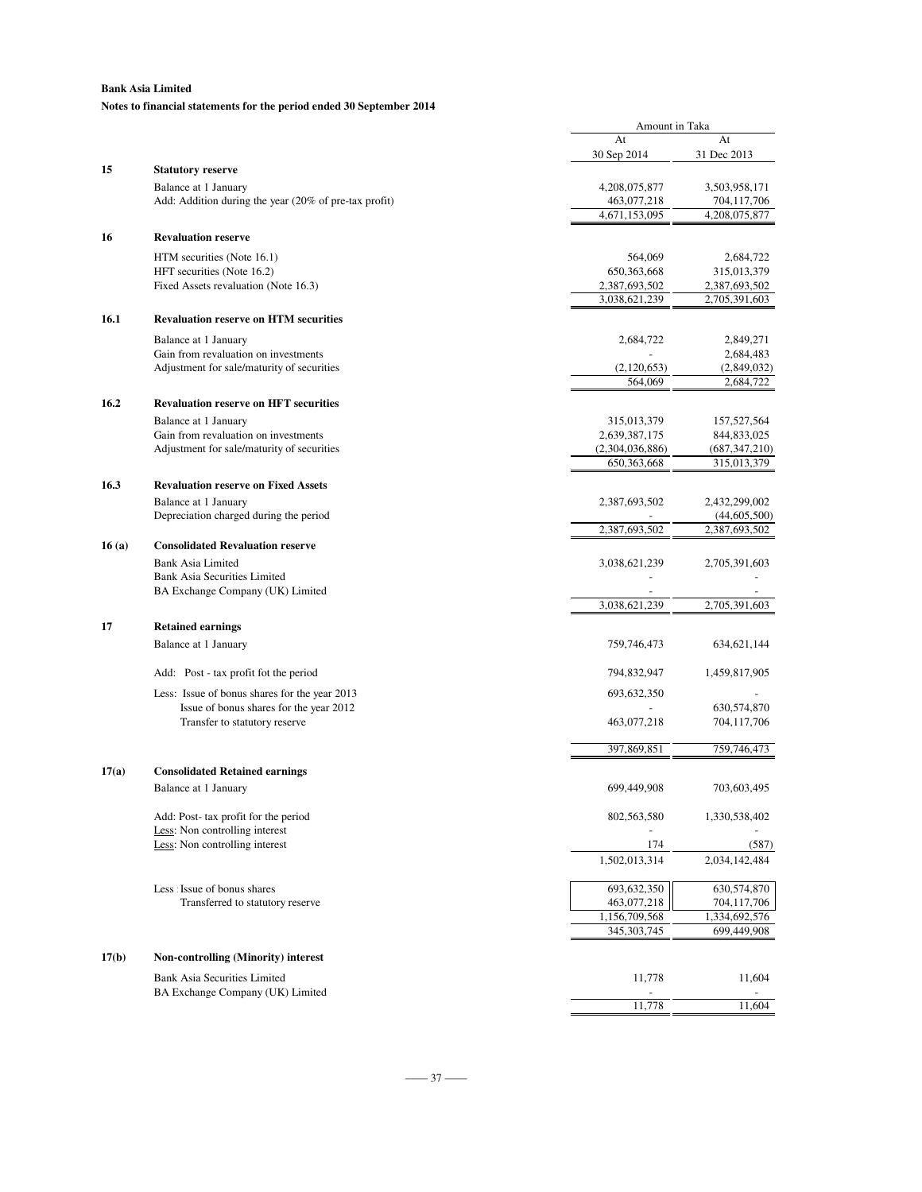### **Notes to financial statements for the period ended 30 September 2014**

|       |                                                                               | Amount in Taka                 |                                |
|-------|-------------------------------------------------------------------------------|--------------------------------|--------------------------------|
|       |                                                                               | At                             | At                             |
|       |                                                                               | 30 Sep 2014                    | 31 Dec 2013                    |
| 15    | <b>Statutory reserve</b>                                                      |                                |                                |
|       | Balance at 1 January<br>Add: Addition during the year (20% of pre-tax profit) | 4,208,075,877                  | 3,503,958,171<br>704,117,706   |
|       |                                                                               | 463,077,218<br>4,671,153,095   | 4,208,075,877                  |
|       |                                                                               |                                |                                |
| 16    | <b>Revaluation reserve</b>                                                    |                                |                                |
|       | HTM securities (Note 16.1)                                                    | 564,069                        | 2,684,722                      |
|       | HFT securities (Note 16.2)                                                    | 650, 363, 668                  | 315,013,379                    |
|       | Fixed Assets revaluation (Note 16.3)                                          | 2,387,693,502<br>3,038,621,239 | 2,387,693,502<br>2,705,391,603 |
| 16.1  | <b>Revaluation reserve on HTM securities</b>                                  |                                |                                |
|       |                                                                               |                                |                                |
|       | Balance at 1 January<br>Gain from revaluation on investments                  | 2,684,722                      | 2,849,271                      |
|       | Adjustment for sale/maturity of securities                                    | (2,120,653)                    | 2,684,483<br>(2,849,032)       |
|       |                                                                               | 564,069                        | 2,684,722                      |
| 16.2  | <b>Revaluation reserve on HFT securities</b>                                  |                                |                                |
|       | Balance at 1 January                                                          | 315,013,379                    |                                |
|       | Gain from revaluation on investments                                          | 2,639,387,175                  | 157,527,564<br>844,833,025     |
|       | Adjustment for sale/maturity of securities                                    | (2,304,036,886)                | (687, 347, 210)                |
|       |                                                                               | 650, 363, 668                  | 315,013,379                    |
| 16.3  | <b>Revaluation reserve on Fixed Assets</b>                                    |                                |                                |
|       | Balance at 1 January                                                          | 2,387,693,502                  | 2,432,299,002                  |
|       | Depreciation charged during the period                                        |                                | (44, 605, 500)                 |
|       |                                                                               | 2,387,693,502                  | 2,387,693,502                  |
| 16(a) | <b>Consolidated Revaluation reserve</b>                                       |                                |                                |
|       | <b>Bank Asia Limited</b>                                                      | 3,038,621,239                  | 2,705,391,603                  |
|       | <b>Bank Asia Securities Limited</b>                                           |                                |                                |
|       | BA Exchange Company (UK) Limited                                              | 3,038,621,239                  | 2,705,391,603                  |
|       |                                                                               |                                |                                |
| 17    | <b>Retained earnings</b>                                                      |                                |                                |
|       | Balance at 1 January                                                          | 759,746,473                    | 634,621,144                    |
|       | Add: Post - tax profit fot the period                                         | 794,832,947                    | 1,459,817,905                  |
|       |                                                                               |                                |                                |
|       | Less: Issue of bonus shares for the year 2013                                 | 693, 632, 350                  |                                |
|       | Issue of bonus shares for the year 2012<br>Transfer to statutory reserve      | 463,077,218                    | 630,574,870<br>704,117,706     |
|       |                                                                               |                                |                                |
|       |                                                                               | 397,869,851                    | 759,746,473                    |
| 17(a) | <b>Consolidated Retained earnings</b>                                         |                                |                                |
|       | Balance at 1 January                                                          | 699,449,908                    | 703,603,495                    |
|       |                                                                               |                                |                                |
|       | Add: Post- tax profit for the period                                          | 802,563,580                    | 1,330,538,402                  |
|       | Less: Non controlling interest                                                |                                |                                |
|       | Less: Non controlling interest                                                | 174                            | (587)                          |
|       |                                                                               | 1,502,013,314                  | 2,034,142,484                  |
|       | Less : Issue of bonus shares                                                  | 693,632,350                    | 630,574,870                    |
|       | Transferred to statutory reserve                                              | 463,077,218                    | 704,117,706                    |
|       |                                                                               | 1,156,709,568                  | 1,334,692,576                  |
|       |                                                                               | 345, 303, 745                  | 699,449,908                    |
| 17(b) | <b>Non-controlling (Minority) interest</b>                                    |                                |                                |
|       | <b>Bank Asia Securities Limited</b>                                           |                                | 11,604                         |
|       | BA Exchange Company (UK) Limited                                              | 11,778                         |                                |
|       |                                                                               | 11,778                         | 11,604                         |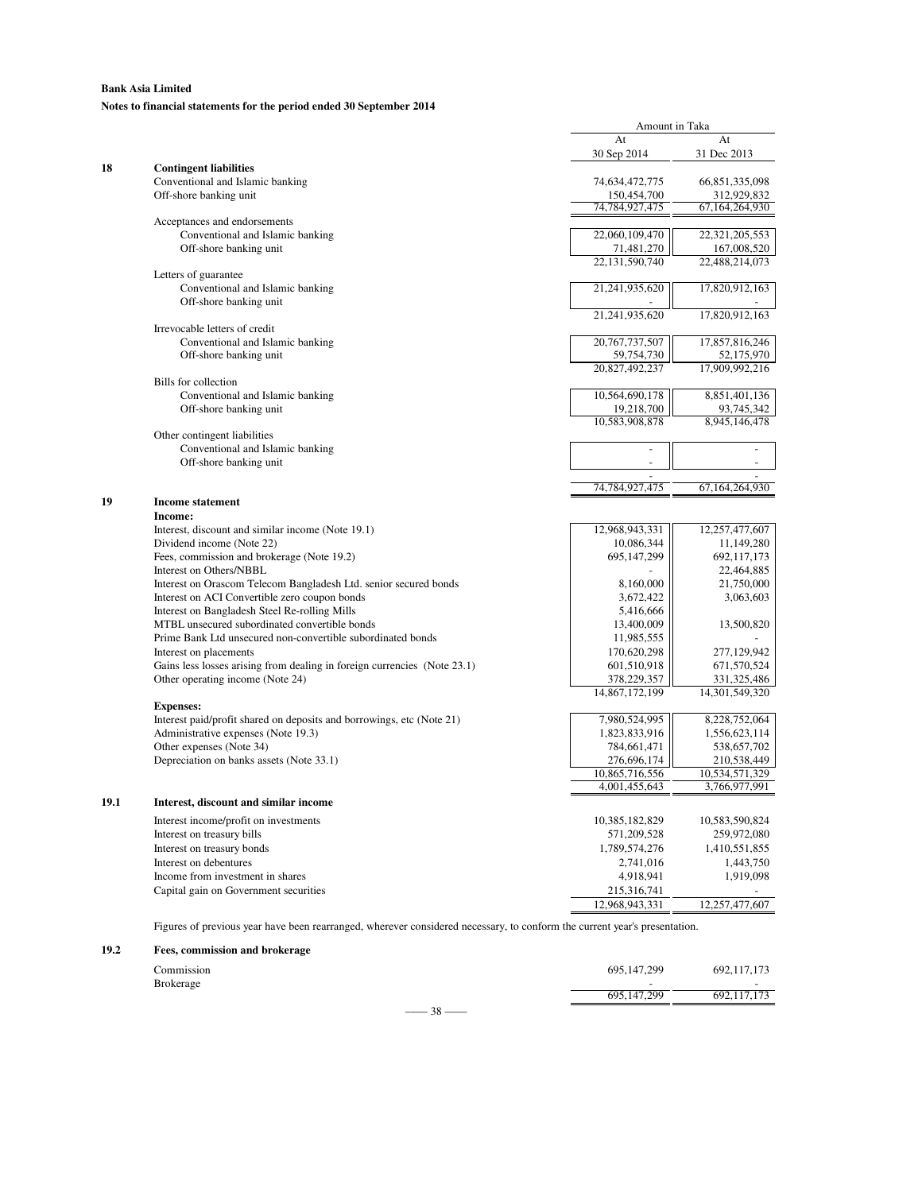### **Notes to financial statements for the period ended 30 September 2014**

|      |                                                                                                                           | At                | At                            |
|------|---------------------------------------------------------------------------------------------------------------------------|-------------------|-------------------------------|
|      |                                                                                                                           | 30 Sep 2014       | 31 Dec 2013                   |
| 18   | <b>Contingent liabilities</b>                                                                                             |                   |                               |
|      | Conventional and Islamic banking                                                                                          | 74,634,472,775    | 66,851,335,098                |
|      | Off-shore banking unit                                                                                                    | 150,454,700       | 312,929,832                   |
|      |                                                                                                                           | 74,784,927,475    | 67, 164, 264, 930             |
|      | Acceptances and endorsements                                                                                              |                   |                               |
|      | Conventional and Islamic banking                                                                                          | 22,060,109,470    | 22,321,205,553                |
|      | Off-shore banking unit                                                                                                    | 71,481,270        | 167,008,520                   |
|      |                                                                                                                           | 22,131,590,740    | 22,488,214,073                |
|      | Letters of guarantee                                                                                                      |                   |                               |
|      | Conventional and Islamic banking                                                                                          | 21,241,935,620    | 17,820,912,163                |
|      | Off-shore banking unit                                                                                                    |                   |                               |
|      |                                                                                                                           | 21,241,935,620    | 17,820,912,163                |
|      | Irrevocable letters of credit                                                                                             |                   |                               |
|      | Conventional and Islamic banking                                                                                          | 20,767,737,507    | 17,857,816,246                |
|      | Off-shore banking unit                                                                                                    | 59,754,730        | 52,175,970                    |
|      |                                                                                                                           | 20,827,492,237    | 17,909,992,216                |
|      | Bills for collection                                                                                                      |                   |                               |
|      | Conventional and Islamic banking                                                                                          | 10,564,690,178    | 8,851,401,136                 |
|      | Off-shore banking unit                                                                                                    | 19,218,700        | 93,745,342                    |
|      |                                                                                                                           | 10,583,908,878    | 8,945,146,478                 |
|      | Other contingent liabilities                                                                                              |                   |                               |
|      | Conventional and Islamic banking                                                                                          |                   | ÷                             |
|      | Off-shore banking unit                                                                                                    |                   | ÷,                            |
|      |                                                                                                                           |                   |                               |
|      |                                                                                                                           | 74, 784, 927, 475 | 67, 164, 264, 930             |
| 19   | <b>Income statement</b>                                                                                                   |                   |                               |
|      | Income:                                                                                                                   |                   |                               |
|      | Interest, discount and similar income (Note 19.1)                                                                         | 12,968,943,331    | 12,257,477,607                |
|      | Dividend income (Note 22)                                                                                                 | 10,086,344        | 11,149,280                    |
|      | Fees, commission and brokerage (Note 19.2)                                                                                | 695,147,299       | 692,117,173                   |
|      | Interest on Others/NBBL                                                                                                   |                   | 22,464,885                    |
|      | Interest on Orascom Telecom Bangladesh Ltd. senior secured bonds                                                          | 8,160,000         | 21,750,000                    |
|      | Interest on ACI Convertible zero coupon bonds                                                                             | 3,672,422         | 3,063,603                     |
|      | Interest on Bangladesh Steel Re-rolling Mills                                                                             | 5,416,666         |                               |
|      | MTBL unsecured subordinated convertible bonds                                                                             | 13,400,009        | 13,500,820                    |
|      | Prime Bank Ltd unsecured non-convertible subordinated bonds                                                               | 11,985,555        |                               |
|      | Interest on placements                                                                                                    | 170,620,298       | 277,129,942                   |
|      | Gains less losses arising from dealing in foreign currencies (Note 23.1)                                                  | 601,510,918       | 671,570,524                   |
|      | Other operating income (Note 24)                                                                                          | 378,229,357       | 331,325,486                   |
|      |                                                                                                                           | 14,867,172,199    | 14,301,549,320                |
|      | <b>Expenses:</b>                                                                                                          |                   |                               |
|      | Interest paid/profit shared on deposits and borrowings, etc (Note 21)                                                     | 7,980,524,995     | 8,228,752,064                 |
|      | Administrative expenses (Note 19.3)                                                                                       | 1,823,833,916     | 1,556,623,114                 |
|      | Other expenses (Note 34)                                                                                                  | 784,661,471       | 538,657,702                   |
|      |                                                                                                                           | 276,696,174       |                               |
|      | Depreciation on banks assets (Note 33.1)                                                                                  | 10,865,716,556    | 210,538,449<br>10.534.571.329 |
|      |                                                                                                                           | 4,001,455,643     | 3,766,977,991                 |
|      |                                                                                                                           |                   |                               |
| 19.1 | Interest, discount and similar income                                                                                     |                   |                               |
|      | Interest income/profit on investments                                                                                     | 10,385,182,829    | 10,583,590,824                |
|      | Interest on treasury bills                                                                                                | 571,209,528       | 259,972,080                   |
|      | Interest on treasury bonds                                                                                                | 1,789,574,276     | 1,410,551,855                 |
|      | Interest on debentures                                                                                                    | 2,741,016         | 1,443,750                     |
|      | Income from investment in shares                                                                                          | 4,918,941         | 1,919,098                     |
|      | Capital gain on Government securities                                                                                     | 215,316,741       |                               |
|      |                                                                                                                           | 12,968,943,331    | 12,257,477,607                |
|      |                                                                                                                           |                   |                               |
|      | Figures of previous year have been rearranged, wherever considered necessary, to conform the current year's presentation. |                   |                               |

Amount in Taka

**19.2 Fees, commission and brokerage**

| Commission       | . . |                 | 695, 147, 299            | 692,117,173 |
|------------------|-----|-----------------|--------------------------|-------------|
| <b>Brokerage</b> |     |                 | $\overline{\phantom{a}}$ |             |
|                  |     |                 | 695, 147, 299            | 692,117,173 |
|                  |     | $38 -$<br>_____ |                          |             |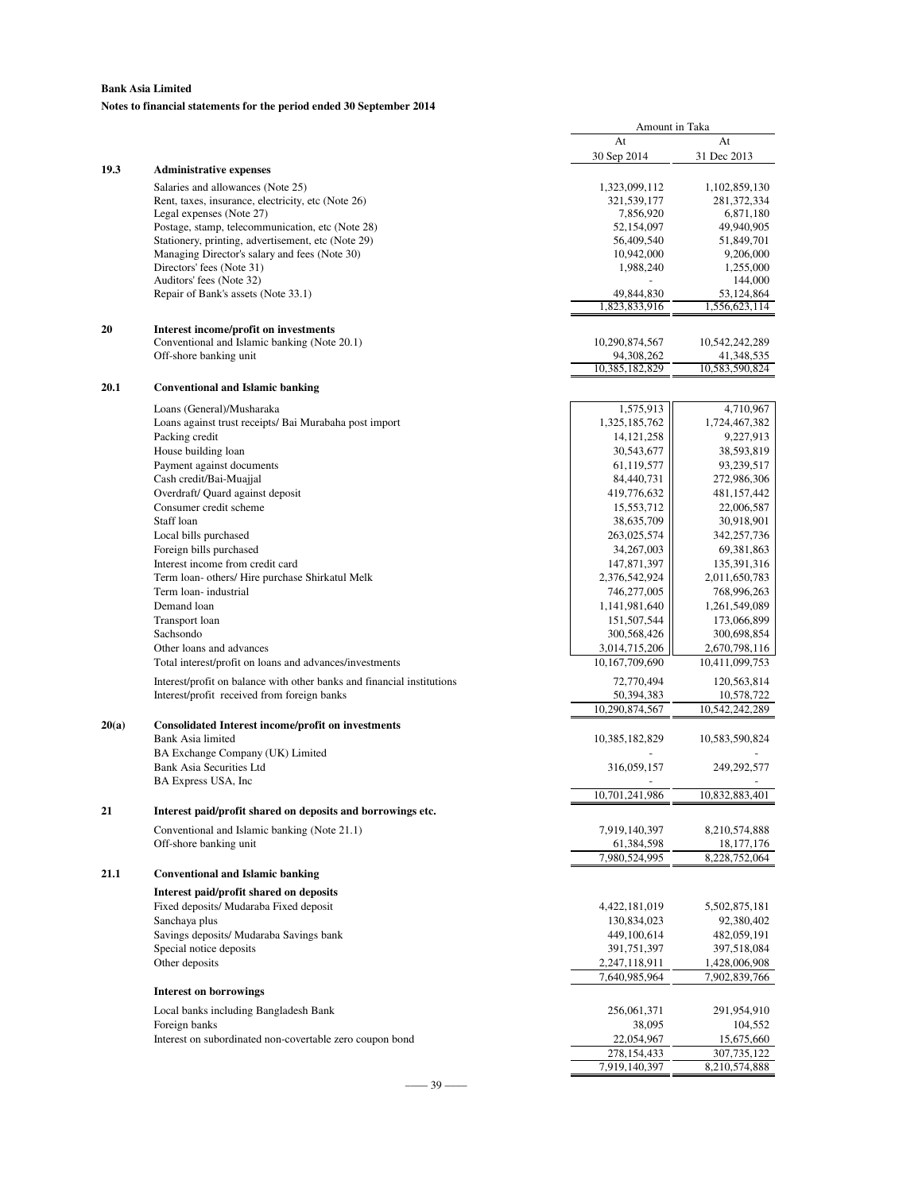### **Notes to financial statements for the period ended 30 September 2014**

|       |                                                                                   | Amount in Taka               |                              |
|-------|-----------------------------------------------------------------------------------|------------------------------|------------------------------|
|       |                                                                                   | At                           | At                           |
|       |                                                                                   | 30 Sep 2014                  | 31 Dec 2013                  |
| 19.3  | <b>Administrative expenses</b>                                                    |                              |                              |
|       | Salaries and allowances (Note 25)                                                 | 1,323,099,112                | 1,102,859,130                |
|       | Rent, taxes, insurance, electricity, etc (Note 26)                                | 321,539,177                  | 281, 372, 334                |
|       | Legal expenses (Note 27)<br>Postage, stamp, telecommunication, etc (Note 28)      | 7,856,920<br>52,154,097      | 6,871,180<br>49,940,905      |
|       | Stationery, printing, advertisement, etc (Note 29)                                | 56,409,540                   | 51,849,701                   |
|       | Managing Director's salary and fees (Note 30)                                     | 10,942,000                   | 9,206,000                    |
|       | Directors' fees (Note 31)                                                         | 1,988,240                    | 1,255,000                    |
|       | Auditors' fees (Note 32)                                                          |                              | 144,000                      |
|       | Repair of Bank's assets (Note 33.1)                                               | 49,844,830                   | 53,124,864                   |
|       |                                                                                   | 1,823,833,916                | 1,556,623,114                |
| 20    | Interest income/profit on investments                                             |                              |                              |
|       | Conventional and Islamic banking (Note 20.1)                                      | 10,290,874,567               | 10,542,242,289               |
|       | Off-shore banking unit                                                            | 94,308,262                   | 41,348,535                   |
|       |                                                                                   | 10,385,182,829               | 10,583,590,824               |
| 20.1  | <b>Conventional and Islamic banking</b>                                           |                              |                              |
|       | Loans (General)/Musharaka                                                         | 1,575,913                    | 4,710,967                    |
|       | Loans against trust receipts/ Bai Murabaha post import                            | 1,325,185,762                | 1,724,467,382                |
|       | Packing credit                                                                    | 14, 121, 258                 | 9,227,913                    |
|       | House building loan                                                               | 30,543,677                   | 38,593,819                   |
|       | Payment against documents                                                         | 61,119,577                   | 93,239,517                   |
|       | Cash credit/Bai-Muajjal                                                           | 84,440,731                   | 272,986,306                  |
|       | Overdraft/ Quard against deposit                                                  | 419,776,632                  | 481,157,442                  |
|       | Consumer credit scheme                                                            | 15,553,712                   | 22,006,587                   |
|       | Staff loan                                                                        | 38,635,709                   | 30,918,901                   |
|       | Local bills purchased                                                             | 263,025,574                  | 342,257,736                  |
|       | Foreign bills purchased                                                           | 34, 267, 003                 | 69,381,863                   |
|       | Interest income from credit card                                                  | 147,871,397                  | 135,391,316                  |
|       | Term loan- others/ Hire purchase Shirkatul Melk                                   | 2,376,542,924                | 2,011,650,783                |
|       | Term loan-industrial                                                              | 746,277,005                  | 768,996,263                  |
|       | Demand loan                                                                       | 1,141,981,640                | 1,261,549,089                |
|       | Transport loan<br>Sachsondo                                                       | 151,507,544<br>300,568,426   | 173,066,899<br>300,698,854   |
|       | Other loans and advances                                                          | 3,014,715,206                | 2,670,798,116                |
|       | Total interest/profit on loans and advances/investments                           | 10,167,709,690               | 10,411,099,753               |
|       |                                                                                   |                              |                              |
|       | Interest/profit on balance with other banks and financial institutions            | 72,770,494                   | 120,563,814                  |
|       | Interest/profit received from foreign banks                                       | 50,394,383<br>10,290,874,567 | 10,578,722<br>10,542,242,289 |
| 20(a) | Consolidated Interest income/profit on investments                                |                              |                              |
|       | Bank Asia limited                                                                 | 10,385,182,829               | 10,583,590,824               |
|       | BA Exchange Company (UK) Limited                                                  |                              |                              |
|       | <b>Bank Asia Securities Ltd</b>                                                   | 316,059,157                  | 249,292,577                  |
|       | BA Express USA, Inc.                                                              |                              |                              |
|       |                                                                                   | 10,701,241,986               | 10,832,883,401               |
| 21    | Interest paid/profit shared on deposits and borrowings etc.                       |                              |                              |
|       | Conventional and Islamic banking (Note 21.1)                                      | 7,919,140,397                | 8,210,574,888                |
|       | Off-shore banking unit                                                            | 61,384,598                   | 18, 177, 176                 |
|       |                                                                                   | 7,980,524,995                | 8,228,752,064                |
| 21.1  | <b>Conventional and Islamic banking</b>                                           |                              |                              |
|       |                                                                                   |                              |                              |
|       | Interest paid/profit shared on deposits<br>Fixed deposits/ Mudaraba Fixed deposit | 4,422,181,019                |                              |
|       | Sanchaya plus                                                                     | 130,834,023                  | 5,502,875,181<br>92,380,402  |
|       | Savings deposits/ Mudaraba Savings bank                                           | 449,100,614                  | 482,059,191                  |
|       | Special notice deposits                                                           | 391,751,397                  | 397,518,084                  |
|       | Other deposits                                                                    | 2,247,118,911                | 1,428,006,908                |
|       |                                                                                   | 7,640,985,964                | 7,902,839,766                |
|       | <b>Interest on borrowings</b>                                                     |                              |                              |
|       | Local banks including Bangladesh Bank                                             | 256,061,371                  | 291,954,910                  |
|       | Foreign banks                                                                     | 38,095                       | 104,552                      |
|       | Interest on subordinated non-covertable zero coupon bond                          | 22,054,967                   | 15,675,660                   |
|       |                                                                                   | 278, 154, 433                | 307,735,122                  |
|       |                                                                                   | 7,919,140,397                | 8,210,574,888                |

–––– 39 ––––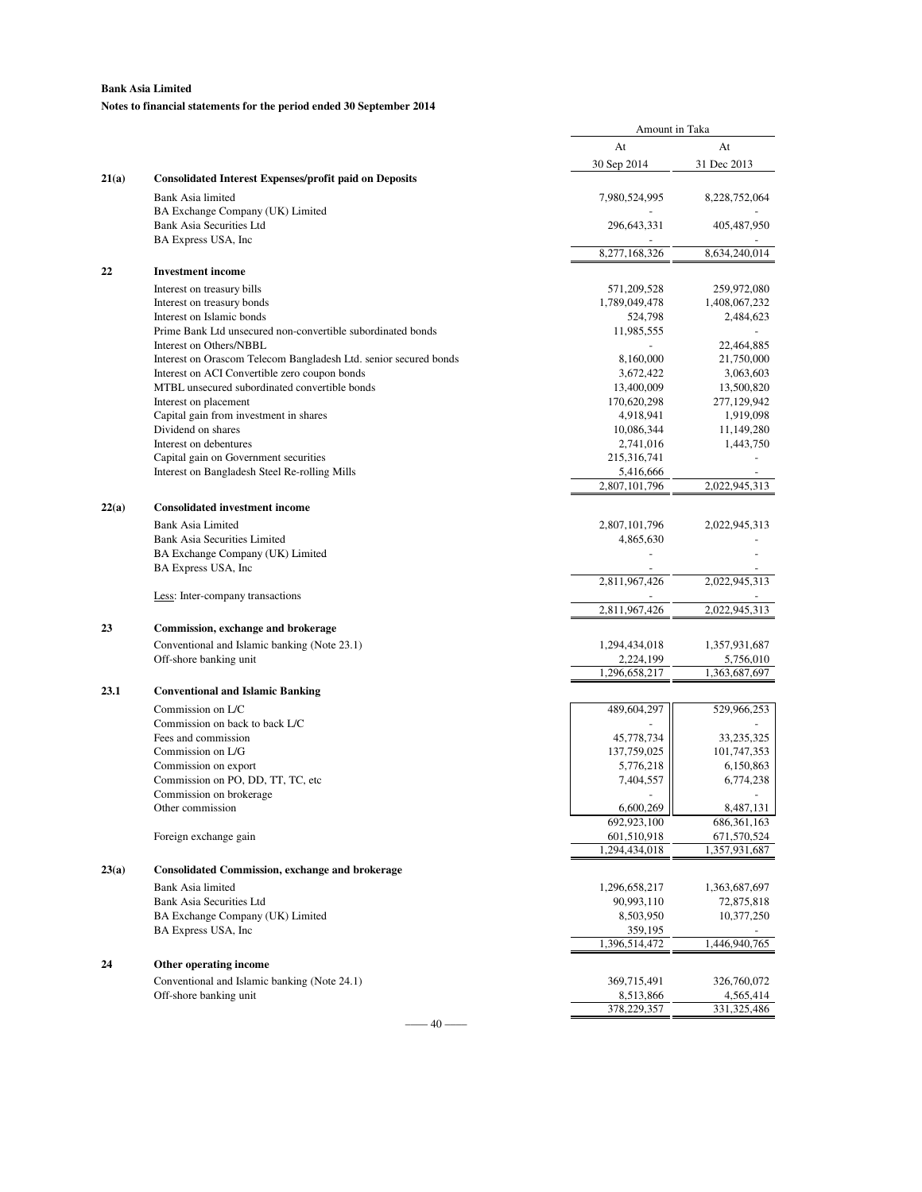### **Notes to financial statements for the period ended 30 September 2014**

|       |                                                                        | Amount in Taka               |                              |
|-------|------------------------------------------------------------------------|------------------------------|------------------------------|
|       |                                                                        | At                           | At                           |
|       |                                                                        | 30 Sep 2014                  | 31 Dec 2013                  |
| 21(a) | <b>Consolidated Interest Expenses/profit paid on Deposits</b>          |                              |                              |
|       | Bank Asia limited                                                      | 7,980,524,995                | 8,228,752,064                |
|       | BA Exchange Company (UK) Limited                                       |                              |                              |
|       | Bank Asia Securities Ltd                                               | 296,643,331                  | 405,487,950                  |
|       | BA Express USA, Inc.                                                   | 8,277,168,326                | 8,634,240,014                |
| 22    |                                                                        |                              |                              |
|       | <b>Investment</b> income                                               |                              |                              |
|       | Interest on treasury bills<br>Interest on treasury bonds               | 571,209,528<br>1,789,049,478 | 259,972,080<br>1,408,067,232 |
|       | Interest on Islamic bonds                                              | 524,798                      | 2,484,623                    |
|       | Prime Bank Ltd unsecured non-convertible subordinated bonds            | 11,985,555                   |                              |
|       | Interest on Others/NBBL                                                |                              | 22,464,885                   |
|       | Interest on Orascom Telecom Bangladesh Ltd. senior secured bonds       | 8,160,000                    | 21,750,000                   |
|       | Interest on ACI Convertible zero coupon bonds                          | 3,672,422                    | 3,063,603                    |
|       | MTBL unsecured subordinated convertible bonds<br>Interest on placement | 13,400,009<br>170,620,298    | 13,500,820<br>277,129,942    |
|       | Capital gain from investment in shares                                 | 4,918,941                    | 1,919,098                    |
|       | Dividend on shares                                                     | 10,086,344                   | 11,149,280                   |
|       | Interest on debentures                                                 | 2,741,016                    | 1,443,750                    |
|       | Capital gain on Government securities                                  | 215,316,741                  |                              |
|       | Interest on Bangladesh Steel Re-rolling Mills                          | 5,416,666                    |                              |
|       |                                                                        | 2,807,101,796                | 2,022,945,313                |
| 22(a) | <b>Consolidated investment income</b>                                  |                              |                              |
|       | Bank Asia Limited                                                      | 2,807,101,796                | 2,022,945,313                |
|       | <b>Bank Asia Securities Limited</b>                                    | 4,865,630                    |                              |
|       | BA Exchange Company (UK) Limited<br>BA Express USA, Inc.               |                              |                              |
|       |                                                                        | 2,811,967,426                | 2,022,945,313                |
|       | Less: Inter-company transactions                                       |                              |                              |
|       |                                                                        | 2,811,967,426                | 2,022,945,313                |
| 23    | Commission, exchange and brokerage                                     |                              |                              |
|       | Conventional and Islamic banking (Note 23.1)                           | 1,294,434,018                | 1,357,931,687                |
|       | Off-shore banking unit                                                 | 2,224,199                    | 5,756,010                    |
|       |                                                                        | 1,296,658,217                | 1,363,687,697                |
| 23.1  | <b>Conventional and Islamic Banking</b>                                |                              |                              |
|       | Commission on L/C                                                      | 489,604,297                  | 529,966,253                  |
|       | Commission on back to back L/C                                         |                              |                              |
|       | Fees and commission<br>Commission on L/G                               | 45,778,734<br>137,759,025    | 33,235,325<br>101,747,353    |
|       | Commission on export                                                   | 5,776,218                    | 6,150,863                    |
|       | Commission on PO, DD, TT, TC, etc                                      | 7,404,557                    | 6,774,238                    |
|       | Commission on brokerage                                                |                              |                              |
|       | Other commission                                                       | 6,600,269                    | 8,487,131                    |
|       |                                                                        | 692,923,100                  | 686, 361, 163                |
|       | Foreign exchange gain                                                  | 601,510,918<br>1,294,434,018 | 671,570,524<br>1,357,931,687 |
| 23(a) | <b>Consolidated Commission, exchange and brokerage</b>                 |                              |                              |
|       |                                                                        |                              |                              |
|       | Bank Asia limited<br>Bank Asia Securities Ltd                          | 1,296,658,217<br>90,993,110  | 1,363,687,697<br>72,875,818  |
|       | BA Exchange Company (UK) Limited                                       | 8,503,950                    | 10,377,250                   |
|       | BA Express USA, Inc.                                                   | 359,195                      |                              |
|       |                                                                        | 1,396,514,472                | 1,446,940,765                |
| 24    | Other operating income                                                 |                              |                              |
|       | Conventional and Islamic banking (Note 24.1)                           | 369,715,491                  | 326,760,072                  |
|       | Off-shore banking unit                                                 | 8,513,866                    | 4,565,414                    |
|       |                                                                        | 378,229,357                  | 331,325,486                  |

 $-$  40  $-$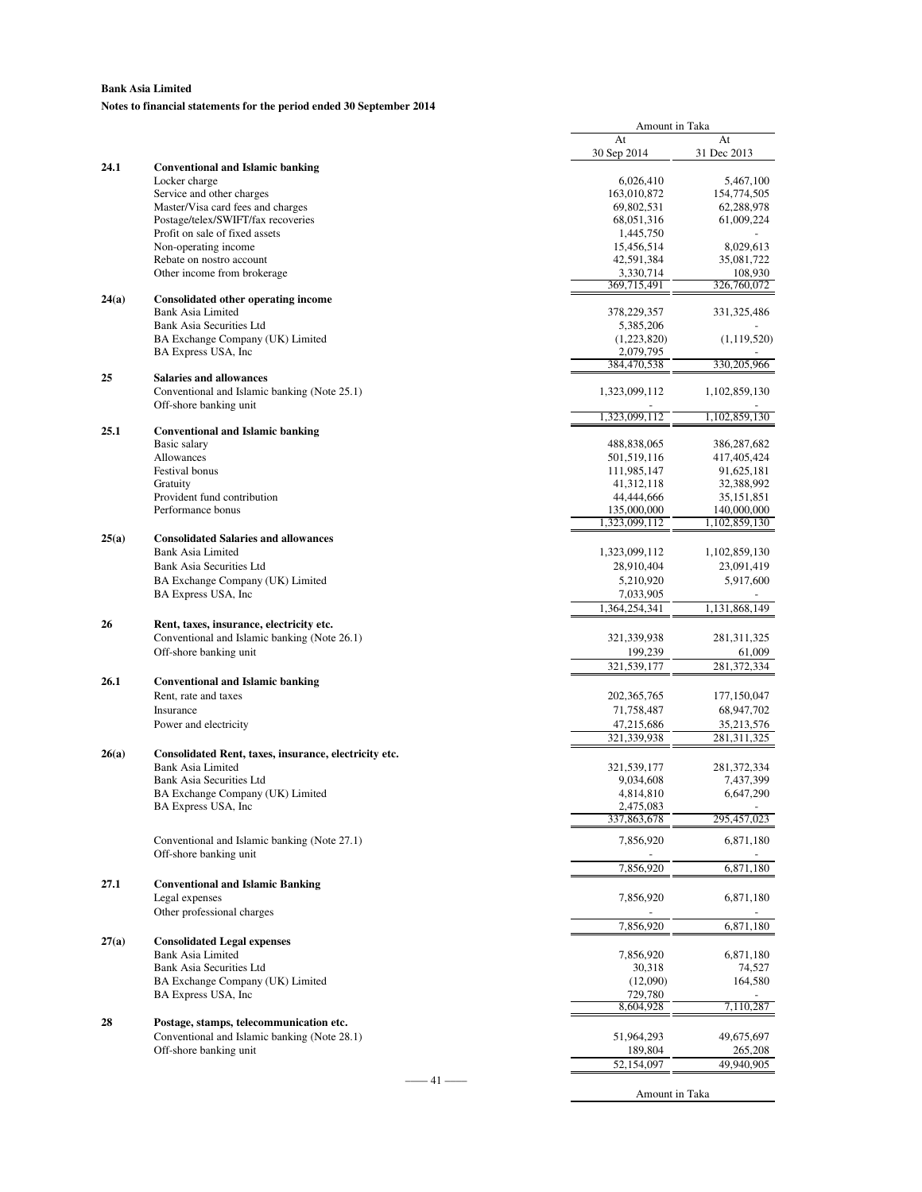### **Notes to financial statements for the period ended 30 September 2014**

|       |                                                          | Amount in Taka               |                              |
|-------|----------------------------------------------------------|------------------------------|------------------------------|
|       |                                                          | At                           | At                           |
| 24.1  | <b>Conventional and Islamic banking</b>                  | 30 Sep 2014                  | 31 Dec 2013                  |
|       | Locker charge                                            | 6,026,410                    | 5,467,100                    |
|       | Service and other charges                                | 163,010,872                  | 154,774,505                  |
|       | Master/Visa card fees and charges                        | 69,802,531                   | 62,288,978                   |
|       | Postage/telex/SWIFT/fax recoveries                       | 68,051,316                   | 61,009,224                   |
|       | Profit on sale of fixed assets                           | 1,445,750                    |                              |
|       | Non-operating income<br>Rebate on nostro account         | 15,456,514<br>42,591,384     | 8,029,613<br>35,081,722      |
|       | Other income from brokerage                              | 3,330,714                    | 108,930                      |
|       |                                                          | 369,715,491                  | 326,760,072                  |
| 24(a) | Consolidated other operating income                      |                              |                              |
|       | <b>Bank Asia Limited</b>                                 | 378,229,357                  | 331, 325, 486                |
|       | Bank Asia Securities Ltd                                 | 5,385,206                    |                              |
|       | BA Exchange Company (UK) Limited<br>BA Express USA, Inc. | (1,223,820)<br>2,079,795     | (1, 119, 520)                |
|       |                                                          | 384,470,538                  | 330,205,966                  |
| 25    | <b>Salaries and allowances</b>                           |                              |                              |
|       | Conventional and Islamic banking (Note 25.1)             | 1,323,099,112                | 1,102,859,130                |
|       | Off-shore banking unit                                   |                              |                              |
| 25.1  |                                                          | 1,323,099,112                | 1,102,859,130                |
|       | <b>Conventional and Islamic banking</b><br>Basic salary  | 488,838,065                  | 386,287,682                  |
|       | Allowances                                               | 501,519,116                  | 417,405,424                  |
|       | Festival bonus                                           | 111,985,147                  | 91,625,181                   |
|       | Gratuity                                                 | 41, 312, 118                 | 32,388,992                   |
|       | Provident fund contribution                              | 44,444,666                   | 35, 151, 851                 |
|       | Performance bonus                                        | 135,000,000<br>1,323,099,112 | 140,000,000<br>1,102,859,130 |
| 25(a) | <b>Consolidated Salaries and allowances</b>              |                              |                              |
|       | <b>Bank Asia Limited</b>                                 | 1,323,099,112                | 1,102,859,130                |
|       | Bank Asia Securities Ltd                                 | 28,910,404                   | 23,091,419                   |
|       | BA Exchange Company (UK) Limited                         | 5,210,920                    | 5,917,600                    |
|       | BA Express USA, Inc.                                     | 7,033,905                    |                              |
|       |                                                          | 1,364,254,341                | 1,131,868,149                |
| 26    | Rent, taxes, insurance, electricity etc.                 |                              |                              |
|       | Conventional and Islamic banking (Note 26.1)             | 321, 339, 938                | 281, 311, 325                |
|       | Off-shore banking unit                                   | 199,239                      | 61,009                       |
|       |                                                          | 321,539,177                  | 281,372,334                  |
| 26.1  | <b>Conventional and Islamic banking</b>                  |                              |                              |
|       | Rent, rate and taxes                                     | 202, 365, 765                | 177,150,047                  |
|       | Insurance                                                | 71,758,487                   | 68,947,702                   |
|       | Power and electricity                                    | 47,215,686<br>321,339,938    | 35,213,576<br>281,311,325    |
| 26(a) | Consolidated Rent, taxes, insurance, electricity etc.    |                              |                              |
|       | <b>Bank Asia Limited</b>                                 | 321,539,177                  | 281, 372, 334                |
|       | Bank Asia Securities Ltd                                 | 9,034,608                    | 7,437,399                    |
|       | BA Exchange Company (UK) Limited                         | 4,814,810                    | 6,647,290                    |
|       | BA Express USA, Inc.                                     | 2,475,083                    |                              |
|       |                                                          | 337,863,678                  | 295,457,023                  |
|       | Conventional and Islamic banking (Note 27.1)             | 7,856,920                    | 6,871,180                    |
|       | Off-shore banking unit                                   |                              |                              |
|       |                                                          | 7,856,920                    | 6,871,180                    |
| 27.1  | <b>Conventional and Islamic Banking</b>                  |                              |                              |
|       | Legal expenses                                           | 7,856,920                    | 6,871,180                    |
|       | Other professional charges                               | 7,856,920                    | 6,871,180                    |
| 27(a) | <b>Consolidated Legal expenses</b>                       |                              |                              |
|       | Bank Asia Limited                                        | 7,856,920                    | 6,871,180                    |
|       | <b>Bank Asia Securities Ltd</b>                          | 30,318                       | 74,527                       |
|       | BA Exchange Company (UK) Limited                         | (12,090)                     | 164,580                      |
|       | BA Express USA, Inc.                                     | 729,780                      |                              |
|       |                                                          | 8,604,928                    | 7,110,287                    |
| 28    | Postage, stamps, telecommunication etc.                  |                              |                              |
|       | Conventional and Islamic banking (Note 28.1)             | 51,964,293                   | 49,675,697                   |
|       | Off-shore banking unit                                   | 189,804<br>52,154,097        | 265,208<br>49,940,905        |
|       | $-41$ —                                                  |                              |                              |
|       |                                                          | Amount in Taka               |                              |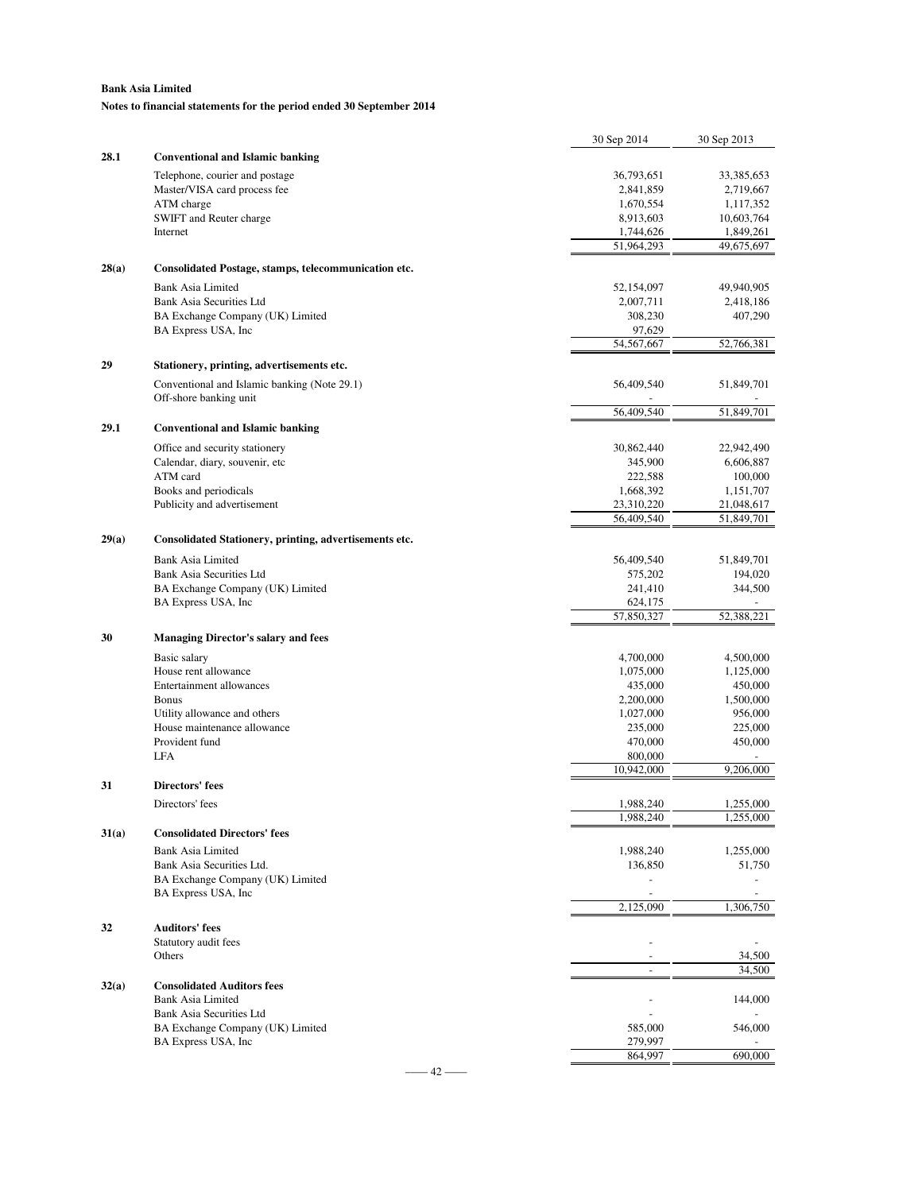**Notes to financial statements for the period ended 30 September 2014**

|       |                                                               | 30 Sep 2014            | 30 Sep 2013                        |
|-------|---------------------------------------------------------------|------------------------|------------------------------------|
| 28.1  | <b>Conventional and Islamic banking</b>                       |                        |                                    |
|       | Telephone, courier and postage                                | 36,793,651             | 33,385,653                         |
|       | Master/VISA card process fee                                  | 2,841,859              | 2,719,667                          |
|       | ATM charge                                                    | 1,670,554              | 1,117,352                          |
|       | SWIFT and Reuter charge                                       | 8,913,603              | 10,603,764                         |
|       | Internet                                                      | 1,744,626              | 1,849,261                          |
|       |                                                               | 51,964,293             | 49,675,697                         |
| 28(a) | Consolidated Postage, stamps, telecommunication etc.          |                        |                                    |
|       | <b>Bank Asia Limited</b>                                      | 52,154,097             | 49,940,905                         |
|       | <b>Bank Asia Securities Ltd</b>                               | 2,007,711              | 2,418,186                          |
|       | BA Exchange Company (UK) Limited                              | 308,230                | 407,290                            |
|       | BA Express USA, Inc.                                          | 97,629<br>54, 567, 667 | 52,766,381                         |
|       |                                                               |                        |                                    |
| 29    | Stationery, printing, advertisements etc.                     |                        |                                    |
|       | Conventional and Islamic banking (Note 29.1)                  | 56,409,540             | 51,849,701                         |
|       | Off-shore banking unit                                        | 56,409,540             | 51,849,701                         |
| 29.1  | <b>Conventional and Islamic banking</b>                       |                        |                                    |
|       |                                                               |                        |                                    |
|       | Office and security stationery                                | 30,862,440             | 22,942,490                         |
|       | Calendar, diary, souvenir, etc<br>ATM card                    | 345,900<br>222,588     | 6,606,887<br>100,000               |
|       | Books and periodicals                                         | 1,668,392              | 1,151,707                          |
|       | Publicity and advertisement                                   | 23,310,220             | 21,048,617                         |
|       |                                                               | 56,409,540             | 51,849,701                         |
| 29(a) | Consolidated Stationery, printing, advertisements etc.        |                        |                                    |
|       | <b>Bank Asia Limited</b>                                      | 56,409,540             | 51,849,701                         |
|       | Bank Asia Securities Ltd                                      | 575,202                | 194,020                            |
|       | BA Exchange Company (UK) Limited                              | 241,410                | 344,500                            |
|       | BA Express USA, Inc.                                          | 624,175                |                                    |
|       |                                                               | 57,850,327             | 52,388,221                         |
| 30    | <b>Managing Director's salary and fees</b>                    |                        |                                    |
|       | Basic salary                                                  | 4,700,000              | 4,500,000                          |
|       | House rent allowance                                          | 1,075,000              | 1,125,000                          |
|       | Entertainment allowances                                      | 435,000                | 450,000                            |
|       | <b>Bonus</b><br>Utility allowance and others                  | 2,200,000              | 1,500,000                          |
|       | House maintenance allowance                                   | 1,027,000<br>235,000   | 956,000<br>225,000                 |
|       | Provident fund                                                | 470,000                | 450,000                            |
|       | LFA                                                           | 800,000                |                                    |
|       |                                                               | 10,942,000             | 9,206,000                          |
| 31    | <b>Directors' fees</b>                                        |                        |                                    |
|       | Directors' fees                                               | 1,988,240              | 1,255,000                          |
|       |                                                               | 1,988,240              | 1,255,000                          |
| 31(a) | <b>Consolidated Directors' fees</b>                           |                        |                                    |
|       | <b>Bank Asia Limited</b>                                      | 1,988,240              | 1,255,000                          |
|       | Bank Asia Securities Ltd.<br>BA Exchange Company (UK) Limited | 136,850<br>÷,          | 51,750<br>$\overline{\phantom{a}}$ |
|       | BA Express USA, Inc.                                          |                        |                                    |
|       |                                                               | 2,125,090              | 1,306,750                          |
| 32    | <b>Auditors' fees</b>                                         |                        |                                    |
|       | Statutory audit fees                                          |                        |                                    |
|       | Others                                                        |                        | 34,500                             |
|       |                                                               | ä,                     | 34,500                             |
| 32(a) | <b>Consolidated Auditors fees</b>                             |                        |                                    |
|       | Bank Asia Limited                                             |                        | 144,000                            |
|       | Bank Asia Securities Ltd<br>BA Exchange Company (UK) Limited  | 585,000                | 546,000                            |
|       | BA Express USA, Inc.                                          | 279,997                |                                    |
|       |                                                               | 864,997                | 690,000                            |
|       |                                                               |                        |                                    |

 $-$  42  $-$